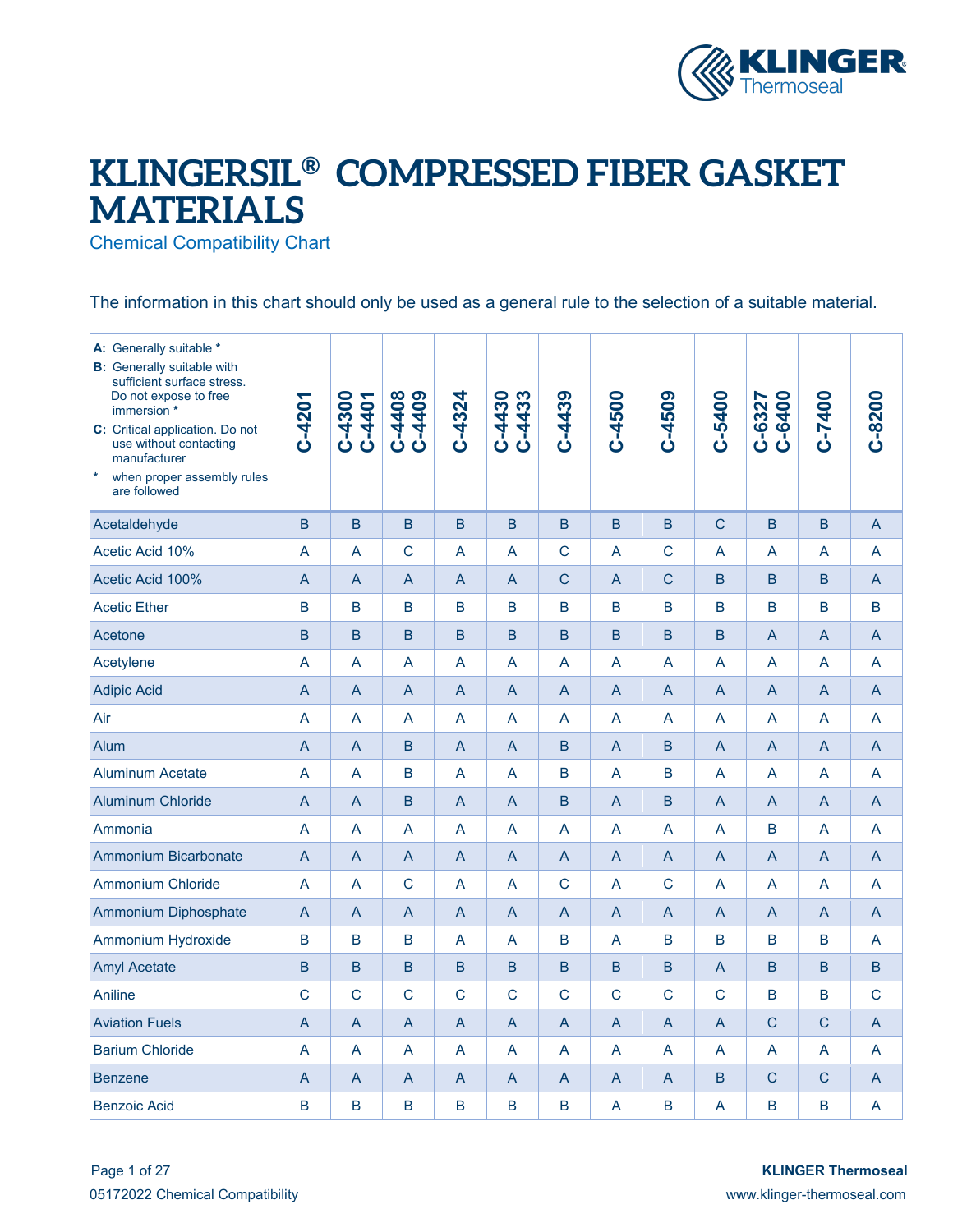

## **KLINGERSIL® COMPRESSED FIBER GASKET MATERIALS**

Chemical Compatibility Chart

The information in this chart should only be used as a general rule to the selection of a suitable material.

| A: Generally suitable *<br><b>B:</b> Generally suitable with<br>sufficient surface stress.<br>Do not expose to free<br>immersion *<br>C: Critical application. Do not<br>use without contacting<br>manufacturer<br>$\vert * \vert$<br>when proper assembly rules<br>are followed | $C-4201$       | C-4300<br>C-4401 | C-4408<br>C-4408 | $C-4324$       | $C-4433$<br>$C - 4430$ | $C - 4439$     | $C - 4500$     | C-4509         | C-5400         | C-6327<br>C-6400 | C-7400 | $C-8200$     |
|----------------------------------------------------------------------------------------------------------------------------------------------------------------------------------------------------------------------------------------------------------------------------------|----------------|------------------|------------------|----------------|------------------------|----------------|----------------|----------------|----------------|------------------|--------|--------------|
| Acetaldehyde                                                                                                                                                                                                                                                                     | B              | B                | B                | <sub>B</sub>   | B                      | B              | B              | B              | $\mathsf{C}$   | B                | B      | A            |
| Acetic Acid 10%                                                                                                                                                                                                                                                                  | A              | A                | $\overline{C}$   | A              | A                      | $\mathsf{C}$   | A              | $\overline{C}$ | A              | A                | A      | A            |
| Acetic Acid 100%                                                                                                                                                                                                                                                                 | A              | A                | A                | A              | A                      | $\mathsf{C}$   | A              | C              | B              | B                | B      | A            |
| <b>Acetic Ether</b>                                                                                                                                                                                                                                                              | B              | $\overline{B}$   | B                | B              | B                      | B              | B              | B              | B              | B                | B      | B            |
| Acetone                                                                                                                                                                                                                                                                          | B              | B                | <sub>B</sub>     | B              | <sub>B</sub>           | B              | $\overline{B}$ | B              | <sub>B</sub>   | $\overline{A}$   | A      | A            |
| Acetylene                                                                                                                                                                                                                                                                        | A              | A                | A                | A              | A                      | A              | A              | A              | A              | A                | A      | A            |
| <b>Adipic Acid</b>                                                                                                                                                                                                                                                               | A              | A                | A                | A              | A                      | A              | A              | A              | A              | A                | A      | A            |
| Air                                                                                                                                                                                                                                                                              | A              | A                | A                | A              | A                      | A              | A              | A              | A              | A                | A      | A            |
| Alum                                                                                                                                                                                                                                                                             | A              | A                | B                | A              | A                      | B              | A              | B              | A              | A                | A      | A            |
| <b>Aluminum Acetate</b>                                                                                                                                                                                                                                                          | A              | A                | B                | A              | A                      | B              | A              | B              | A              | A                | A      | A            |
| <b>Aluminum Chloride</b>                                                                                                                                                                                                                                                         | A              | A                | B                | A              | A                      | B              | A              | B              | A              | A                | A      | A            |
| Ammonia                                                                                                                                                                                                                                                                          | A              | A                | A                | A              | A                      | A              | A              | A              | A              | B                | A      | A            |
| <b>Ammonium Bicarbonate</b>                                                                                                                                                                                                                                                      | A              | A                | A                | A              | A                      | A              | A              | A              | A              | A                | A      | A            |
| <b>Ammonium Chloride</b>                                                                                                                                                                                                                                                         | A              | A                | $\mathsf{C}$     | A              | A                      | $\mathsf{C}$   | A              | $\mathsf{C}$   | A              | A                | A      | A            |
| Ammonium Diphosphate                                                                                                                                                                                                                                                             | A              | A                | A                | A              | A                      | A              | A              | $\overline{A}$ | $\mathsf{A}$   | $\overline{A}$   | A      | A            |
| Ammonium Hydroxide                                                                                                                                                                                                                                                               | B              | $\mathsf B$      | B                | A              | A                      | B              | A              | B              | B              | B                | B      | A            |
| <b>Amyl Acetate</b>                                                                                                                                                                                                                                                              | B              | B                | B.               | <sub>B</sub>   | B                      | $\overline{B}$ | B              | B              | $\overline{A}$ | B                | B      | B            |
| Aniline                                                                                                                                                                                                                                                                          | $\mathsf{C}$   | $\mathsf{C}$     | $\overline{C}$   | $\overline{C}$ | $\mathsf{C}$           | $\mathsf{C}$   | $\mathsf{C}$   | $\overline{C}$ | $\mathsf{C}$   | B                | B      | $\mathsf{C}$ |
| <b>Aviation Fuels</b>                                                                                                                                                                                                                                                            | A              | A                | A                | A              | A                      | A              | A              | A              | $\overline{A}$ | $\mathsf{C}$     | C      | A            |
| <b>Barium Chloride</b>                                                                                                                                                                                                                                                           | A              | A                | A                | A              | A                      | A              | A              | A              | A              | A                | A      | A            |
| <b>Benzene</b>                                                                                                                                                                                                                                                                   | A              | A                | A                | A              | A                      | $\overline{A}$ | A              | $\overline{A}$ | B              | C                | C      | A            |
| <b>Benzoic Acid</b>                                                                                                                                                                                                                                                              | $\overline{B}$ | $\overline{B}$   | B                | B              | $\overline{B}$         | $\overline{B}$ | A              | B              | A              | B                | B      | A            |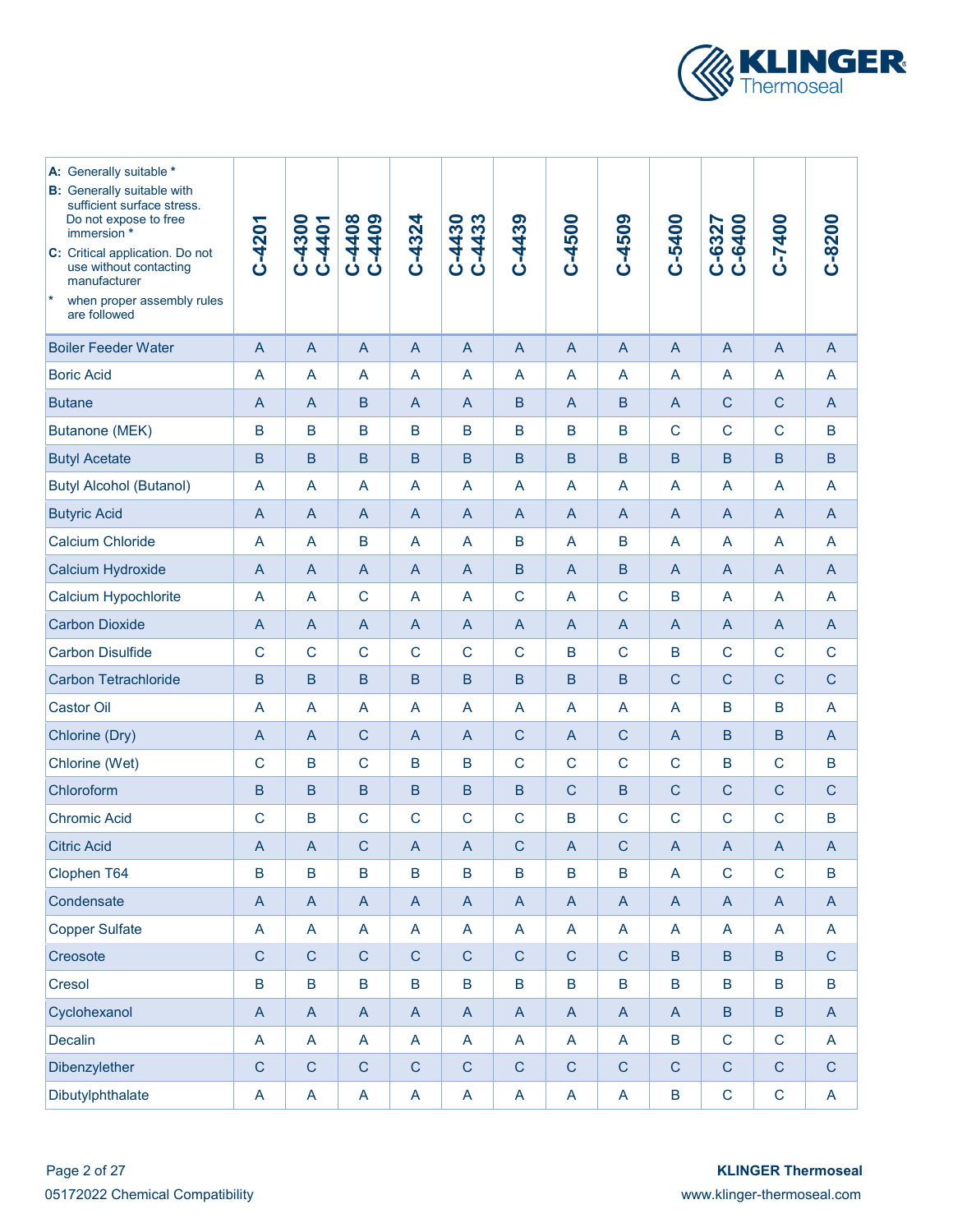

| A: Generally suitable *<br><b>B:</b> Generally suitable with<br>sufficient surface stress.<br>Do not expose to free<br>immersion *<br>C: Critical application. Do not<br>use without contacting<br>manufacturer<br>$\vert * \vert$<br>when proper assembly rules<br>are followed | $C-4201$       | C-4300<br>C-4401          | C-4408<br>C-4408                                                      | $C-4324$       | C-4433<br>C-4430 | $C-4439$       | C-4500                    | C-4509                    | C-5400         | C-6327<br>C-6400          | C-7400                    | $C-8200$                  |
|----------------------------------------------------------------------------------------------------------------------------------------------------------------------------------------------------------------------------------------------------------------------------------|----------------|---------------------------|-----------------------------------------------------------------------|----------------|------------------|----------------|---------------------------|---------------------------|----------------|---------------------------|---------------------------|---------------------------|
| <b>Boiler Feeder Water</b>                                                                                                                                                                                                                                                       | A              | $\mathsf{A}$              | $\overline{A}$                                                        | $\overline{A}$ | $\overline{A}$   | A              | $\overline{A}$            | $\overline{A}$            | $\overline{A}$ | $\mathsf{A}$              | $\overline{A}$            | $\mathsf{A}$              |
| <b>Boric Acid</b>                                                                                                                                                                                                                                                                | A              | A                         | A                                                                     | A              | A                | A              | A                         | A                         | $\overline{A}$ | $\overline{A}$            | A                         | A                         |
| <b>Butane</b>                                                                                                                                                                                                                                                                    | A              | $\mathsf{A}$              | B                                                                     | $\mathsf{A}$   | A                | B              | $\overline{A}$            | B                         | $\mathsf{A}$   | ${\bf C}$                 | $\mathsf{C}$              | $\overline{A}$            |
| <b>Butanone (MEK)</b>                                                                                                                                                                                                                                                            | B              | B                         | B                                                                     | B              | B                | B              | B                         | $\mathsf B$               | $\mathsf{C}$   | $\mathsf{C}$              | $\mathsf{C}$              | B                         |
| <b>Butyl Acetate</b>                                                                                                                                                                                                                                                             | $\mathsf B$    | $\sf B$                   | $\mathsf B$                                                           | $\mathsf B$    | $\mathsf B$      | B              | $\mathsf B$               | $\mathsf B$               | B              | B                         | B                         | $\sf{B}$                  |
| <b>Butyl Alcohol (Butanol)</b>                                                                                                                                                                                                                                                   | A              | A                         | A                                                                     | A              | A                | A              | A                         | $\overline{A}$            | A              | A                         | $\overline{A}$            | A                         |
| <b>Butyric Acid</b>                                                                                                                                                                                                                                                              | $\mathsf{A}$   | $\mathsf{A}$              | $\mathsf{A}$                                                          | $\mathsf{A}$   | $\mathsf{A}$     | $\overline{A}$ | $\overline{A}$            | $\overline{A}$            | $\mathsf{A}$   | $\mathsf{A}$              | $\mathsf{A}$              | A                         |
| <b>Calcium Chloride</b>                                                                                                                                                                                                                                                          | A              | A                         | B                                                                     | A              | A                | B              | $\overline{A}$            | B                         | A              | A                         | $\mathsf{A}$              | A                         |
| Calcium Hydroxide                                                                                                                                                                                                                                                                | $\overline{A}$ | $\overline{A}$            | $\overline{A}$                                                        | $\overline{A}$ | $\mathsf{A}$     | B              | $\overline{A}$            | $\mathsf B$               | $\overline{A}$ | $\mathsf{A}$              | $\overline{A}$            | $\overline{A}$            |
| <b>Calcium Hypochlorite</b>                                                                                                                                                                                                                                                      | A              | A                         | $\mathsf{C}$                                                          | A              | A                | $\mathsf{C}$   | $\overline{A}$            | $\mathsf{C}$              | B              | A                         | A                         | A                         |
| <b>Carbon Dioxide</b>                                                                                                                                                                                                                                                            | A              | $\mathsf{A}$              | $\overline{A}$                                                        | A              | A                | $\overline{A}$ | $\overline{A}$            | $\overline{A}$            | $\overline{A}$ | $\mathsf{A}$              | $\overline{A}$            | $\mathsf{A}$              |
| <b>Carbon Disulfide</b>                                                                                                                                                                                                                                                          | $\mathsf{C}$   | $\mathsf{C}$              | $\mathsf{C}$                                                          | $\mathsf{C}$   | $\mathsf{C}$     | $\mathsf{C}$   | B                         | $\mathsf{C}$              | B              | $\mathsf{C}$              | $\mathsf{C}$              | $\mathsf C$               |
| <b>Carbon Tetrachloride</b>                                                                                                                                                                                                                                                      | B              | $\mathsf B$               | $\mathsf B$                                                           | $\mathsf B$    | $\mathsf B$      | $\mathsf B$    | $\mathsf B$               | $\mathsf B$               | $\mathsf{C}$   | $\mathsf{C}$              | $\mathsf{C}$              | $\mathsf C$               |
| <b>Castor Oil</b>                                                                                                                                                                                                                                                                | A              | A                         | A                                                                     | A              | A                | A              | $\overline{A}$            | A                         | A              | B                         | B                         | A                         |
| Chlorine (Dry)                                                                                                                                                                                                                                                                   | A              | $\mathsf{A}$              | $\mathsf{C}$                                                          | A              | A                | $\mathsf{C}$   | $\overline{A}$            | $\mathsf{C}$              | $\overline{A}$ | B                         | B                         | $\mathsf{A}$              |
| Chlorine (Wet)                                                                                                                                                                                                                                                                   | $\mathsf C$    | B                         | $\mathsf{C}$                                                          | B              | B                | $\mathsf{C}$   | $\mathsf{C}$              | $\mathsf{C}$              | $\mathsf{C}$   | B                         | $\mathsf{C}$              | B                         |
| Chloroform                                                                                                                                                                                                                                                                       | B              | $\mathsf B$               | $\mathsf B$                                                           | B              | $\mathsf B$      | $\mathsf B$    | $\mathsf{C}$              | B                         | $\mathsf{C}$   | $\mathsf{C}$              | $\overline{C}$            | $\mathsf C$               |
| <b>Chromic Acid</b>                                                                                                                                                                                                                                                              | $\mathsf C$    | B                         | $\mathsf{C}$                                                          | $\mathsf{C}$   | $\mathsf{C}$     | $\mathsf{C}$   | B                         | $\mathsf{C}$              | $\mathsf{C}$   | $\mathsf{C}$              | $\mathsf{C}$              | B                         |
| <b>Citric Acid</b>                                                                                                                                                                                                                                                               | A              | $\overline{A}$            | $\mathsf{C}$                                                          | $\overline{A}$ | $\overline{A}$   | $\overline{C}$ | $\overline{A}$            | Ċ                         | $\overline{A}$ | $\overline{A}$            | $\overline{A}$            | A                         |
| Clophen T64                                                                                                                                                                                                                                                                      | $\sf B$        | $\sf{B}$                  | $\sf B$                                                               | $\sf{B}$       | $\sf{B}$         | $\sf B$        | $\sf{B}$                  | $\sf B$                   | $\overline{A}$ | $\mathbf C$               | $\mathsf C$               | $\sf B$                   |
| Condensate                                                                                                                                                                                                                                                                       | $\mathsf A$    | $\mathsf A$               | $\mathsf{A}% _{\mathsf{A}}^{\prime}=\mathsf{A}_{\mathsf{A}}^{\prime}$ | $\mathsf{A}$   | $\mathsf{A}$     | $\mathsf{A}$   | $\mathsf A$               | $\overline{A}$            | $\mathsf{A}$   | $\boldsymbol{\mathsf{A}}$ | $\boldsymbol{\mathsf{A}}$ | $\boldsymbol{\mathsf{A}}$ |
| <b>Copper Sulfate</b>                                                                                                                                                                                                                                                            | A              | A                         | $\mathsf{A}$                                                          | A              | A                | A              | $\mathsf{A}$              | $\overline{A}$            | A              | $\mathsf{A}$              | $\mathsf{A}$              | A                         |
| Creosote                                                                                                                                                                                                                                                                         | $\mathsf C$    | $\mathsf C$               | $\mathsf C$                                                           | $\mathsf C$    | $\mathsf C$      | $\mathsf C$    | $\mathsf C$               | $\mathsf{C}$              | $\, {\bf B}$   | $\sf B$                   | $\sf B$                   | $\mathsf C$               |
| Cresol                                                                                                                                                                                                                                                                           | $\sf{B}$       | $\sf{B}$                  | $\sf B$                                                               | $\sf B$        | $\overline{B}$   | $\sf B$        | $\sf B$                   | $\, {\bf B}$              | $\sf B$        | $\, {\bf B}$              | $\sf B$                   | $\sf B$                   |
| Cyclohexanol                                                                                                                                                                                                                                                                     | $\mathsf A$    | $\boldsymbol{\mathsf{A}}$ | $\mathsf{A}% _{\mathsf{A}}^{\prime}=\mathsf{A}_{\mathsf{A}}^{\prime}$ | $\mathsf A$    | $\mathsf{A}$     | $\mathsf A$    | $\boldsymbol{\mathsf{A}}$ | $\boldsymbol{\mathsf{A}}$ | $\mathsf{A}$   | $\, {\bf B}$              | $\sf B$                   | $\boldsymbol{\mathsf{A}}$ |
| Decalin                                                                                                                                                                                                                                                                          | A              | $\mathsf{A}$              | A                                                                     | A              | A                | A              | $\boldsymbol{\mathsf{A}}$ | $\overline{A}$            | $\, {\bf B}$   | $\mathbf C$               | $\mathbf C$               | $\mathsf{A}$              |
| Dibenzylether                                                                                                                                                                                                                                                                    | $\mathsf C$    | $\mathsf C$               | $\mathsf C$                                                           | ${\bf C}$      | $\mathsf C$      | $\mathsf C$    | ${\bf C}$                 | $\mathbf C$               | ${\bf C}$      | $\mathbf C$               | $\mathsf C$               | $\mathsf C$               |
| Dibutylphthalate                                                                                                                                                                                                                                                                 | A              | $\mathsf{A}$              | A                                                                     | A              | A                | A              | $\mathsf{A}$              | $\mathsf{A}$              | $\sf B$        | $\mathbf C$               | ${\bf C}$                 | $\mathsf{A}$              |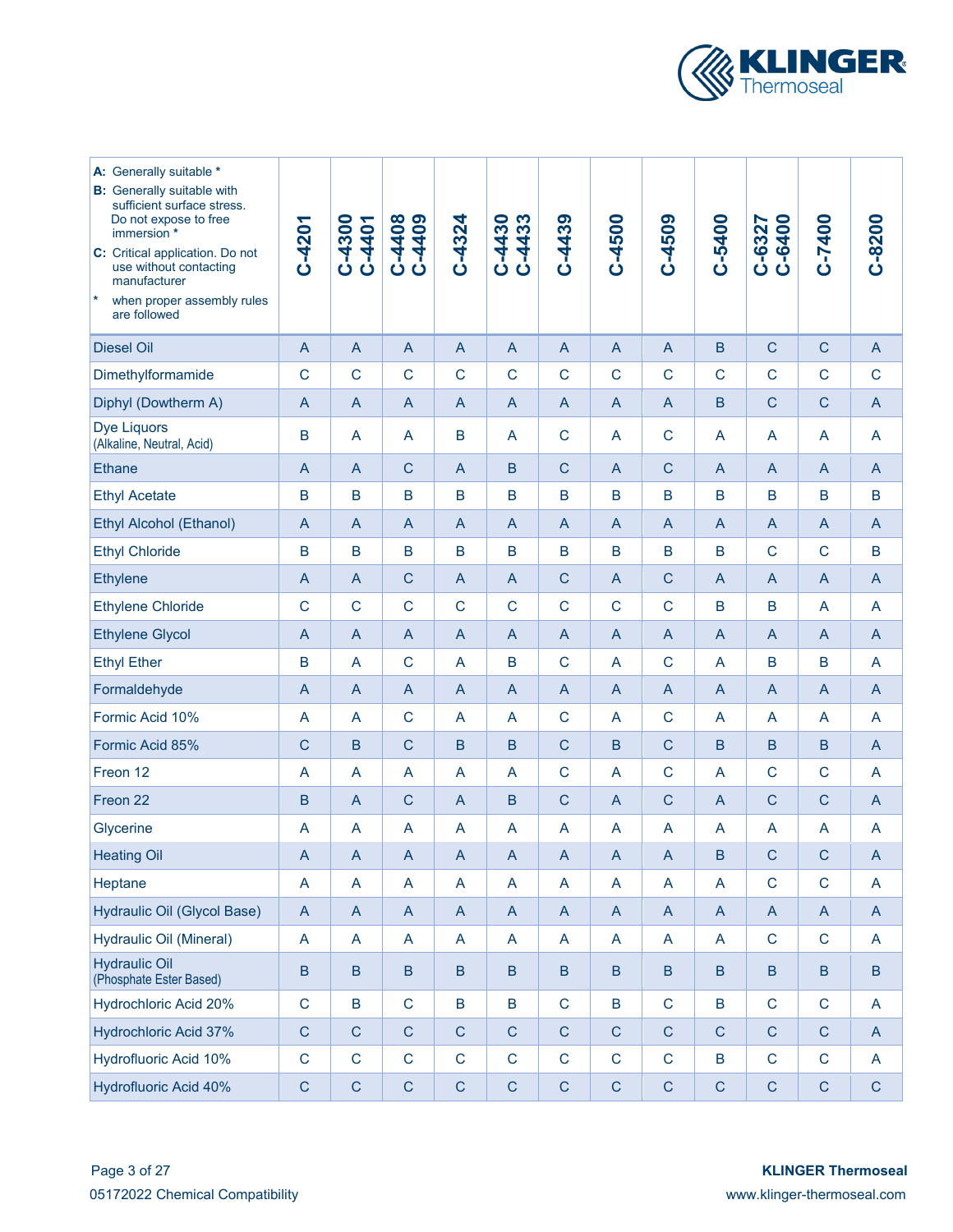

| A: Generally suitable *<br><b>B:</b> Generally suitable with<br>sufficient surface stress.<br>Do not expose to free<br>immersion *<br>C: Critical application. Do not<br>use without contacting<br>manufacturer<br> ∗<br>when proper assembly rules<br>are followed | $C - 4201$     | C-4300<br>C-4401          | C-4408<br>C-4409          | $C-4324$       | C-4433<br>C-4430          | $C-4439$       | C-4500                    | C-4509         | C-5400         | C-6327<br>C-6400 | C-7400                    | $C-8200$                  |
|---------------------------------------------------------------------------------------------------------------------------------------------------------------------------------------------------------------------------------------------------------------------|----------------|---------------------------|---------------------------|----------------|---------------------------|----------------|---------------------------|----------------|----------------|------------------|---------------------------|---------------------------|
| <b>Diesel Oil</b>                                                                                                                                                                                                                                                   | $\overline{A}$ | $\overline{A}$            | $\overline{A}$            | $\mathsf{A}$   | $\mathsf{A}$              | $\overline{A}$ | $\mathsf{A}$              | $\mathsf{A}$   | B              | $\mathsf{C}$     | $\mathsf{C}$              | $\mathsf{A}$              |
| Dimethylformamide                                                                                                                                                                                                                                                   | $\mathsf{C}$   | $\mathsf{C}$              | $\mathsf{C}$              | $\mathsf C$    | $\mathsf C$               | $\mathsf{C}$   | $\mathsf{C}$              | $\mathsf{C}$   | $\mathsf{C}$   | $\mathsf{C}$     | $\mathsf{C}$              | $\mathsf{C}$              |
| Diphyl (Dowtherm A)                                                                                                                                                                                                                                                 | $\mathsf{A}$   | A                         | $\mathsf{A}$              | $\mathsf{A}$   | $\mathsf{A}$              | $\overline{A}$ | A                         | $\mathsf{A}$   | B              | $\mathsf{C}$     | $\mathsf{C}$              | $\mathsf{A}$              |
| <b>Dye Liquors</b><br>(Alkaline, Neutral, Acid)                                                                                                                                                                                                                     | B              | A                         | A                         | B              | A                         | $\mathsf{C}$   | A                         | $\mathsf C$    | A              | A                | $\overline{A}$            | A                         |
| <b>Ethane</b>                                                                                                                                                                                                                                                       | $\mathsf{A}$   | $\overline{A}$            | $\mathsf{C}$              | $\mathsf{A}$   | $\mathsf B$               | $\mathsf{C}$   | $\mathsf{A}$              | $\mathsf{C}$   | $\overline{A}$ | $\mathsf{A}$     | $\overline{A}$            | $\mathsf{A}$              |
| <b>Ethyl Acetate</b>                                                                                                                                                                                                                                                | B              | $\mathsf B$               | B                         | $\mathsf B$    | $\mathsf B$               | B              | $\mathsf B$               | B              | B              | B                | B                         | B                         |
| <b>Ethyl Alcohol (Ethanol)</b>                                                                                                                                                                                                                                      | $\mathsf{A}$   | A                         | $\overline{A}$            | A              | A                         | $\overline{A}$ | $\mathsf{A}$              | $\overline{A}$ | $\mathsf{A}$   | $\mathsf{A}$     | $\overline{A}$            | $\overline{A}$            |
| <b>Ethyl Chloride</b>                                                                                                                                                                                                                                               | B              | $\mathsf B$               | B                         | B              | $\mathsf B$               | $\mathsf B$    | $\mathsf B$               | B              | $\mathsf B$    | $\mathsf{C}$     | $\mathsf{C}$              | B                         |
| Ethylene                                                                                                                                                                                                                                                            | A              | $\mathsf{A}$              | $\mathsf{C}$              | A              | $\mathsf{A}$              | $\mathsf{C}$   | $\mathsf{A}$              | $\mathsf{C}$   | $\mathsf{A}$   | $\mathsf{A}$     | $\overline{A}$            | $\mathsf{A}$              |
| <b>Ethylene Chloride</b>                                                                                                                                                                                                                                            | $\mathsf{C}$   | $\mathsf C$               | $\mathsf{C}$              | $\mathsf C$    | $\mathsf{C}$              | $\mathsf{C}$   | $\mathsf{C}$              | $\mathsf{C}$   | B              | B                | $\overline{A}$            | A                         |
| <b>Ethylene Glycol</b>                                                                                                                                                                                                                                              | A              | $\overline{A}$            | $\mathsf{A}$              | $\mathsf{A}$   | $\mathsf{A}$              | $\overline{A}$ | $\mathsf{A}$              | $\mathsf{A}$   | $\overline{A}$ | $\overline{A}$   | $\overline{A}$            | $\mathsf{A}$              |
| <b>Ethyl Ether</b>                                                                                                                                                                                                                                                  | B              | A                         | $\mathsf{C}$              | A              | B                         | $\mathsf{C}$   | A                         | $\mathsf{C}$   | A              | B                | B                         | $\mathsf{A}$              |
| Formaldehyde                                                                                                                                                                                                                                                        | A              | $\overline{A}$            | $\mathsf{A}$              | $\mathsf{A}$   | $\mathsf{A}$              | $\overline{A}$ | $\mathsf{A}$              | $\mathsf{A}$   | A              | $\overline{A}$   | $\overline{A}$            | $\mathsf{A}$              |
| Formic Acid 10%                                                                                                                                                                                                                                                     | A              | A                         | $\mathsf{C}$              | A              | A                         | $\mathsf{C}$   | A                         | $\mathsf C$    | A              | A                | $\overline{A}$            | A                         |
| Formic Acid 85%                                                                                                                                                                                                                                                     | $\mathsf{C}$   | B                         | $\mathsf{C}$              | $\mathsf B$    | $\mathsf B$               | $\mathsf{C}$   | $\mathsf B$               | $\mathsf{C}$   | B              | B                | B                         | $\mathsf{A}$              |
| Freon 12                                                                                                                                                                                                                                                            | A              | A                         | A                         | A              | A                         | $\mathsf{C}$   | A                         | $\mathsf C$    | A              | $\mathsf{C}$     | $\mathsf{C}$              | A                         |
| Freon 22                                                                                                                                                                                                                                                            | B              | $\overline{A}$            | $\mathsf{C}$              | A              | B                         | $\mathsf{C}$   | $\mathsf{A}$              | $\mathsf C$    | $\overline{A}$ | $\mathsf{C}$     | $\mathsf{C}$              | $\mathsf{A}$              |
| Glycerine                                                                                                                                                                                                                                                           | A              | A                         | A                         | A              | A                         | A              | A                         | A              | A              | $\overline{A}$   | $\overline{A}$            | A                         |
| <b>Heating Oil</b>                                                                                                                                                                                                                                                  | $\overline{A}$ | $\overline{A}$            | $\boldsymbol{\mathsf{A}}$ | $\overline{A}$ | $\overline{A}$            | $\mathsf{A}$   | $\boldsymbol{\mathsf{A}}$ | $\overline{A}$ | $\sf B$        | $\mathsf{C}$     | $\mathsf{C}$              | $\boldsymbol{\mathsf{A}}$ |
| Heptane                                                                                                                                                                                                                                                             | A              | A                         | A                         | A              | $\mathsf{A}$              | $\mathsf A$    | A                         | A              | A              | $\mathsf{C}$     | $\mathbf C$               | A                         |
| Hydraulic Oil (Glycol Base)                                                                                                                                                                                                                                         | $\mathsf A$    | $\boldsymbol{\mathsf{A}}$ | $\mathsf A$               | $\mathsf{A}$   | $\boldsymbol{\mathsf{A}}$ | $\mathsf{A}$   | $\boldsymbol{\mathsf{A}}$ | $\mathsf{A}$   | A              | $\mathsf{A}$     | $\boldsymbol{\mathsf{A}}$ | $\mathsf{A}$              |
| Hydraulic Oil (Mineral)                                                                                                                                                                                                                                             | A              | A                         | A                         | A              | A                         | A              | $\mathsf{A}$              | A              | A              | $\mathsf C$      | $\mathbf C$               | $\mathsf{A}$              |
| <b>Hydraulic Oil</b><br>(Phosphate Ester Based)                                                                                                                                                                                                                     | B              | B                         | B                         | B              | $\sf B$                   | B              | $\sf B$                   | $\sf B$        | B              | B                | B                         | $\, {\bf B}$              |
| Hydrochloric Acid 20%                                                                                                                                                                                                                                               | $\mathsf{C}$   | $\sf B$                   | $\mathsf{C}$              | $\sf{B}$       | $\sf{B}$                  | $\mathsf C$    | $\sf{B}$                  | $\mathsf{C}$   | B              | $\mathsf C$      | $\mathsf{C}$              | A                         |
| Hydrochloric Acid 37%                                                                                                                                                                                                                                               | $\mathsf{C}$   | $\mathsf C$               | $\mathsf{C}$              | $\mathsf{C}$   | $\mathsf{C}$              | $\mathsf{C}$   | $\mathsf{C}$              | $\mathsf C$    | $\mathsf C$    | $\mathsf{C}$     | $\mathsf C$               | $\mathsf{A}$              |
| Hydrofluoric Acid 10%                                                                                                                                                                                                                                               | $\mathsf C$    | $\mathsf C$               | $\mathsf{C}$              | $\mathbf C$    | $\mathsf C$               | $\mathsf C$    | $\mathsf C$               | $\mathsf C$    | B              | $\mathbf C$      | $\mathbf C$               | $\mathsf{A}$              |
| Hydrofluoric Acid 40%                                                                                                                                                                                                                                               | $\mathsf C$    | $\mathsf C$               | $\mathsf C$               | $\mathsf C$    | $\mathsf C$               | $\mathsf C$    | ${\bf C}$                 | $\mathsf C$    | ${\bf C}$      | $\mathsf C$      | $\mathsf C$               | $\mathsf C$               |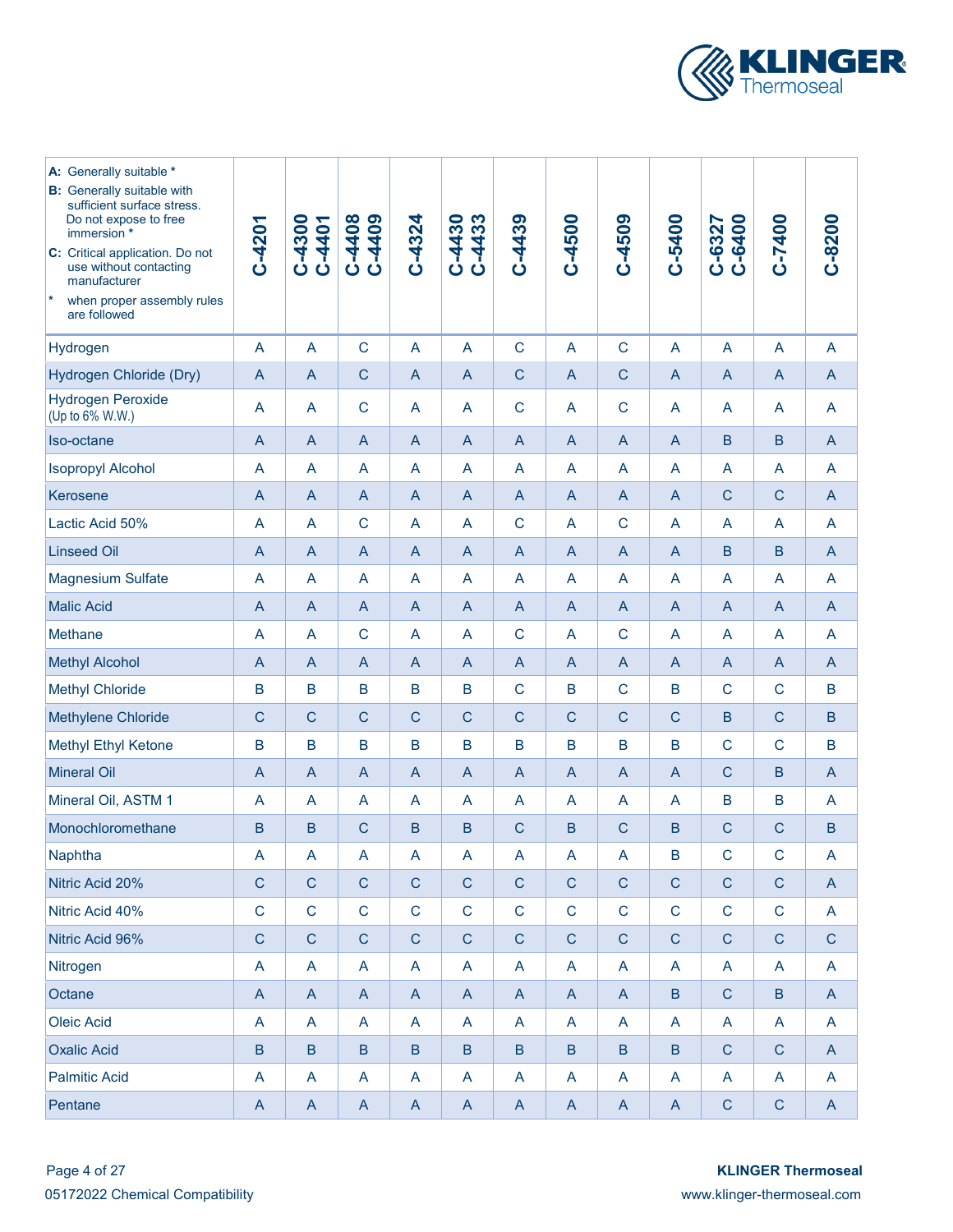

| A: Generally suitable *<br><b>B:</b> Generally suitable with<br>sufficient surface stress.<br>Do not expose to free<br>immersion *<br>C: Critical application. Do not<br>use without contacting<br>manufacturer<br>$\vert *$<br>when proper assembly rules<br>are followed | C-4201         | C-4300<br>C-4401 | C-4408<br>C-4408          | $C-4324$                  | $C-4433$<br>C-4430        | C-4439                    | $C - 4500$     | C-4509         | C-5400          | C-6327<br>C-6400 | C-7400         | $C-8200$       |
|----------------------------------------------------------------------------------------------------------------------------------------------------------------------------------------------------------------------------------------------------------------------------|----------------|------------------|---------------------------|---------------------------|---------------------------|---------------------------|----------------|----------------|-----------------|------------------|----------------|----------------|
| Hydrogen                                                                                                                                                                                                                                                                   | A              | A                | $\mathsf{C}$              | A                         | $\overline{A}$            | $\mathsf{C}$              | A              | $\mathsf{C}$   | A               | A                | $\overline{A}$ | A              |
| Hydrogen Chloride (Dry)                                                                                                                                                                                                                                                    | $\mathsf{A}$   | $\mathsf{A}$     | $\mathsf{C}$              | A                         | $\mathsf{A}$              | $\mathsf{C}$              | $\overline{A}$ | $\mathsf{C}$   | $\mathsf{A}$    | $\mathsf{A}$     | $\overline{A}$ | A              |
| <b>Hydrogen Peroxide</b><br>(Up to 6% W.W.)                                                                                                                                                                                                                                | A              | A                | $\mathsf{C}$              | A                         | A                         | $\mathsf{C}$              | A              | $\mathsf{C}$   | A               | A                | A              | A              |
| Iso-octane                                                                                                                                                                                                                                                                 | $\mathsf{A}$   | $\mathsf{A}$     | A                         | A                         | $\mathsf{A}$              | $\mathsf{A}$              | $\overline{A}$ | $\overline{A}$ | $\mathsf{A}$    | $\mathsf B$      | $\mathsf B$    | $\mathsf{A}$   |
| <b>Isopropyl Alcohol</b>                                                                                                                                                                                                                                                   | A              | A                | A                         | A                         | A                         | A                         | A              | $\overline{A}$ | A               | A                | A              | A              |
| Kerosene                                                                                                                                                                                                                                                                   | A              | $\mathsf{A}$     | A                         | $\mathsf{A}$              | $\mathsf{A}$              | $\mathsf{A}$              | $\overline{A}$ | $\overline{A}$ | $\mathsf{A}$    | $\mathsf{C}$     | $\mathsf{C}$   | $\mathsf{A}$   |
| Lactic Acid 50%                                                                                                                                                                                                                                                            | A              | A                | $\mathsf{C}$              | A                         | A                         | $\mathsf{C}$              | A              | $\mathsf{C}$   | A               | A                | A              | A              |
| <b>Linseed Oil</b>                                                                                                                                                                                                                                                         | A              | A                | $\overline{A}$            | $\mathsf{A}$              | $\mathsf{A}$              | $\mathsf{A}$              | A              | $\overline{A}$ | A               | B                | B              | $\mathsf{A}$   |
| <b>Magnesium Sulfate</b>                                                                                                                                                                                                                                                   | A              | A                | A                         | A                         | A                         | A                         | A              | A              | A               | A                | A              | A              |
| <b>Malic Acid</b>                                                                                                                                                                                                                                                          | $\mathsf{A}$   | $\mathsf{A}$     | A                         | $\mathsf{A}$              | $\mathsf{A}$              | $\overline{A}$            | $\overline{A}$ | $\mathsf{A}$   | $\overline{A}$  | $\overline{A}$   | $\overline{A}$ | $\mathsf{A}$   |
| Methane                                                                                                                                                                                                                                                                    | A              | A                | $\mathsf C$               | A                         | A                         | $\mathbf C$               | A              | $\mathsf{C}$   | A               | A                | A              | A              |
| <b>Methyl Alcohol</b>                                                                                                                                                                                                                                                      | $\mathsf{A}$   | $\mathsf{A}$     | $\overline{A}$            | $\mathsf{A}$              | $\mathsf{A}$              | $\overline{A}$            | A              | $\overline{A}$ | $\overline{A}$  | $\overline{A}$   | $\overline{A}$ | $\overline{A}$ |
| <b>Methyl Chloride</b>                                                                                                                                                                                                                                                     | B              | B                | B                         | B                         | B                         | $\mathsf{C}$              | B              | $\mathsf{C}$   | B               | $\mathsf{C}$     | C              | B              |
| Methylene Chloride                                                                                                                                                                                                                                                         | $\mathsf{C}$   | $\mathsf{C}$     | $\overline{C}$            | $\mathsf{C}$              | $\mathsf{C}$              | $\mathsf{C}$              | $\mathsf{C}$   | $\overline{C}$ | $\mathsf{C}$    | B                | $\mathsf{C}$   | $\mathsf B$    |
| Methyl Ethyl Ketone                                                                                                                                                                                                                                                        | B              | B                | B                         | B                         | B                         | B                         | B              | B              | B               | $\mathsf{C}$     | $\mathsf{C}$   | B              |
| <b>Mineral Oil</b>                                                                                                                                                                                                                                                         | $\overline{A}$ | $\mathsf{A}$     | $\overline{A}$            | A                         | $\mathsf{A}$              | $\overline{A}$            | $\overline{A}$ | $\overline{A}$ | $\overline{A}$  | $\mathsf{C}$     | B              | A              |
| Mineral Oil, ASTM 1                                                                                                                                                                                                                                                        | A              | A                | A                         | A                         | A                         | A                         | A              | A              | $\overline{A}$  | B                | B              | A              |
| Monochloromethane                                                                                                                                                                                                                                                          | B              | B                | $\overline{C}$            | $\mathsf B$               | $\mathsf B$               | $\mathsf{C}$              | $\mathsf B$    | $\overline{C}$ | B               | $\mathsf{C}$     | $\mathsf{C}$   | B              |
| Naphtha                                                                                                                                                                                                                                                                    | A              | A                | $\mathsf{A}$              | $\mathsf{A}$              | $\boldsymbol{\mathsf{A}}$ | A                         | A              | A              | B               | $\mathsf{C}$     | $\mathsf C$    | $\mathsf{A}$   |
| Nitric Acid 20%                                                                                                                                                                                                                                                            | $\mathsf C$    | $\mathsf C$      | $\mathsf C$               | $\mathsf C$               | $\mathsf C$               | $\mathsf C$               | $\mathsf C$    | $\mathsf{C}$   | $\mathsf C$     | $\mathsf C$      | $\mathsf C$    | $\overline{A}$ |
| Nitric Acid 40%                                                                                                                                                                                                                                                            | $\mathsf{C}$   | $\mathbf C$      | $\mathsf C$               | $\mathbf C$               | $\mathsf C$               | $\mathsf C$               | $\mathbf C$    | $\mathsf C$    | $\mathsf C$     | $\mathsf C$      | $\mathsf C$    | $\mathsf{A}$   |
| Nitric Acid 96%                                                                                                                                                                                                                                                            | $\mathsf{C}$   | $\mathsf C$      | $\mathsf C$               | $\mathsf C$               | $\mathsf C$               | $\mathsf C$               | $\mathsf C$    | $\mathsf{C}$   | $\mathsf C$     | $\mathsf C$      | $\mathsf C$    | $\mathsf C$    |
| Nitrogen                                                                                                                                                                                                                                                                   | A              | $\mathsf{A}$     | $\boldsymbol{\mathsf{A}}$ | $\boldsymbol{\mathsf{A}}$ | A                         | $\boldsymbol{\mathsf{A}}$ | A              | A              | A               | A                | A              | $\mathsf{A}$   |
| Octane                                                                                                                                                                                                                                                                     | $\mathsf A$    | $\mathsf{A}$     | $\boldsymbol{\mathsf{A}}$ | $\mathsf{A}$              | $\boldsymbol{\mathsf{A}}$ | $\mathsf{A}$              | $\mathsf{A}$   | $\mathsf{A}$   | $\sf B$         | $\mathbf C$      | $\, {\bf B}$   | $\mathsf{A}$   |
| Oleic Acid                                                                                                                                                                                                                                                                 | A              | $\mathsf{A}$     | A                         | A                         | A                         | A                         | A              | A              | A               | A                | A              | $\mathsf{A}$   |
| <b>Oxalic Acid</b>                                                                                                                                                                                                                                                         | $\sf B$        | $\sf B$          | $\sf{B}$                  | $\sf B$                   | $\sf B$                   | $\sf B$                   | $\sf B$        | $\sf B$        | $\, {\bf B} \,$ | $\mathbf C$      | ${\bf C}$      | $\mathsf{A}$   |
| <b>Palmitic Acid</b>                                                                                                                                                                                                                                                       | A              | $\mathsf{A}$     | $\mathsf{A}$              | A                         | A                         | A                         | A              | A              | A               | A                | A              | $\mathsf{A}$   |
| Pentane                                                                                                                                                                                                                                                                    | A              | $\mathsf{A}$     | $\mathsf{A}$              | $\mathsf{A}$              | $\mathsf{A}$              | $\mathsf{A}$              | $\mathsf{A}$   | $\mathsf{A}$   | $\mathsf{A}$    | $\mathbf C$      | ${\bf C}$      | $\mathsf{A}$   |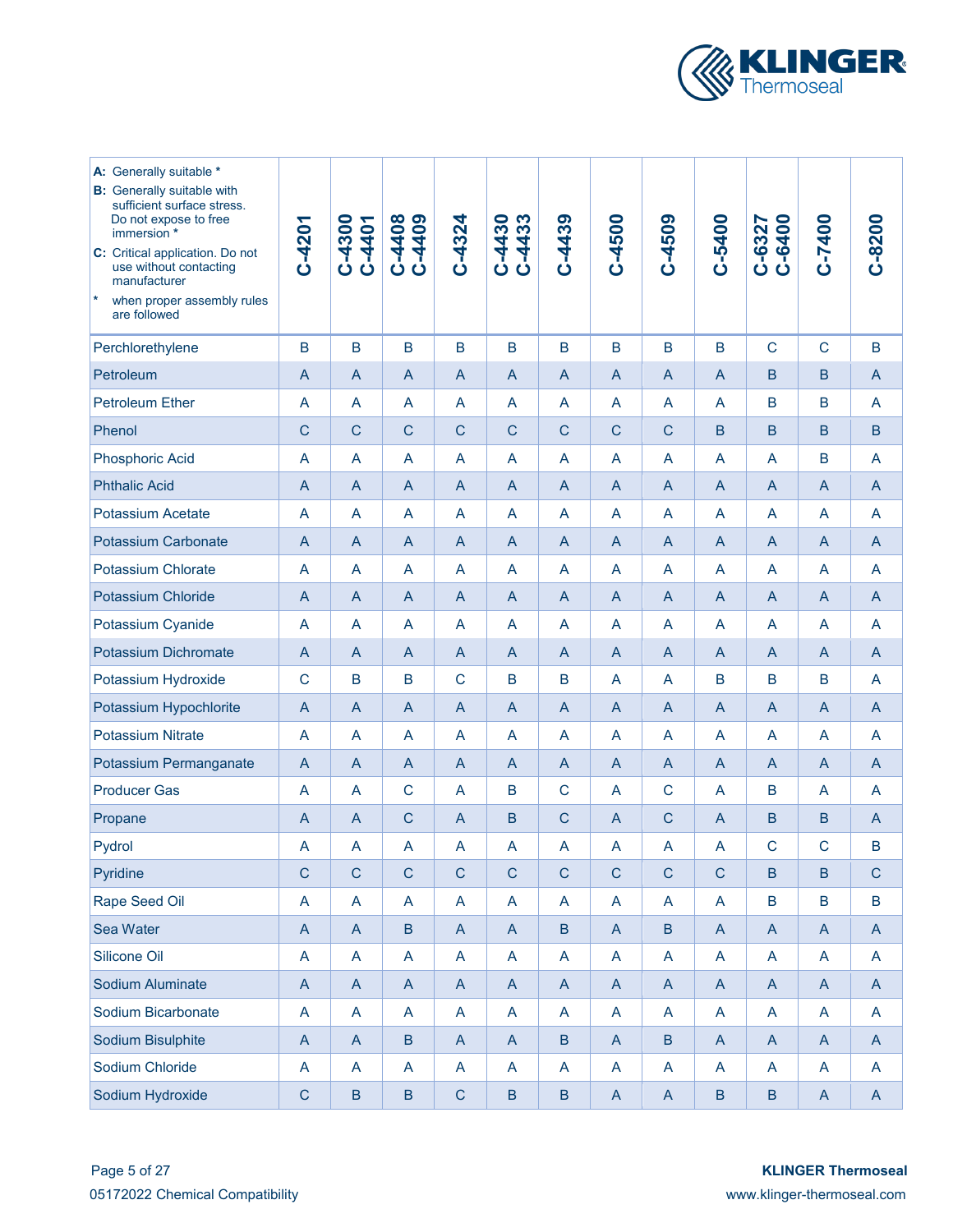

| A: Generally suitable *<br><b>B:</b> Generally suitable with<br>sufficient surface stress.<br>Do not expose to free<br>immersion *<br>C: Critical application. Do not<br>use without contacting<br>manufacturer<br> ∗<br>when proper assembly rules<br>are followed | C-4201                    | C-4300<br>C-4401          | C-4408<br>C-4408 | $C - 4324$     | C-4430<br>C-4433 | $C-4439$       | C-4500         | C-4509         | C-5400                    | C-6327<br>C-6400                                                      | C-7400                    | $C - 8200$                |
|---------------------------------------------------------------------------------------------------------------------------------------------------------------------------------------------------------------------------------------------------------------------|---------------------------|---------------------------|------------------|----------------|------------------|----------------|----------------|----------------|---------------------------|-----------------------------------------------------------------------|---------------------------|---------------------------|
| Perchlorethylene                                                                                                                                                                                                                                                    | B                         | $\mathsf B$               | B                | B              | B                | B              | $\mathsf B$    | $\sf B$        | B                         | $\mathsf{C}$                                                          | $\mathsf{C}$              | B                         |
| Petroleum                                                                                                                                                                                                                                                           | $\mathsf{A}$              | $\mathsf{A}$              | $\mathsf{A}$     | $\mathsf{A}$   | $\mathsf{A}$     | $\overline{A}$ | $\mathsf{A}$   | $\overline{A}$ | $\overline{A}$            | B                                                                     | B                         | $\mathsf{A}$              |
| <b>Petroleum Ether</b>                                                                                                                                                                                                                                              | A                         | A                         | A                | A              | A                | A              | A              | A              | A                         | B                                                                     | B                         | $\overline{A}$            |
| Phenol                                                                                                                                                                                                                                                              | $\mathsf{C}$              | $\mathsf{C}$              | $\mathsf{C}$     | $\mathsf{C}$   | $\mathsf C$      | $\mathsf{C}$   | $\mathsf{C}$   | $\mathsf{C}$   | $\mathsf B$               | B                                                                     | B                         | B                         |
| <b>Phosphoric Acid</b>                                                                                                                                                                                                                                              | A                         | A                         | A                | A              | A                | A              | A              | A              | A                         | A                                                                     | B                         | $\overline{A}$            |
| <b>Phthalic Acid</b>                                                                                                                                                                                                                                                | $\mathsf{A}$              | $\mathsf{A}$              | $\overline{A}$   | $\mathsf{A}$   | $\mathsf{A}$     | $\overline{A}$ | $\mathsf{A}$   | $\overline{A}$ | $\mathsf{A}$              | $\mathsf{A}$                                                          | $\overline{A}$            | $\mathsf{A}$              |
| <b>Potassium Acetate</b>                                                                                                                                                                                                                                            | A                         | A                         | A                | A              | A                | A              | A              | A              | A                         | A                                                                     | $\overline{A}$            | $\overline{A}$            |
| <b>Potassium Carbonate</b>                                                                                                                                                                                                                                          | A                         | A                         | $\overline{A}$   | $\overline{A}$ | A                | A              | A              | $\overline{A}$ | $\overline{A}$            | $\mathsf{A}$                                                          | $\overline{A}$            | $\overline{A}$            |
| Potassium Chlorate                                                                                                                                                                                                                                                  | A                         | A                         | A                | A              | A                | A              | A              | A              | A                         | A                                                                     | $\overline{A}$            | A                         |
| Potassium Chloride                                                                                                                                                                                                                                                  | A                         | A                         | $\mathsf{A}$     | A              | A                | A              | $\mathsf{A}$   | $\mathsf{A}$   | $\mathsf{A}$              | $\mathsf{A}$                                                          | $\mathsf{A}$              | $\mathsf{A}$              |
| Potassium Cyanide                                                                                                                                                                                                                                                   | A                         | A                         | A                | A              | A                | A              | A              | A              | A                         | $\overline{A}$                                                        | $\overline{A}$            | A                         |
| Potassium Dichromate                                                                                                                                                                                                                                                | A                         | A                         | $\mathsf{A}$     | $\mathsf{A}$   | A                | $\overline{A}$ | $\mathsf{A}$   | $\mathsf{A}$   | $\overline{A}$            | $\overline{A}$                                                        | $\overline{A}$            | $\mathsf{A}$              |
| Potassium Hydroxide                                                                                                                                                                                                                                                 | $\mathsf{C}$              | B                         | B                | $\mathsf{C}$   | B                | B              | A              | A              | B                         | B                                                                     | B                         | A                         |
| Potassium Hypochlorite                                                                                                                                                                                                                                              | $\overline{A}$            | $\overline{A}$            | $\mathsf{A}$     | $\mathsf{A}$   | $\mathsf{A}$     | $\overline{A}$ | $\mathsf{A}$   | $\mathsf{A}$   | $\overline{A}$            | $\overline{A}$                                                        | $\overline{A}$            | $\overline{A}$            |
| <b>Potassium Nitrate</b>                                                                                                                                                                                                                                            | A                         | A                         | A                | A              | A                | A              | A              | A              | A                         | $\overline{A}$                                                        | A                         | A                         |
| Potassium Permanganate                                                                                                                                                                                                                                              | $\overline{A}$            | $\overline{A}$            | $\mathsf{A}$     | $\mathsf{A}$   | A                | $\overline{A}$ | $\mathsf{A}$   | $\mathsf{A}$   | $\overline{A}$            | $\overline{A}$                                                        | $\overline{A}$            | $\mathsf{A}$              |
| <b>Producer Gas</b>                                                                                                                                                                                                                                                 | A                         | A                         | $\mathsf C$      | A              | B                | $\mathsf{C}$   | A              | $\mathsf C$    | A                         | B                                                                     | A                         | A                         |
| Propane                                                                                                                                                                                                                                                             | A                         | $\overline{A}$            | $\mathsf{C}$     | $\mathsf{A}$   | B                | $\mathsf{C}$   | $\mathsf{A}$   | $\mathsf C$    | $\overline{A}$            | B                                                                     | B                         | $\mathsf{A}$              |
| Pydrol                                                                                                                                                                                                                                                              | A                         | A                         | A                | A              | A                | A              | A              | A              | A                         | $\mathsf{C}$                                                          | $\mathsf{C}$              | В                         |
| Pyridine                                                                                                                                                                                                                                                            | $\mathbf C$               | $\mathbf C$               | $\mathsf{C}$     | $\mathsf{C}$   | $\mathsf{C}$     | $\mathsf{C}$   | $\mathsf{C}$   | $\mathsf{C}$   | $\mathsf{C}$              | $\mathsf B$                                                           | $\overline{B}$            | $\mathsf{C}$              |
| Rape Seed Oil                                                                                                                                                                                                                                                       | A                         | $\boldsymbol{\mathsf{A}}$ | A                | A              | $\mathsf A$      | $\mathsf{A}$   | $\overline{A}$ | A              | $\mathsf{A}$              | $\mathsf B$                                                           | $\mathsf B$               | $\mathsf B$               |
| Sea Water                                                                                                                                                                                                                                                           | $\boldsymbol{\mathsf{A}}$ | $\boldsymbol{\mathsf{A}}$ | $\sf B$          | $\mathsf{A}$   | $\mathsf{A}$     | $\sf B$        | $\overline{A}$ | $\sf B$        | $\boldsymbol{\mathsf{A}}$ | $\overline{A}$                                                        | $\overline{A}$            | $\overline{A}$            |
| Silicone Oil                                                                                                                                                                                                                                                        | A                         | A                         | A                | A              | A                | A              | $\mathsf A$    | A              | A                         | $\mathsf{A}$                                                          | $\overline{\mathsf{A}}$   | A                         |
| Sodium Aluminate                                                                                                                                                                                                                                                    | $\mathsf A$               | $\boldsymbol{\mathsf{A}}$ | $\mathsf{A}$     | $\mathsf{A}$   | $\mathsf{A}$     | $\mathsf{A}$   | $\mathsf A$    | $\overline{A}$ | $\boldsymbol{\mathsf{A}}$ | $\boldsymbol{\mathsf{A}}$                                             | $\overline{A}$            | $\mathsf{A}$              |
| Sodium Bicarbonate                                                                                                                                                                                                                                                  | A                         | A                         | A                | A              | A                | A              | A              | A              | A                         | $\mathsf{A}$                                                          | $\mathsf{A}$              | $\mathsf{A}$              |
| Sodium Bisulphite                                                                                                                                                                                                                                                   | $\mathsf A$               | $\mathsf A$               | $\sf B$          | $\mathsf{A}$   | $\mathsf A$      | $\sf B$        | $\mathsf A$    | $\sf B$        | $\mathsf A$               | $\mathsf{A}% _{\mathsf{A}}^{\prime}=\mathsf{A}_{\mathsf{A}}^{\prime}$ | $\boldsymbol{\mathsf{A}}$ | $\boldsymbol{\mathsf{A}}$ |
| Sodium Chloride                                                                                                                                                                                                                                                     | A                         | A                         | A                | A              | A                | A              | $\mathsf A$    | A              | A                         | $\mathsf{A}$                                                          | $\mathsf{A}$              | $\mathsf{A}$              |
| Sodium Hydroxide                                                                                                                                                                                                                                                    | $\mathsf C$               | $\sf B$                   | $\sf B$          | $\mathsf C$    | $\sf B$          | $\sf B$        | $\mathsf A$    | $\mathsf{A}$   | $\sf B$                   | $\sf B$                                                               | $\boldsymbol{\mathsf{A}}$ | $\boldsymbol{\mathsf{A}}$ |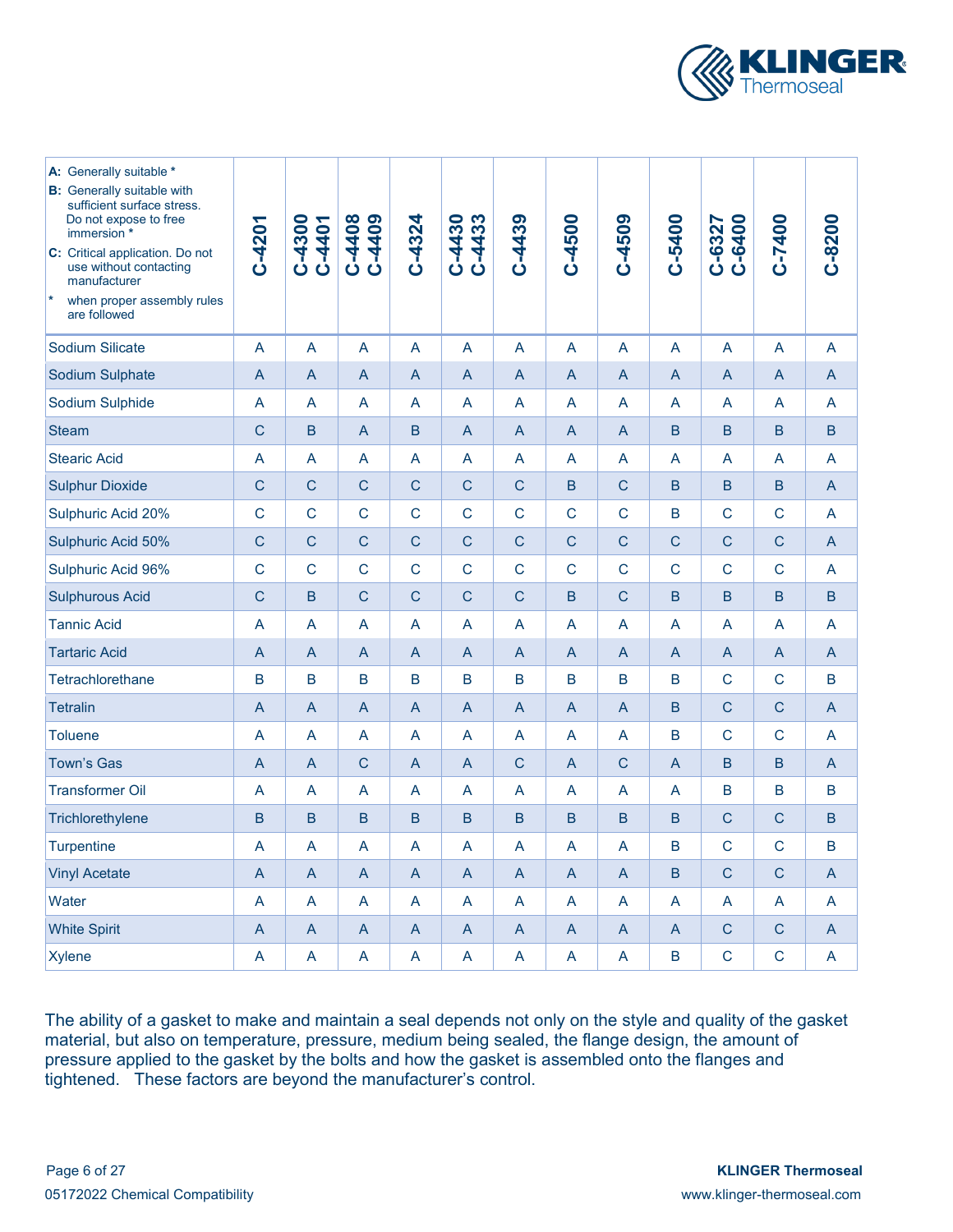

| A: Generally suitable *<br><b>B:</b> Generally suitable with<br>sufficient surface stress.<br>Do not expose to free<br>immersion *<br>C: Critical application. Do not<br>use without contacting<br>manufacturer<br>$\ast$<br>when proper assembly rules<br>are followed | C-4201       | C-4300<br>C-4401 | C-4408<br>C-4409 | $C-4324$       | C-4433<br>C-4430 | $C-4439$       | C-4500         | C-4509         | C-5400         | C-6327<br>C-6400 | C-7400         | $C-8200$ |
|-------------------------------------------------------------------------------------------------------------------------------------------------------------------------------------------------------------------------------------------------------------------------|--------------|------------------|------------------|----------------|------------------|----------------|----------------|----------------|----------------|------------------|----------------|----------|
| Sodium Silicate                                                                                                                                                                                                                                                         | A            | A                | A                | A              | A                | A              | A              | A              | A              | A                | A              | A        |
| Sodium Sulphate                                                                                                                                                                                                                                                         | A            | A                | A                | A              | A                | $\overline{A}$ | $\overline{A}$ | $\overline{A}$ | A              | A                | $\mathsf{A}$   | A        |
| Sodium Sulphide                                                                                                                                                                                                                                                         | A            | A                | A                | A              | A                | A              | A              | A              | A              | A                | $\overline{A}$ | A        |
| <b>Steam</b>                                                                                                                                                                                                                                                            | $\mathsf{C}$ | B                | A                | B              | A                | $\mathsf{A}$   | $\overline{A}$ | $\overline{A}$ | B              | B                | B              | B        |
| <b>Stearic Acid</b>                                                                                                                                                                                                                                                     | A            | A                | A                | A              | A                | A              | A              | A              | A              | A                | A              | A        |
| <b>Sulphur Dioxide</b>                                                                                                                                                                                                                                                  | $\mathsf{C}$ | $\mathsf C$      | $\mathsf{C}$     | $\mathsf C$    | $\mathsf{C}$     | $\mathsf{C}$   | $\mathsf B$    | $\mathsf{C}$   | B              | $\mathsf B$      | B              | A        |
| Sulphuric Acid 20%                                                                                                                                                                                                                                                      | $\mathsf{C}$ | $\mathsf{C}$     | $\overline{C}$   | $\mathsf{C}$   | $\mathsf{C}$     | $\mathsf{C}$   | $\mathsf{C}$   | $\overline{C}$ | B              | $\mathsf{C}$     | $\mathsf{C}$   | A        |
| Sulphuric Acid 50%                                                                                                                                                                                                                                                      | $\mathsf{C}$ | $\mathsf{C}$     | $\mathsf{C}$     | $\mathsf C$    | $\mathsf{C}$     | $\mathsf{C}$   | $\mathsf{C}$   | $\mathsf{C}$   | $\mathsf C$    | $\mathsf C$      | С              | A        |
| Sulphuric Acid 96%                                                                                                                                                                                                                                                      | $\mathsf{C}$ | $\mathsf{C}$     | C                | $\mathsf{C}$   | $\mathsf{C}$     | $\mathbf C$    | C              | C              | $\mathsf{C}$   | $\mathbf C$      | $\mathsf{C}$   | A        |
| <b>Sulphurous Acid</b>                                                                                                                                                                                                                                                  | C            | B                | C                | C              | C                | C              | B              | C              | B.             | B                | B              | B        |
| <b>Tannic Acid</b>                                                                                                                                                                                                                                                      | A            | A                | A                | A              | A                | A              | A              | A              | A              | A                | A              | A        |
| <b>Tartaric Acid</b>                                                                                                                                                                                                                                                    | A            | A                | A                | A              | A                | $\overline{A}$ | $\mathsf{A}$   | $\overline{A}$ | A              | A                | $\mathsf{A}$   | A        |
| <b>Tetrachlorethane</b>                                                                                                                                                                                                                                                 | B            | B                | B                | B              | B                | B              | B              | B              | B              | C                | $\mathbf C$    | B        |
| <b>Tetralin</b>                                                                                                                                                                                                                                                         | A            | A                | A                | $\mathsf A$    | A                | $\overline{A}$ | $\overline{A}$ | $\overline{A}$ | B              | $\mathbf C$      | $\mathsf{C}$   | A        |
| <b>Toluene</b>                                                                                                                                                                                                                                                          | A            | A                | A                | A              | A                | A              | A              | A              | В              | $\mathsf{C}$     | $\mathsf{C}$   | A        |
| <b>Town's Gas</b>                                                                                                                                                                                                                                                       | A            | A                | C                | $\overline{A}$ | A                | $\mathsf{C}$   | $\overline{A}$ | $\mathsf{C}$   | $\overline{A}$ | B                | B              | A        |
| <b>Transformer Oil</b>                                                                                                                                                                                                                                                  | A            | A                | A                | A              | A                | A              | A              | A              | A              | B                | B              | B        |
| Trichlorethylene                                                                                                                                                                                                                                                        | B            | $\sf B$          | B                | B              | $\mathsf B$      | B              | B              | B              | B              | $\mathsf C$      | $\mathsf C$    | $\sf{B}$ |
| <b>Turpentine</b>                                                                                                                                                                                                                                                       | A            | A                | A                | A              | A                | A              | A              | A              | В              | $\mathsf C$      | $\mathsf{C}$   | B        |
| <b>Vinyl Acetate</b>                                                                                                                                                                                                                                                    | A            | A                | A                | A              | A                | $\mathsf{A}$   | $\overline{A}$ | $\overline{A}$ | B              | $\mathsf{C}$     | $\mathsf{C}$   | A        |
| Water                                                                                                                                                                                                                                                                   | A            | A                | A                | A              | A                | A              | A              | A              | A              | A                | $\overline{A}$ | A        |
| <b>White Spirit</b>                                                                                                                                                                                                                                                     | A            | A                | A                | A              | A                | $\mathsf{A}$   | A              | $\overline{A}$ | A              | $\mathsf C$      | $\mathsf C$    | A        |
| <b>Xylene</b>                                                                                                                                                                                                                                                           | A            | A                | A                | A              | A                | A              | A              | A              | B              | $\mathsf{C}$     | $\mathsf{C}$   | A        |

The ability of a gasket to make and maintain a seal depends not only on the style and quality of the gasket material, but also on temperature, pressure, medium being sealed, the flange design, the amount of pressure applied to the gasket by the bolts and how the gasket is assembled onto the flanges and tightened. These factors are beyond the manufacturer's control.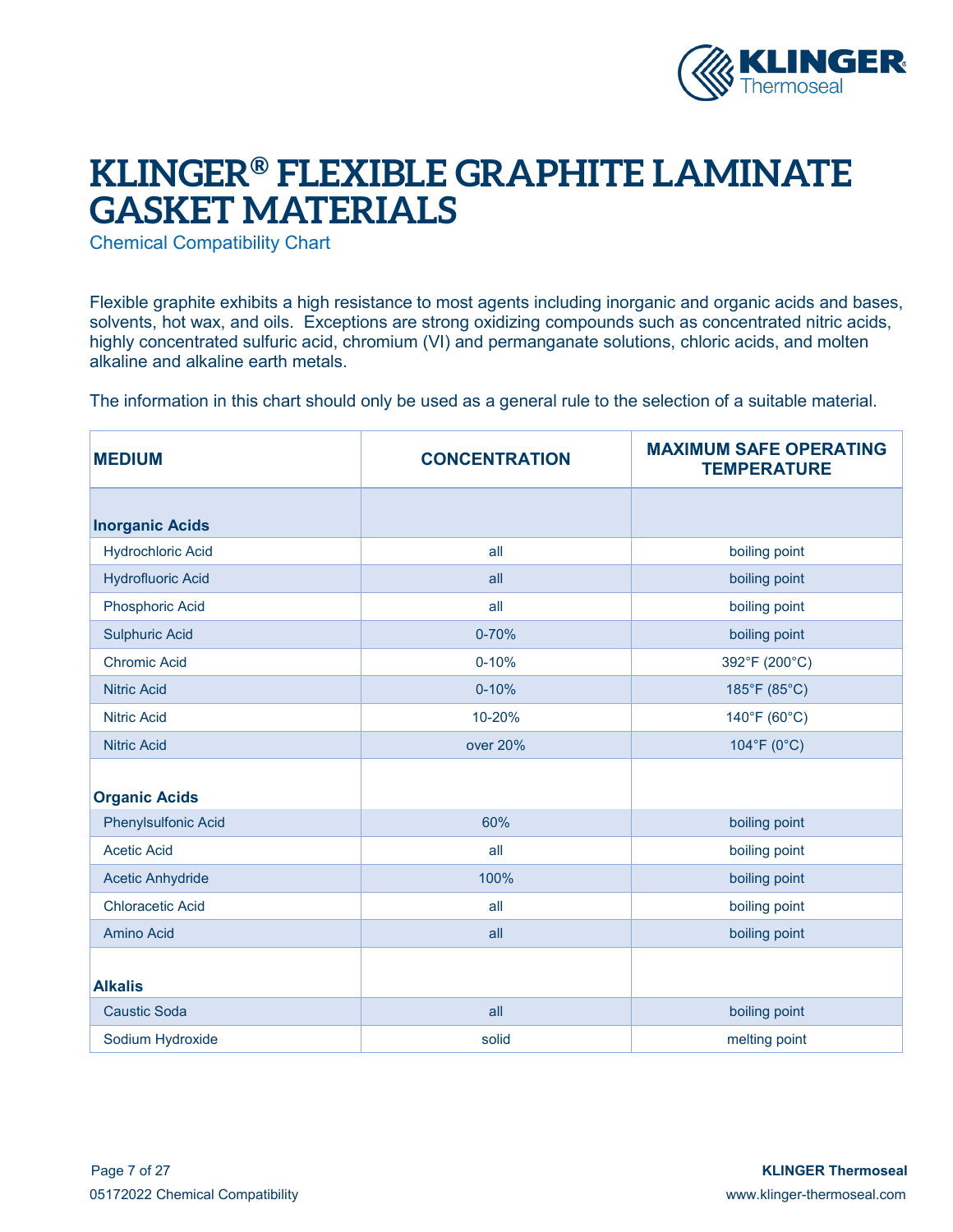

## **KLINGER® FLEXIBLE GRAPHITE LAMINATE GASKET MATERIALS**

Chemical Compatibility Chart

Flexible graphite exhibits a high resistance to most agents including inorganic and organic acids and bases, solvents, hot wax, and oils. Exceptions are strong oxidizing compounds such as concentrated nitric acids, highly concentrated sulfuric acid, chromium (VI) and permanganate solutions, chloric acids, and molten alkaline and alkaline earth metals.

The information in this chart should only be used as a general rule to the selection of a suitable material.

| <b>MEDIUM</b>              | <b>CONCENTRATION</b> | <b>MAXIMUM SAFE OPERATING</b><br><b>TEMPERATURE</b> |
|----------------------------|----------------------|-----------------------------------------------------|
| <b>Inorganic Acids</b>     |                      |                                                     |
| <b>Hydrochloric Acid</b>   | all                  | boiling point                                       |
| <b>Hydrofluoric Acid</b>   | all                  | boiling point                                       |
| <b>Phosphoric Acid</b>     | all                  | boiling point                                       |
| <b>Sulphuric Acid</b>      | $0 - 70%$            | boiling point                                       |
| <b>Chromic Acid</b>        | $0 - 10%$            | 392°F (200°C)                                       |
| <b>Nitric Acid</b>         | $0 - 10%$            | 185°F (85°C)                                        |
| <b>Nitric Acid</b>         | 10-20%               | 140°F (60°C)                                        |
| <b>Nitric Acid</b>         | over 20%             | 104°F (0°C)                                         |
|                            |                      |                                                     |
| <b>Organic Acids</b>       |                      |                                                     |
| <b>Phenylsulfonic Acid</b> | 60%                  | boiling point                                       |
| <b>Acetic Acid</b>         | all                  | boiling point                                       |
| <b>Acetic Anhydride</b>    | 100%                 | boiling point                                       |
| <b>Chloracetic Acid</b>    | all                  | boiling point                                       |
| <b>Amino Acid</b>          | all                  | boiling point                                       |
|                            |                      |                                                     |
| <b>Alkalis</b>             |                      |                                                     |
| <b>Caustic Soda</b>        | all                  | boiling point                                       |
| Sodium Hydroxide           | solid                | melting point                                       |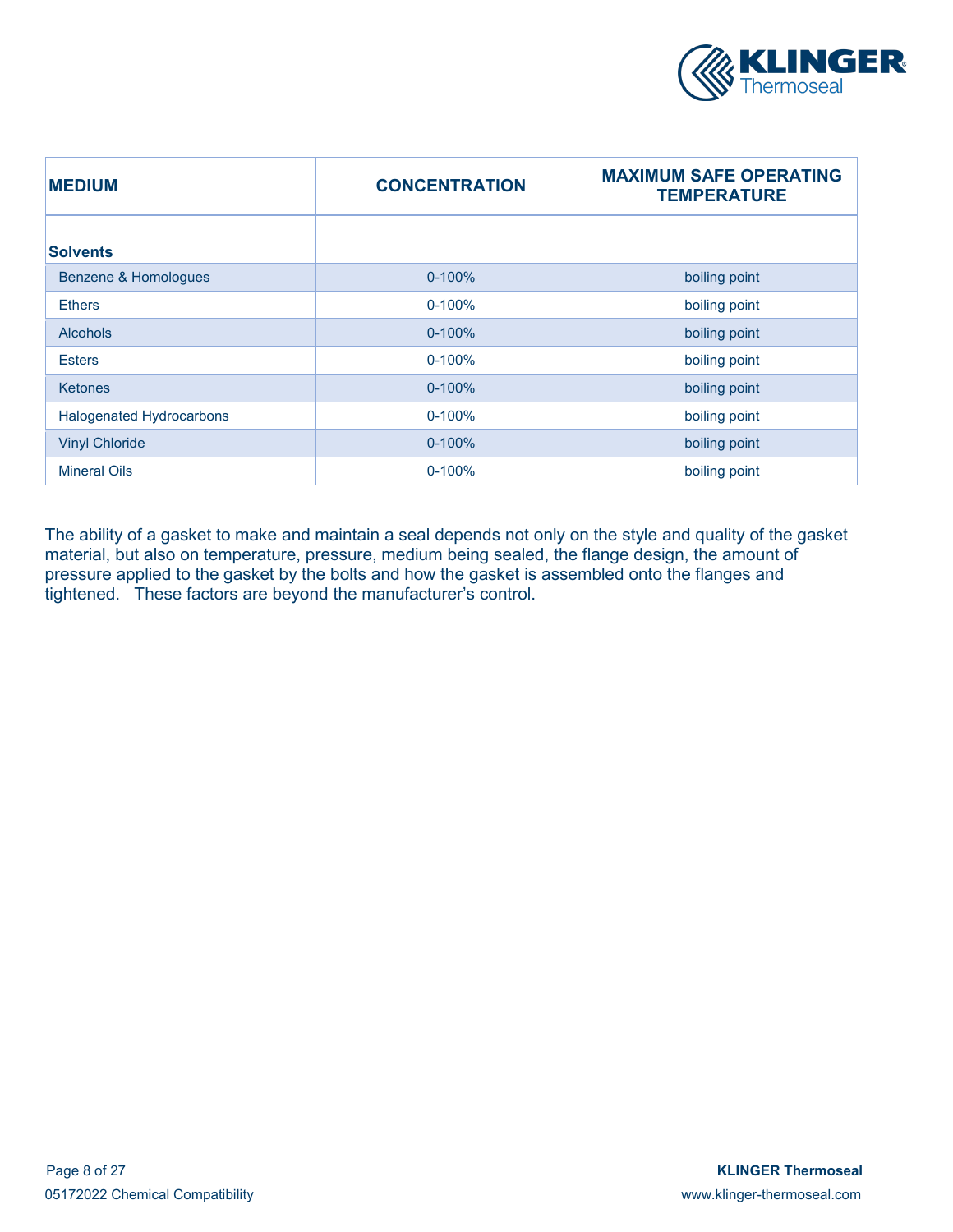

| <b>MEDIUM</b>                   | <b>CONCENTRATION</b> | <b>MAXIMUM SAFE OPERATING</b><br><b>TEMPERATURE</b> |
|---------------------------------|----------------------|-----------------------------------------------------|
| <b>Solvents</b>                 |                      |                                                     |
| <b>Benzene &amp; Homologues</b> | $0 - 100%$           | boiling point                                       |
| <b>Ethers</b>                   | $0 - 100%$           | boiling point                                       |
| <b>Alcohols</b>                 | $0 - 100%$           | boiling point                                       |
| <b>Esters</b>                   | $0 - 100%$           | boiling point                                       |
| <b>Ketones</b>                  | $0 - 100%$           | boiling point                                       |
| <b>Halogenated Hydrocarbons</b> | $0 - 100%$           | boiling point                                       |
| <b>Vinyl Chloride</b>           | $0 - 100%$           | boiling point                                       |
| <b>Mineral Oils</b>             | $0 - 100%$           | boiling point                                       |

The ability of a gasket to make and maintain a seal depends not only on the style and quality of the gasket material, but also on temperature, pressure, medium being sealed, the flange design, the amount of pressure applied to the gasket by the bolts and how the gasket is assembled onto the flanges and tightened. These factors are beyond the manufacturer's control.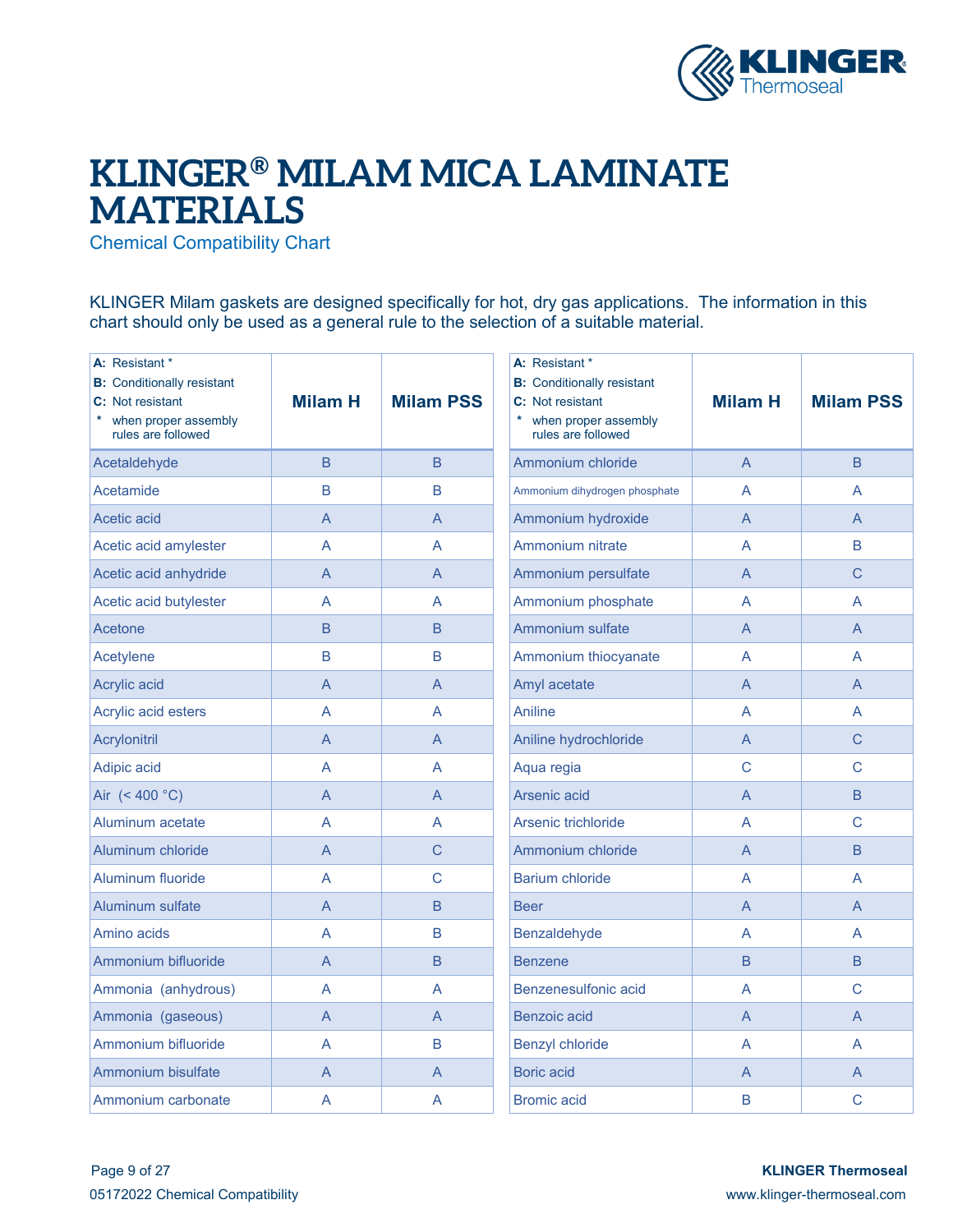

## **KLINGER® MILAM MICA LAMINATE MATERIALS**

Chemical Compatibility Chart

KLINGER Milam gaskets are designed specifically for hot, dry gas applications. The information in this chart should only be used as a general rule to the selection of a suitable material.

| A: Resistant *<br><b>B:</b> Conditionally resistant<br>C: Not resistant<br>when proper assembly<br>rules are followed | <b>Milam H</b> | <b>Milam PSS</b> | A: Resistant *<br><b>B:</b> Conditionally resistant<br>C: Not resistant<br>when proper assembly<br>rules are followed | <b>Milam H</b> | <b>Milam PSS</b> |
|-----------------------------------------------------------------------------------------------------------------------|----------------|------------------|-----------------------------------------------------------------------------------------------------------------------|----------------|------------------|
| Acetaldehyde                                                                                                          | B              | B                | Ammonium chloride                                                                                                     | $\overline{A}$ | B.               |
| Acetamide                                                                                                             | B              | B                | Ammonium dihydrogen phosphate                                                                                         | A              | A                |
| Acetic acid                                                                                                           | $\overline{A}$ | $\overline{A}$   | Ammonium hydroxide                                                                                                    | A              | A                |
| Acetic acid amylester                                                                                                 | A              | A                | Ammonium nitrate                                                                                                      | A              | B                |
| Acetic acid anhydride                                                                                                 | $\overline{A}$ | $\overline{A}$   | Ammonium persulfate                                                                                                   | $\overline{A}$ | Ċ                |
| Acetic acid butylester                                                                                                | A              | A                | Ammonium phosphate                                                                                                    | A              | A                |
| Acetone                                                                                                               | B              | B                | <b>Ammonium sulfate</b>                                                                                               | A              | A                |
| Acetylene                                                                                                             | B              | B                | Ammonium thiocyanate                                                                                                  | A              | A                |
| Acrylic acid                                                                                                          | $\overline{A}$ | $\overline{A}$   | Amyl acetate                                                                                                          | $\overline{A}$ | $\overline{A}$   |
| Acrylic acid esters                                                                                                   | A              | $\overline{A}$   | Aniline                                                                                                               | A              | A                |
| Acrylonitril                                                                                                          | $\overline{A}$ | $\overline{A}$   | Aniline hydrochloride                                                                                                 | A              | $\mathsf{C}$     |
| Adipic acid                                                                                                           | A              | A                | Aqua regia                                                                                                            | C              | C                |
| Air (< 400 °C)                                                                                                        | A              | $\overline{A}$   | Arsenic acid                                                                                                          | A              | B.               |
| Aluminum acetate                                                                                                      | $\overline{A}$ | A                | Arsenic trichloride                                                                                                   | A              | $\mathsf C$      |
| Aluminum chloride                                                                                                     | A              | C                | Ammonium chloride                                                                                                     | $\overline{A}$ | B.               |
| Aluminum fluoride                                                                                                     | A              | $\mathsf{C}$     | Barium chloride                                                                                                       | A              | A                |
| <b>Aluminum sulfate</b>                                                                                               | $\overline{A}$ | $\overline{B}$   | <b>Beer</b>                                                                                                           | $\overline{A}$ | A                |
| Amino acids                                                                                                           | A              | B                | Benzaldehyde                                                                                                          | A              | A                |
| Ammonium bifluoride                                                                                                   | $\overline{A}$ | $\overline{B}$   | <b>Benzene</b>                                                                                                        | $\overline{B}$ | $\overline{B}$   |
| Ammonia (anhydrous)                                                                                                   | A              | A                | Benzenesulfonic acid                                                                                                  | A              | C                |
| Ammonia (gaseous)                                                                                                     | $\overline{A}$ | $\overline{A}$   | <b>Benzoic acid</b>                                                                                                   | A              | A                |
| Ammonium bifluoride                                                                                                   | A              | B                | <b>Benzyl chloride</b>                                                                                                | A              | A                |
| Ammonium bisulfate                                                                                                    | A              | $\overline{A}$   | <b>Boric acid</b>                                                                                                     | A              | A                |
| Ammonium carbonate                                                                                                    | A              | A                | <b>Bromic acid</b>                                                                                                    | B              | $\mathsf C$      |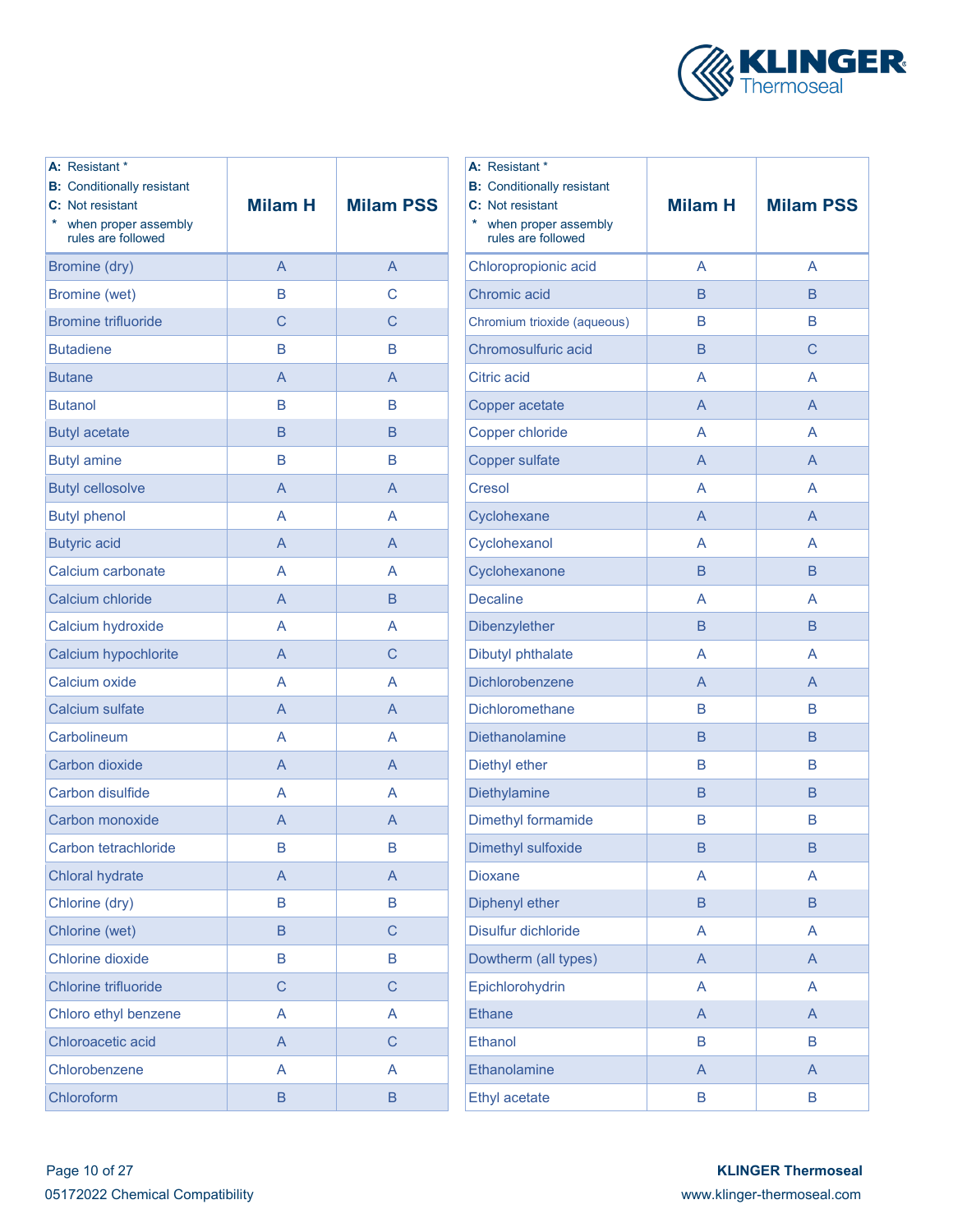

| A: Resistant *<br><b>B:</b> Conditionally resistant<br>C: Not resistant<br>when proper assembly<br>rules are followed | <b>Milam H</b> | <b>Milam PSS</b> | A: Res<br><b>B:</b> Cor<br>C: Not<br>$\star$<br>$w$ he<br>rule |
|-----------------------------------------------------------------------------------------------------------------------|----------------|------------------|----------------------------------------------------------------|
| Bromine (dry)                                                                                                         | A              | A                | Chloro                                                         |
| Bromine (wet)                                                                                                         | B              | C                | Chrom                                                          |
| <b>Bromine trifluoride</b>                                                                                            | C              | C                | Chromi                                                         |
| <b>Butadiene</b>                                                                                                      | B              | B                | Chrom                                                          |
| <b>Butane</b>                                                                                                         | A              | A                | Citric a                                                       |
| <b>Butanol</b>                                                                                                        | B              | B                | Coppe                                                          |
| <b>Butyl acetate</b>                                                                                                  | B              | B                | Coppe                                                          |
| <b>Butyl amine</b>                                                                                                    | B              | B                | Coppe                                                          |
| <b>Butyl cellosolve</b>                                                                                               | A              | A                | Cresol                                                         |
| <b>Butyl phenol</b>                                                                                                   | A              | A                | Cyclor                                                         |
| <b>Butyric acid</b>                                                                                                   | A              | A                | Cyclor                                                         |
| Calcium carbonate                                                                                                     | A              | A                | Cyclor                                                         |
| Calcium chloride                                                                                                      | A              | B                | <b>Decali</b>                                                  |
| Calcium hydroxide                                                                                                     | A              | A                | <b>Dibenz</b>                                                  |
| Calcium hypochlorite                                                                                                  | A              | C                | <b>Dibuty</b>                                                  |
| Calcium oxide                                                                                                         | A              | A                | <b>Dichlo</b>                                                  |
| Calcium sulfate                                                                                                       | A              | A                | <b>Dichlo</b>                                                  |
| Carbolineum                                                                                                           | A              | A                | <b>Dietha</b>                                                  |
| Carbon dioxide                                                                                                        | A              | A                | <b>Diethy</b>                                                  |
| Carbon disulfide                                                                                                      | A              | A                | <b>Diethy</b>                                                  |
| Carbon monoxide                                                                                                       | A              | A                | <b>Dimeth</b>                                                  |
| Carbon tetrachloride                                                                                                  | В              | B                | <b>Dimeth</b>                                                  |
| <b>Chloral hydrate</b>                                                                                                | $\overline{A}$ | $\overline{A}$   | <b>Dioxar</b>                                                  |
| Chlorine (dry)                                                                                                        | B              | B                | <b>Dipher</b>                                                  |
| Chlorine (wet)                                                                                                        | B              | $\mathsf C$      | <b>Disulfu</b>                                                 |
| <b>Chlorine dioxide</b>                                                                                               | B              | B                | <b>Dowth</b>                                                   |
| <b>Chlorine trifluoride</b>                                                                                           | C              | $\mathsf C$      | Epichl                                                         |
| Chloro ethyl benzene                                                                                                  | A              | A                | <b>Ethane</b>                                                  |
| Chloroacetic acid                                                                                                     | $\overline{A}$ | $\mathsf C$      | Ethand                                                         |
| Chlorobenzene                                                                                                         | A              | A                | Ethand                                                         |
| Chloroform                                                                                                            | B              | B                | Ethyl a                                                        |

| A: Resistant *<br><b>B:</b> Conditionally resistant<br>C: Not resistant<br>$\ast$<br>when proper assembly<br>rules are followed | <b>Milam H</b> | <b>Milam PSS</b> |
|---------------------------------------------------------------------------------------------------------------------------------|----------------|------------------|
| Chloropropionic acid                                                                                                            | A              | A                |
| Chromic acid                                                                                                                    | B              | B                |
| Chromium trioxide (aqueous)                                                                                                     | B              | B                |
| Chromosulfuric acid                                                                                                             | B              | С                |
| Citric acid                                                                                                                     | A              | A                |
| Copper acetate                                                                                                                  | A              | A                |
| <b>Copper chloride</b>                                                                                                          | A              | A                |
| <b>Copper sulfate</b>                                                                                                           | A              | A                |
| <b>Cresol</b>                                                                                                                   | A              | A                |
| Cyclohexane                                                                                                                     | A              | A                |
| Cyclohexanol                                                                                                                    | A              | A                |
| Cyclohexanone                                                                                                                   | B              | B                |
| <b>Decaline</b>                                                                                                                 | A              | A                |
| Dibenzylether                                                                                                                   | B              | B                |
| Dibutyl phthalate                                                                                                               | A              | A                |
| Dichlorobenzene                                                                                                                 | A              | A                |
| Dichloromethane                                                                                                                 | B              | B                |
| Diethanolamine                                                                                                                  | B              | B                |
| Diethyl ether                                                                                                                   | B              | B                |
| Diethylamine                                                                                                                    | B              | B                |
| Dimethyl formamide                                                                                                              | B              | B                |
| Dimethyl sulfoxide                                                                                                              | B              | B                |
| <b>Dioxane</b>                                                                                                                  | A              | A                |
| Diphenyl ether                                                                                                                  | B              | B                |
| Disulfur dichloride                                                                                                             | A              | A                |
| Dowtherm (all types)                                                                                                            | A              | $\mathsf{A}$     |
| Epichlorohydrin                                                                                                                 | A              | A                |
| <b>Ethane</b>                                                                                                                   | A              | $\mathsf{A}$     |
| <b>Ethanol</b>                                                                                                                  | B              | B                |
| Ethanolamine                                                                                                                    | A              | A                |
| <b>Ethyl acetate</b>                                                                                                            | B              | B                |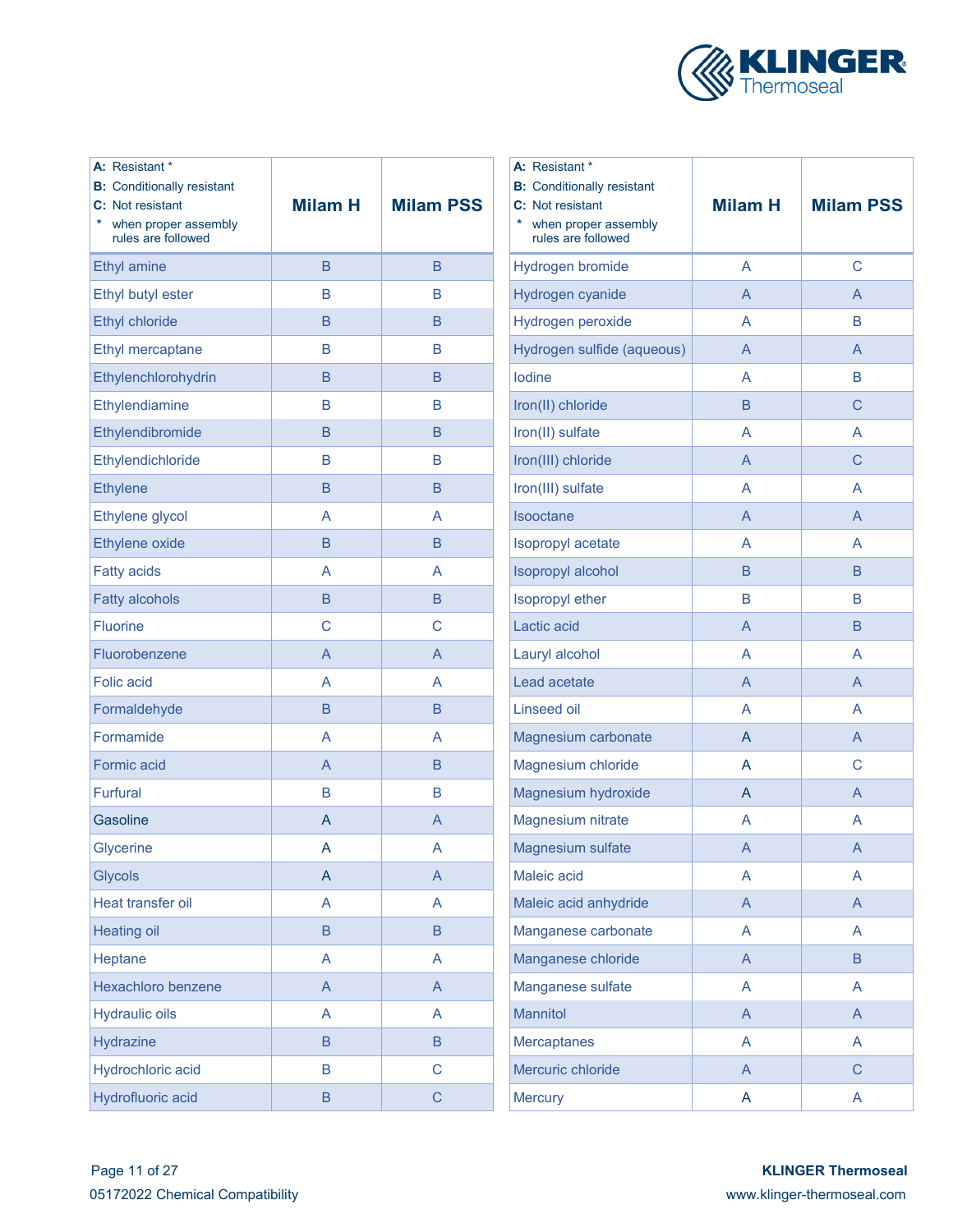

| A: Resistant *<br><b>B:</b> Conditionally resistant<br>C: Not resistant<br>when proper assembly<br>*<br>rules are followed | <b>Milam H</b>            | <b>Milam PSS</b>          | A: Resistant *<br><b>B:</b> Conditionally resistant<br>C: Not resistant<br>when proper assembly<br>rules are followed | <b>Milam H</b>          | <b>Milam PSS</b> |
|----------------------------------------------------------------------------------------------------------------------------|---------------------------|---------------------------|-----------------------------------------------------------------------------------------------------------------------|-------------------------|------------------|
| <b>Ethyl amine</b>                                                                                                         | $\mathsf B$               | $\mathsf B$               | Hydrogen bromide                                                                                                      | $\overline{\mathsf{A}}$ | $\mathsf C$      |
| Ethyl butyl ester                                                                                                          | B                         | B                         | Hydrogen cyanide                                                                                                      | $\mathsf{A}$            | $\mathsf{A}$     |
| <b>Ethyl chloride</b>                                                                                                      | B                         | B                         | Hydrogen peroxide                                                                                                     | A                       | $\mathsf B$      |
| Ethyl mercaptane                                                                                                           | В                         | В                         | Hydrogen sulfide (aqueous)                                                                                            | $\overline{A}$          | $\overline{A}$   |
| Ethylenchlorohydrin                                                                                                        | B                         | B                         | lodine                                                                                                                | A                       | $\mathsf B$      |
| Ethylendiamine                                                                                                             | B                         | B                         | Iron(II) chloride                                                                                                     | B                       | $\mathsf{C}$     |
| Ethylendibromide                                                                                                           | B                         | B                         | Iron(II) sulfate                                                                                                      | A                       | A                |
| Ethylendichloride                                                                                                          | B                         | B                         | Iron(III) chloride                                                                                                    | $\overline{A}$          | $\mathsf{C}$     |
| <b>Ethylene</b>                                                                                                            | B                         | B                         | Iron(III) sulfate                                                                                                     | A                       | $\overline{A}$   |
| Ethylene glycol                                                                                                            | A                         | A                         | Isooctane                                                                                                             | $\overline{A}$          | $\overline{A}$   |
| Ethylene oxide                                                                                                             | B                         | $\mathsf B$               | Isopropyl acetate                                                                                                     | A                       | A                |
| <b>Fatty acids</b>                                                                                                         | A                         | A                         | Isopropyl alcohol                                                                                                     | $\sf B$                 | $\sf B$          |
| <b>Fatty alcohols</b>                                                                                                      | $\mathsf B$               | $\mathsf B$               | Isopropyl ether                                                                                                       | $\overline{B}$          | $\mathsf B$      |
| <b>Fluorine</b>                                                                                                            | $\mathsf C$               | $\mathsf C$               | Lactic acid                                                                                                           | $\overline{A}$          | $\sf B$          |
| Fluorobenzene                                                                                                              | $\mathsf A$               | $\overline{A}$            | Lauryl alcohol                                                                                                        | A                       | A                |
| <b>Folic acid</b>                                                                                                          | A                         | A                         | Lead acetate                                                                                                          | $\overline{A}$          | $\overline{A}$   |
| Formaldehyde                                                                                                               | $\mathsf B$               | $\mathsf B$               | <b>Linseed oil</b>                                                                                                    | A                       | $\overline{A}$   |
| Formamide                                                                                                                  | A                         | A                         | Magnesium carbonate                                                                                                   | $\mathsf{A}$            | $\mathsf{A}$     |
| Formic acid                                                                                                                | A                         | B                         | Magnesium chloride                                                                                                    | $\overline{A}$          | $\mathsf{C}$     |
| <b>Furfural</b>                                                                                                            | В                         | $\mathsf B$               | Magnesium hydroxide                                                                                                   | $\mathsf{A}$            | $\mathsf{A}$     |
| Gasoline                                                                                                                   | $\mathsf{A}$              | A                         | Magnesium nitrate                                                                                                     | A                       | A                |
| Glycerine                                                                                                                  | A                         | A                         | Magnesium sulfate                                                                                                     | A                       | A                |
| Glycols                                                                                                                    | A                         | A                         | Maleic acid                                                                                                           | A                       | A                |
| Heat transfer oil                                                                                                          | A                         | A                         | Maleic acid anhydride                                                                                                 | $\mathsf{A}$            | $\mathsf{A}$     |
| <b>Heating oil</b>                                                                                                         | $\sf B$                   | $\sf B$                   | Manganese carbonate                                                                                                   | A                       | $\mathsf{A}$     |
| Heptane                                                                                                                    | A                         | A                         | Manganese chloride                                                                                                    | $\mathsf{A}$            | B                |
| Hexachloro benzene                                                                                                         | $\boldsymbol{\mathsf{A}}$ | $\boldsymbol{\mathsf{A}}$ | Manganese sulfate                                                                                                     | A                       | A                |
| <b>Hydraulic oils</b>                                                                                                      | A                         | A                         | Mannitol                                                                                                              | $\mathsf{A}$            | $\mathsf{A}$     |
| Hydrazine                                                                                                                  | B                         | B                         | <b>Mercaptanes</b>                                                                                                    | A                       | A                |
| Hydrochloric acid                                                                                                          | B                         | $\mathsf C$               | Mercuric chloride                                                                                                     | $\mathsf{A}$            | $\mathsf{C}$     |
| Hydrofluoric acid                                                                                                          | $\sf B$                   | $\mathsf C$               | <b>Mercury</b>                                                                                                        | A                       | A                |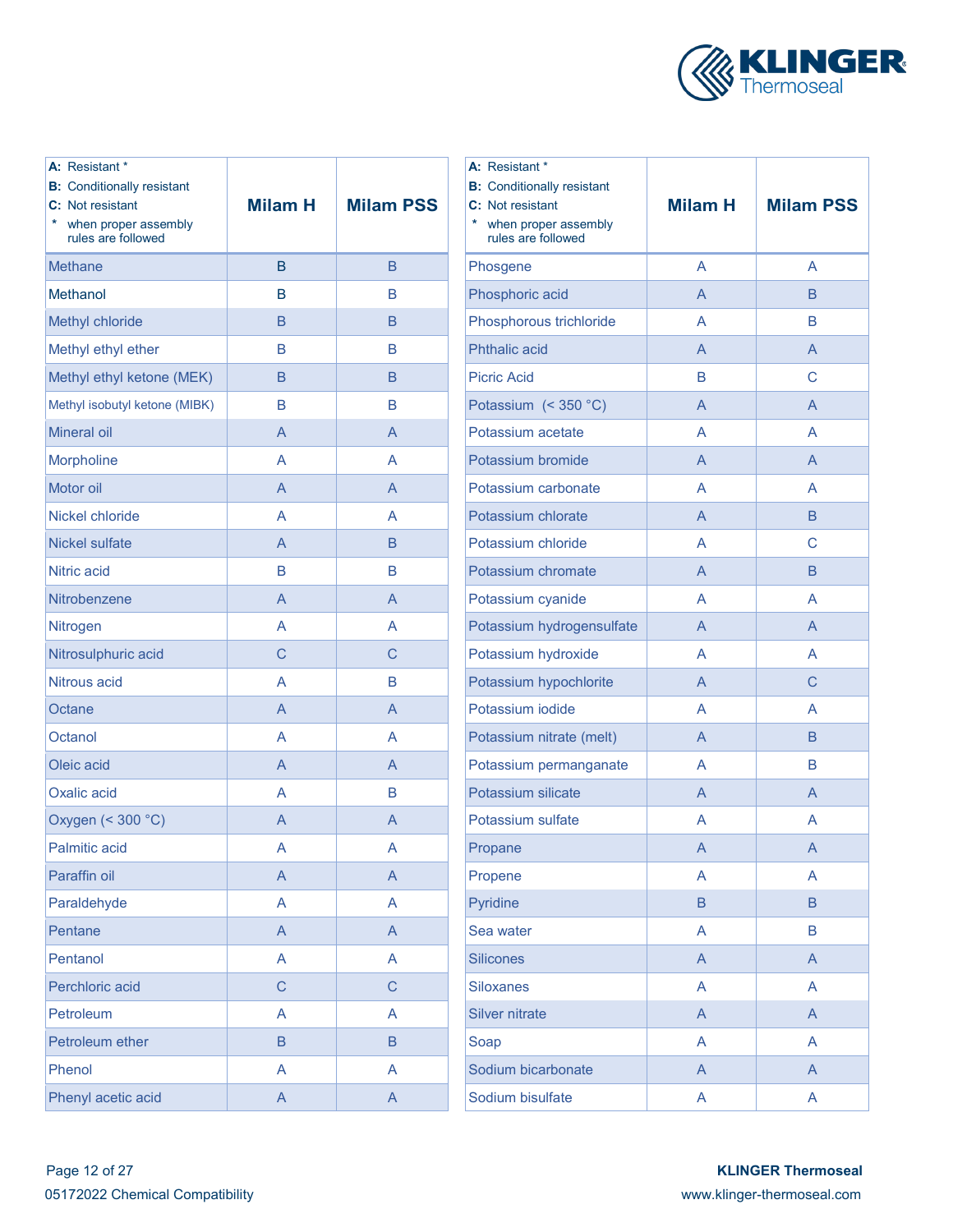

| A: Resistant *<br><b>B:</b> Conditionally resistant<br>C: Not resistant<br>$\ast$<br>when proper assembly<br>rules are followed | <b>Milam H</b> | <b>Milam PSS</b> | А:<br><b>B:</b><br>C:<br>¥. |
|---------------------------------------------------------------------------------------------------------------------------------|----------------|------------------|-----------------------------|
| Methane                                                                                                                         | B              | B                | Ph                          |
| Methanol                                                                                                                        | B              | B                | Ph                          |
| Methyl chloride                                                                                                                 | B              | B                | Ph                          |
| Methyl ethyl ether                                                                                                              | B              | B                | Ph                          |
| Methyl ethyl ketone (MEK)                                                                                                       | B              | B                | Pi                          |
| Methyl isobutyl ketone (MIBK)                                                                                                   | B              | B                | Pc                          |
| <b>Mineral oil</b>                                                                                                              | A              | A                | Pc                          |
| Morpholine                                                                                                                      | A              | A                | Pc                          |
| Motor oil                                                                                                                       | A              | A                | Po                          |
| Nickel chloride                                                                                                                 | A              | A                | Pc                          |
| <b>Nickel sulfate</b>                                                                                                           | A              | B                | Pc                          |
| Nitric acid                                                                                                                     | B              | B                | Pc                          |
| Nitrobenzene                                                                                                                    | A              | A                | Pc                          |
| Nitrogen                                                                                                                        | A              | A                | Pc                          |
| Nitrosulphuric acid                                                                                                             | C              | C                | Pc                          |
| Nitrous acid                                                                                                                    | A              | B                | Pc                          |
| Octane                                                                                                                          | A              | A                | P <sub>C</sub>              |
| Octanol                                                                                                                         | A              | A                | Pc                          |
| Oleic acid                                                                                                                      | A              | $\overline{A}$   | Pc                          |
| Oxalic acid                                                                                                                     | A              | B                | Pc                          |
| Oxygen (< 300 °C)                                                                                                               | A              | A                | Pc                          |
| <b>Palmitic acid</b>                                                                                                            | A              | A                | Pr                          |
| Paraffin oil                                                                                                                    | A              | $\mathsf{A}$     | Pr                          |
| Paraldehyde                                                                                                                     | A              | A                | Py                          |
| Pentane                                                                                                                         | A              | $\overline{A}$   | $S\epsilon$                 |
| Pentanol                                                                                                                        | A              | A                | Sil                         |
| Perchloric acid                                                                                                                 | $\mathsf C$    | C                | Sil                         |
| Petroleum                                                                                                                       | A              | A                | Sil                         |
| Petroleum ether                                                                                                                 | $\sf B$        | $\sf B$          | Sc                          |
| Phenol                                                                                                                          | A              | A                | Sc                          |
| Phenyl acetic acid                                                                                                              | $\mathsf A$    | $\mathsf{A}$     | Sc                          |

| A: Resistant *<br><b>B:</b> Conditionally resistant<br>C: Not resistant<br>$\ast$<br>when proper assembly<br>rules are followed | <b>Milam H</b> | <b>Milam PSS</b> |  |
|---------------------------------------------------------------------------------------------------------------------------------|----------------|------------------|--|
| Phosgene                                                                                                                        | A              | A                |  |
| Phosphoric acid                                                                                                                 | A              | B                |  |
| Phosphorous trichloride                                                                                                         | A              | B                |  |
| <b>Phthalic acid</b>                                                                                                            | A              | A                |  |
| <b>Picric Acid</b>                                                                                                              | B              | С                |  |
| Potassium (< 350 °C)                                                                                                            | A              | A                |  |
| Potassium acetate                                                                                                               | A              | A                |  |
| Potassium bromide                                                                                                               | A              | A                |  |
| Potassium carbonate                                                                                                             | A              | A                |  |
| Potassium chlorate                                                                                                              | A              | B                |  |
| Potassium chloride                                                                                                              | A              | C                |  |
| Potassium chromate                                                                                                              | A              | <sub>B</sub>     |  |
| Potassium cyanide                                                                                                               | A              | A                |  |
| Potassium hydrogensulfate                                                                                                       | A              | A                |  |
| Potassium hydroxide                                                                                                             | A              | A                |  |
| Potassium hypochlorite                                                                                                          | A              | C                |  |
| Potassium iodide                                                                                                                | A              | A                |  |
| Potassium nitrate (melt)                                                                                                        | A              | B                |  |
| Potassium permanganate                                                                                                          | A              | B                |  |
| Potassium silicate                                                                                                              | A              | A                |  |
| Potassium sulfate                                                                                                               | A              | A                |  |
| Propane                                                                                                                         | A              | Α                |  |
| Propene                                                                                                                         | A              | A                |  |
| Pyridine                                                                                                                        | B              | B                |  |
| Sea water                                                                                                                       | A              | B                |  |
| <b>Silicones</b>                                                                                                                | A              | A                |  |
| <b>Siloxanes</b>                                                                                                                | A              | A                |  |
| <b>Silver nitrate</b>                                                                                                           | A              | $\overline{A}$   |  |
| Soap                                                                                                                            | A              | A                |  |
| Sodium bicarbonate                                                                                                              | A              | $\overline{A}$   |  |
| Sodium bisulfate                                                                                                                | A              | A                |  |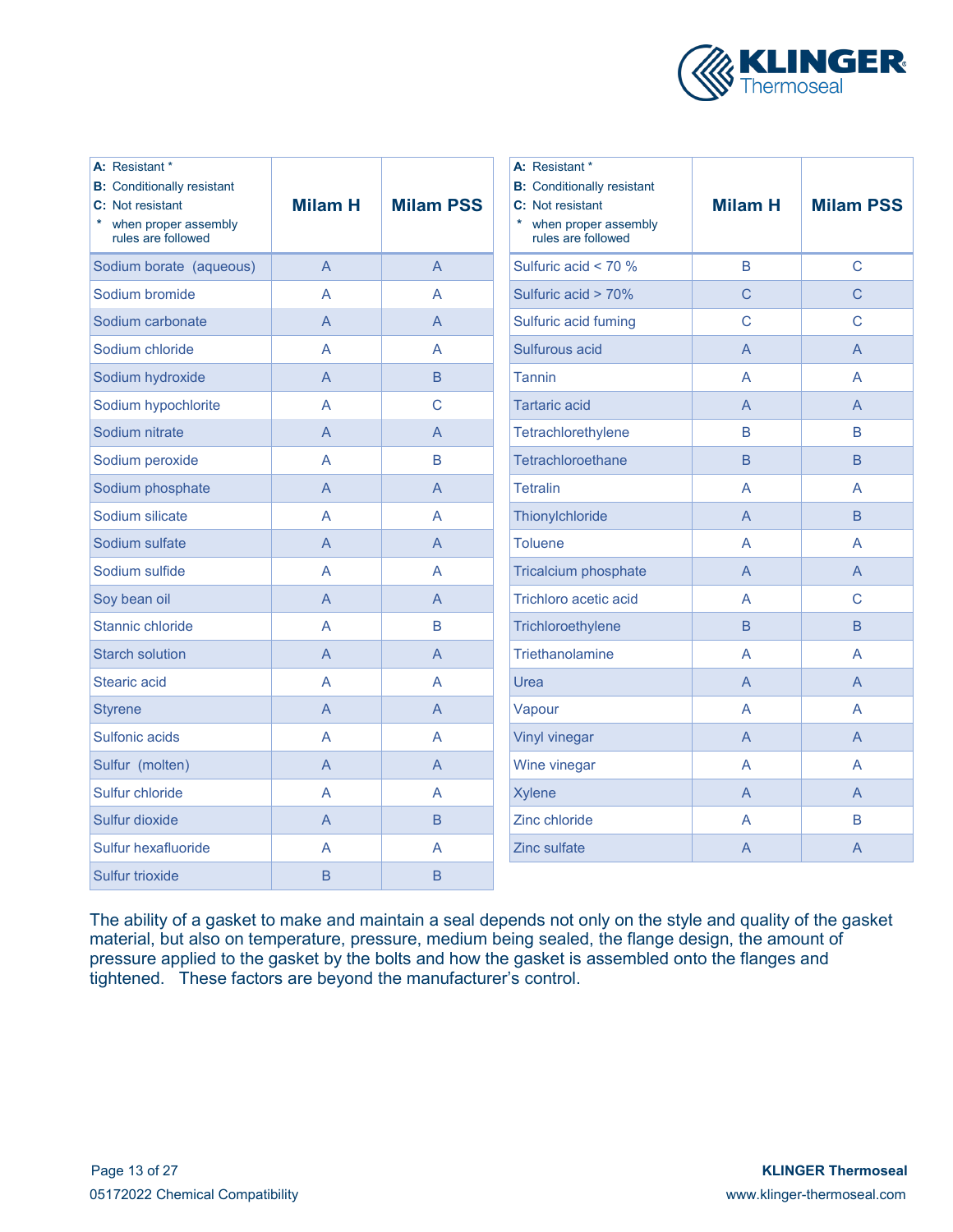

| A: Resistant *<br><b>B:</b> Conditionally resistant<br>C: Not resistant<br>when proper assembly<br>rules are followed | <b>Milam H</b> | <b>Milam PSS</b> | A: Resistant *<br><b>B:</b> Conditionally resistant<br>C: Not resistant<br>when proper assembly<br>rules are followed | <b>Milam H</b> | <b>Milam PSS</b> |
|-----------------------------------------------------------------------------------------------------------------------|----------------|------------------|-----------------------------------------------------------------------------------------------------------------------|----------------|------------------|
| Sodium borate (aqueous)                                                                                               | $\overline{A}$ | $\overline{A}$   | Sulfuric acid < 70 %                                                                                                  | $\overline{B}$ | $\mathsf{C}$     |
| Sodium bromide                                                                                                        | A              | A                | Sulfuric acid > 70%                                                                                                   | $\overline{C}$ | $\overline{C}$   |
| Sodium carbonate                                                                                                      | $\overline{A}$ | $\overline{A}$   | Sulfuric acid fuming                                                                                                  | $\mathsf{C}$   | $\mathsf{C}$     |
| Sodium chloride                                                                                                       | A              | A                | Sulfurous acid                                                                                                        | $\overline{A}$ | $\overline{A}$   |
| Sodium hydroxide                                                                                                      | $\overline{A}$ | $\overline{B}$   | <b>Tannin</b>                                                                                                         | A              | A                |
| Sodium hypochlorite                                                                                                   | A              | $\overline{C}$   | <b>Tartaric acid</b>                                                                                                  | $\overline{A}$ | $\overline{A}$   |
| Sodium nitrate                                                                                                        | $\overline{A}$ | $\mathsf{A}$     | Tetrachlorethylene                                                                                                    | $\mathsf B$    | B                |
| Sodium peroxide                                                                                                       | A              | B                | Tetrachloroethane                                                                                                     | $\overline{B}$ | $\mathsf B$      |
| Sodium phosphate                                                                                                      | $\overline{A}$ | $\overline{A}$   | <b>Tetralin</b>                                                                                                       | A              | A                |
| Sodium silicate                                                                                                       | A              | A                | Thionylchloride                                                                                                       | $\overline{A}$ | B                |
| Sodium sulfate                                                                                                        | $\overline{A}$ | $\overline{A}$   | <b>Toluene</b>                                                                                                        | $\overline{A}$ | A                |
| Sodium sulfide                                                                                                        | A              | A                | <b>Tricalcium phosphate</b>                                                                                           | $\overline{A}$ | $\overline{A}$   |
| Soy bean oil                                                                                                          | $\overline{A}$ | A                | Trichloro acetic acid                                                                                                 | A              | $\mathsf{C}$     |
| Stannic chloride                                                                                                      | A              | B                | Trichloroethylene                                                                                                     | $\overline{B}$ | $\overline{B}$   |
| <b>Starch solution</b>                                                                                                | $\overline{A}$ | $\overline{A}$   | Triethanolamine                                                                                                       | A              | A                |
| <b>Stearic acid</b>                                                                                                   | A              | A                | Urea                                                                                                                  | A              | A                |
| <b>Styrene</b>                                                                                                        | A              | A                | Vapour                                                                                                                | A              | A                |
| Sulfonic acids                                                                                                        | A              | A                | <b>Vinyl vinegar</b>                                                                                                  | $\overline{A}$ | $\overline{A}$   |
| Sulfur (molten)                                                                                                       | $\overline{A}$ | $\overline{A}$   | Wine vinegar                                                                                                          | A              | A                |
| Sulfur chloride                                                                                                       | $\overline{A}$ | A                | <b>Xylene</b>                                                                                                         | $\overline{A}$ | $\overline{A}$   |
| Sulfur dioxide                                                                                                        | $\overline{A}$ | $\overline{B}$   | Zinc chloride                                                                                                         | A              | B                |
| Sulfur hexafluoride                                                                                                   | A              | A                | <b>Zinc sulfate</b>                                                                                                   | A              | A                |
| Sulfur trioxide                                                                                                       | B              | B                |                                                                                                                       |                |                  |

The ability of a gasket to make and maintain a seal depends not only on the style and quality of the gasket material, but also on temperature, pressure, medium being sealed, the flange design, the amount of pressure applied to the gasket by the bolts and how the gasket is assembled onto the flanges and tightened. These factors are beyond the manufacturer's control.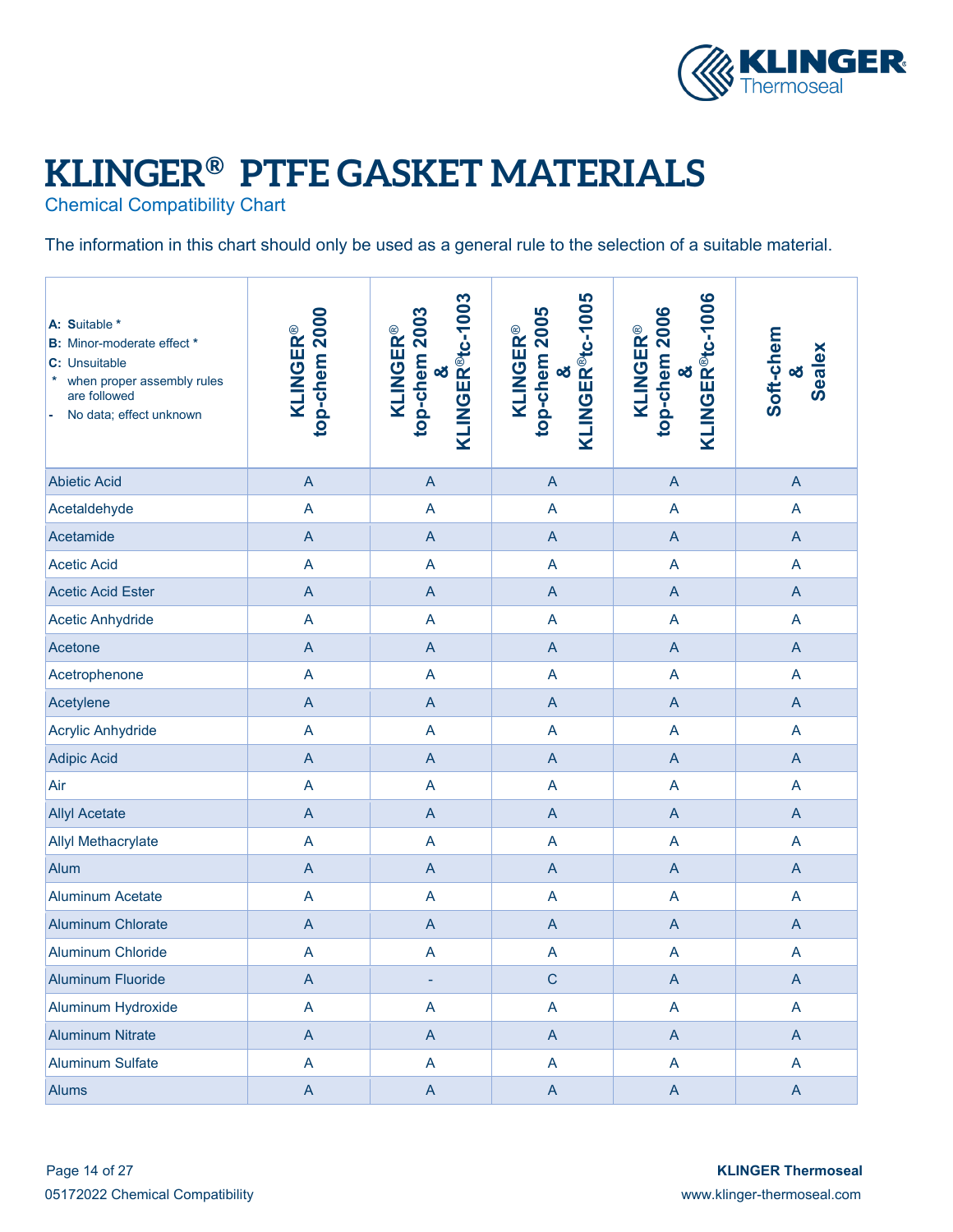

## **KLINGER® PTFE GASKET MATERIALS**

Chemical Compatibility Chart

The information in this chart should only be used as a general rule to the selection of a suitable material.

| A: Suitable *<br><b>B:</b> Minor-moderate effect *<br>C: Unsuitable<br>when proper assembly rules<br>are followed<br>No data; effect unknown | top-chem 2000<br><b>KLINGER®</b> | KLINGER <sup>®t</sup> c-1003<br>top-chem 2003<br><b>KLINGER®</b><br>න් | ິ &<br>KLINGER <sup>®</sup> tc-1005<br>top-chem 2005<br><b>KLINGER®</b> | &<br>KLINGER®tc-1006<br>top-chem 2006<br><b>KLINGER®</b> | Soft-chem<br><b>Sealex</b><br>oð |
|----------------------------------------------------------------------------------------------------------------------------------------------|----------------------------------|------------------------------------------------------------------------|-------------------------------------------------------------------------|----------------------------------------------------------|----------------------------------|
| <b>Abietic Acid</b>                                                                                                                          | $\overline{A}$                   | $\mathsf{A}$                                                           | $\mathsf{A}$                                                            | $\boldsymbol{\mathsf{A}}$                                | $\overline{A}$                   |
| Acetaldehyde                                                                                                                                 | $\overline{A}$                   | A                                                                      | $\overline{A}$                                                          | $\overline{\mathsf{A}}$                                  | A                                |
| Acetamide                                                                                                                                    | $\overline{A}$                   | $\mathsf{A}$                                                           | $\overline{A}$                                                          | $\boldsymbol{\mathsf{A}}$                                | $\overline{A}$                   |
| <b>Acetic Acid</b>                                                                                                                           | $\overline{A}$                   | $\overline{\mathsf{A}}$                                                | $\overline{A}$                                                          | $\overline{\mathsf{A}}$                                  | A                                |
| <b>Acetic Acid Ester</b>                                                                                                                     | $\overline{A}$                   | $\mathsf{A}$                                                           | $\mathsf{A}$                                                            | $\boldsymbol{\mathsf{A}}$                                | $\overline{A}$                   |
| <b>Acetic Anhydride</b>                                                                                                                      | $\overline{A}$                   | A                                                                      | $\overline{A}$                                                          | A                                                        | $\overline{\mathsf{A}}$          |
| Acetone                                                                                                                                      | $\overline{A}$                   | $\mathsf{A}$                                                           | $\boldsymbol{\mathsf{A}}$                                               | $\boldsymbol{\mathsf{A}}$                                | $\overline{A}$                   |
| Acetrophenone                                                                                                                                | $\overline{A}$                   | A                                                                      | $\overline{A}$                                                          | A                                                        | $\overline{\mathsf{A}}$          |
| Acetylene                                                                                                                                    | $\overline{A}$                   | $\mathsf{A}$                                                           | $\mathsf{A}$                                                            | $\boldsymbol{\mathsf{A}}$                                | $\mathsf{A}$                     |
| <b>Acrylic Anhydride</b>                                                                                                                     | $\mathsf A$                      | A                                                                      | $\mathsf{A}$                                                            | A                                                        | A                                |
| <b>Adipic Acid</b>                                                                                                                           | $\overline{A}$                   | $\mathsf{A}$                                                           | $\mathsf{A}$                                                            | $\boldsymbol{\mathsf{A}}$                                | $\boldsymbol{\mathsf{A}}$        |
| Air                                                                                                                                          | $\mathsf A$                      | A                                                                      | $\mathsf{A}$                                                            | A                                                        | A                                |
| <b>Allyl Acetate</b>                                                                                                                         | $\overline{A}$                   | $\boldsymbol{\mathsf{A}}$                                              | $\mathsf{A}$                                                            | $\mathsf{A}$                                             | $\mathsf{A}$                     |
| <b>Allyl Methacrylate</b>                                                                                                                    | $\mathsf A$                      | A                                                                      | $\overline{A}$                                                          | A                                                        | A                                |
| Alum                                                                                                                                         | $\overline{A}$                   | $\mathsf{A}$                                                           | $\overline{A}$                                                          | $\mathsf{A}$                                             | $\mathsf{A}$                     |
| <b>Aluminum Acetate</b>                                                                                                                      | $\overline{A}$                   | $\overline{A}$                                                         | $\overline{A}$                                                          | A                                                        | A                                |
| <b>Aluminum Chlorate</b>                                                                                                                     | $\overline{A}$                   | $\mathsf{A}$                                                           | $\overline{A}$                                                          | $\mathsf{A}$                                             | $\mathsf{A}$                     |
| <b>Aluminum Chloride</b>                                                                                                                     | $\overline{A}$                   | A                                                                      | $\overline{A}$                                                          | $\mathsf A$                                              | A                                |
| <b>Aluminum Fluoride</b>                                                                                                                     | $\mathsf{A}$                     | ٠                                                                      | C                                                                       | $\boldsymbol{\mathsf{A}}$                                | $\boldsymbol{\mathsf{A}}$        |
| Aluminum Hydroxide                                                                                                                           | A                                | A                                                                      | $\mathsf{A}$                                                            | A                                                        | A                                |
| <b>Aluminum Nitrate</b>                                                                                                                      | $\mathsf A$                      | $\mathsf{A}$                                                           | $\mathsf{A}$                                                            | $\boldsymbol{\mathsf{A}}$                                | $\mathsf{A}$                     |
| <b>Aluminum Sulfate</b>                                                                                                                      | $\mathsf A$                      | A                                                                      | $\mathsf{A}$                                                            | A                                                        | A                                |
| <b>Alums</b>                                                                                                                                 | $\mathsf A$                      | $\mathsf{A}$                                                           | $\mathsf{A}$                                                            | $\boldsymbol{\mathsf{A}}$                                | $\mathsf{A}$                     |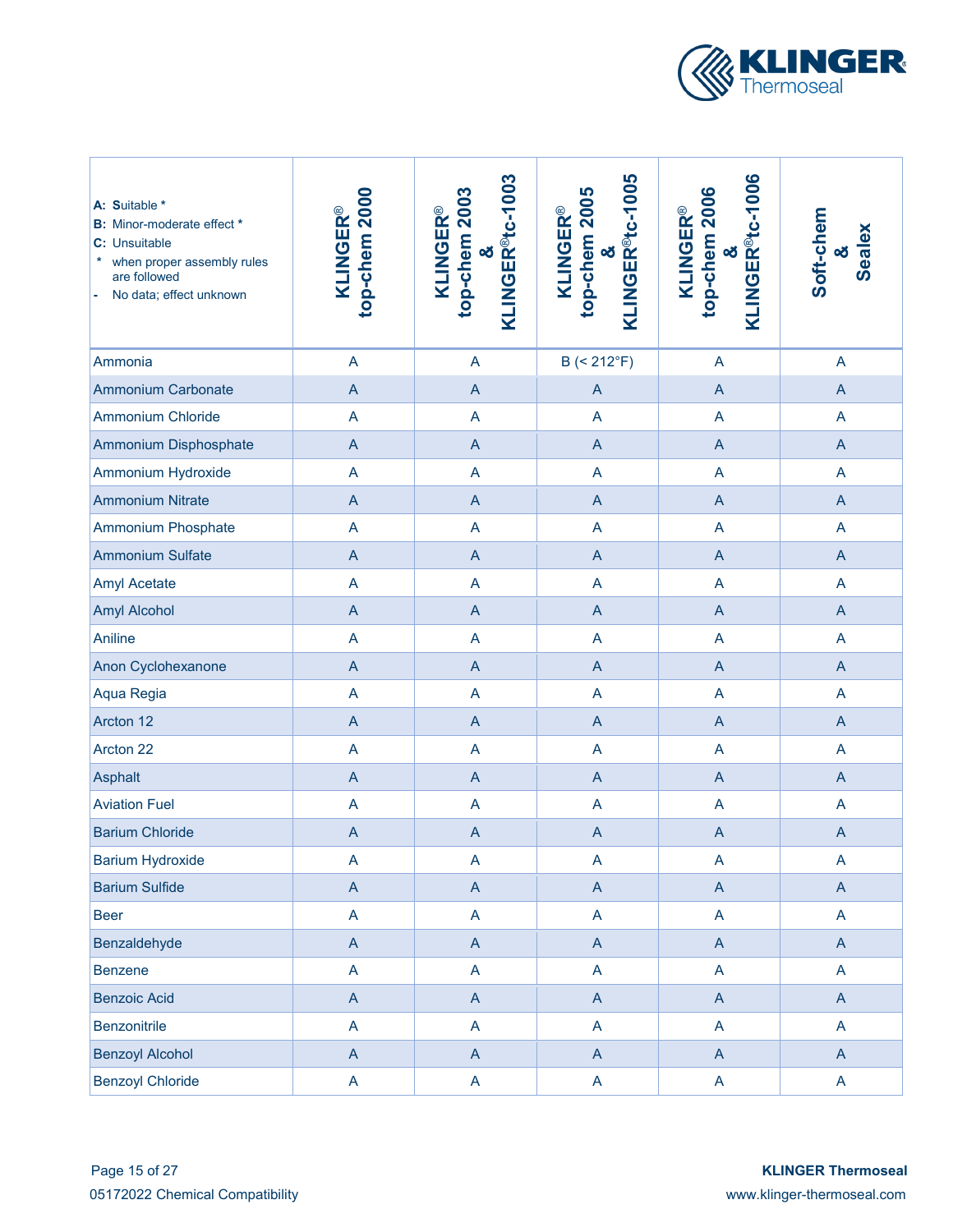

| A: Suitable *<br><b>B:</b> Minor-moderate effect *<br>C: Unsuitable<br>when proper assembly rules<br>are followed<br>No data; effect unknown | top-chem 2000<br><b>KLINGER®</b> | KLINGER <sup>®</sup> tc-1003<br>top-chem 2003<br><b>KLINGER®</b><br>න් | KLINGER <sup>®</sup> tc-1005<br>top-chem 2005<br><b>KLINGER®</b><br>න් | KLINGER <sup>®tc-1006</sup><br>top-chem 2006<br><b>KLINGER®</b><br>න් | Soft-chem<br><b>Sealex</b><br>œ |
|----------------------------------------------------------------------------------------------------------------------------------------------|----------------------------------|------------------------------------------------------------------------|------------------------------------------------------------------------|-----------------------------------------------------------------------|---------------------------------|
| Ammonia                                                                                                                                      | $\overline{\mathsf{A}}$          | $\overline{A}$                                                         | B (< 212°F)                                                            | A                                                                     | $\overline{A}$                  |
| <b>Ammonium Carbonate</b>                                                                                                                    | $\mathsf A$                      | $\mathsf{A}$                                                           | $\overline{A}$                                                         | $\overline{A}$                                                        | $\overline{A}$                  |
| <b>Ammonium Chloride</b>                                                                                                                     | A                                | A                                                                      | A                                                                      | A                                                                     | $\overline{A}$                  |
| Ammonium Disphosphate                                                                                                                        | $\mathsf A$                      | $\mathsf{A}$                                                           | $\overline{A}$                                                         | $\overline{A}$                                                        | $\overline{A}$                  |
| Ammonium Hydroxide                                                                                                                           | A                                | A                                                                      | A                                                                      | A                                                                     | $\overline{A}$                  |
| <b>Ammonium Nitrate</b>                                                                                                                      | $\mathsf A$                      | $\overline{A}$                                                         | $\overline{A}$                                                         | $\overline{A}$                                                        | $\overline{A}$                  |
| <b>Ammonium Phosphate</b>                                                                                                                    | $\overline{A}$                   | A                                                                      | $\overline{A}$                                                         | $\overline{A}$                                                        | $\mathsf{A}$                    |
| <b>Ammonium Sulfate</b>                                                                                                                      | $\overline{A}$                   | $\overline{A}$                                                         | $\overline{A}$                                                         | $\overline{A}$                                                        | $\mathsf{A}$                    |
| <b>Amyl Acetate</b>                                                                                                                          | $\overline{\mathsf{A}}$          | A                                                                      | $\overline{A}$                                                         | A                                                                     | A                               |
| <b>Amyl Alcohol</b>                                                                                                                          | $\overline{A}$                   | $\mathsf{A}$                                                           | $\overline{A}$                                                         | $\overline{A}$                                                        | $\mathsf{A}$                    |
| Aniline                                                                                                                                      | $\overline{A}$                   | A                                                                      | $\overline{A}$                                                         | A                                                                     | A                               |
| Anon Cyclohexanone                                                                                                                           | $\mathsf A$                      | $\mathsf{A}$                                                           | $\overline{A}$                                                         | $\mathsf{A}$                                                          | $\overline{A}$                  |
| Aqua Regia                                                                                                                                   | $\overline{A}$                   | A                                                                      | A                                                                      | $\overline{A}$                                                        | $\overline{A}$                  |
| Arcton 12                                                                                                                                    | $\overline{A}$                   | $\mathsf{A}$                                                           | $\overline{A}$                                                         | $\mathsf{A}$                                                          | $\overline{A}$                  |
| Arcton 22                                                                                                                                    | $\overline{\mathsf{A}}$          | A                                                                      | A                                                                      | A                                                                     | A                               |
| Asphalt                                                                                                                                      | $\overline{A}$                   | $\mathsf{A}$                                                           | $\overline{A}$                                                         | $\overline{A}$                                                        | $\overline{A}$                  |
| <b>Aviation Fuel</b>                                                                                                                         | $\overline{\mathsf{A}}$          | A                                                                      | A                                                                      | A                                                                     | $\mathsf{A}$                    |
| <b>Barium Chloride</b>                                                                                                                       | $\mathsf{A}$                     | $\mathsf{A}$                                                           | $\overline{A}$                                                         | $\mathsf{A}$                                                          | $\overline{A}$                  |
| <b>Barium Hydroxide</b>                                                                                                                      | A                                | $\boldsymbol{\mathsf{A}}$                                              | A                                                                      | A                                                                     | A                               |
| <b>Barium Sulfide</b>                                                                                                                        | $\mathsf A$                      | $\mathsf{A}$                                                           | $\mathsf A$                                                            | $\boldsymbol{\mathsf{A}}$                                             | $\mathsf{A}$                    |
| <b>Beer</b>                                                                                                                                  | A                                | $\mathsf{A}$                                                           | A                                                                      | A                                                                     | $\mathsf{A}$                    |
| Benzaldehyde                                                                                                                                 | $\boldsymbol{\mathsf{A}}$        | $\mathsf{A}$                                                           | $\boldsymbol{\mathsf{A}}$                                              | $\mathsf{A}$                                                          | $\mathsf{A}$                    |
| <b>Benzene</b>                                                                                                                               | A                                | $\mathsf{A}$                                                           | A                                                                      | $\mathsf{A}$                                                          | $\mathsf{A}$                    |
| <b>Benzoic Acid</b>                                                                                                                          | $\boldsymbol{\mathsf{A}}$        | $\mathsf{A}$                                                           | $\boldsymbol{\mathsf{A}}$                                              | $\mathsf{A}$                                                          | $\mathsf{A}$                    |
| <b>Benzonitrile</b>                                                                                                                          | A                                | $\mathsf{A}$                                                           | A                                                                      | $\overline{A}$                                                        | $\mathsf{A}$                    |
| <b>Benzoyl Alcohol</b>                                                                                                                       | $\boldsymbol{\mathsf{A}}$        | $\mathsf{A}$                                                           | $\boldsymbol{\mathsf{A}}$                                              | $\mathsf{A}$                                                          | $\mathsf{A}$                    |
| <b>Benzoyl Chloride</b>                                                                                                                      | A                                | $\mathsf{A}$                                                           | A                                                                      | A                                                                     | $\mathsf{A}$                    |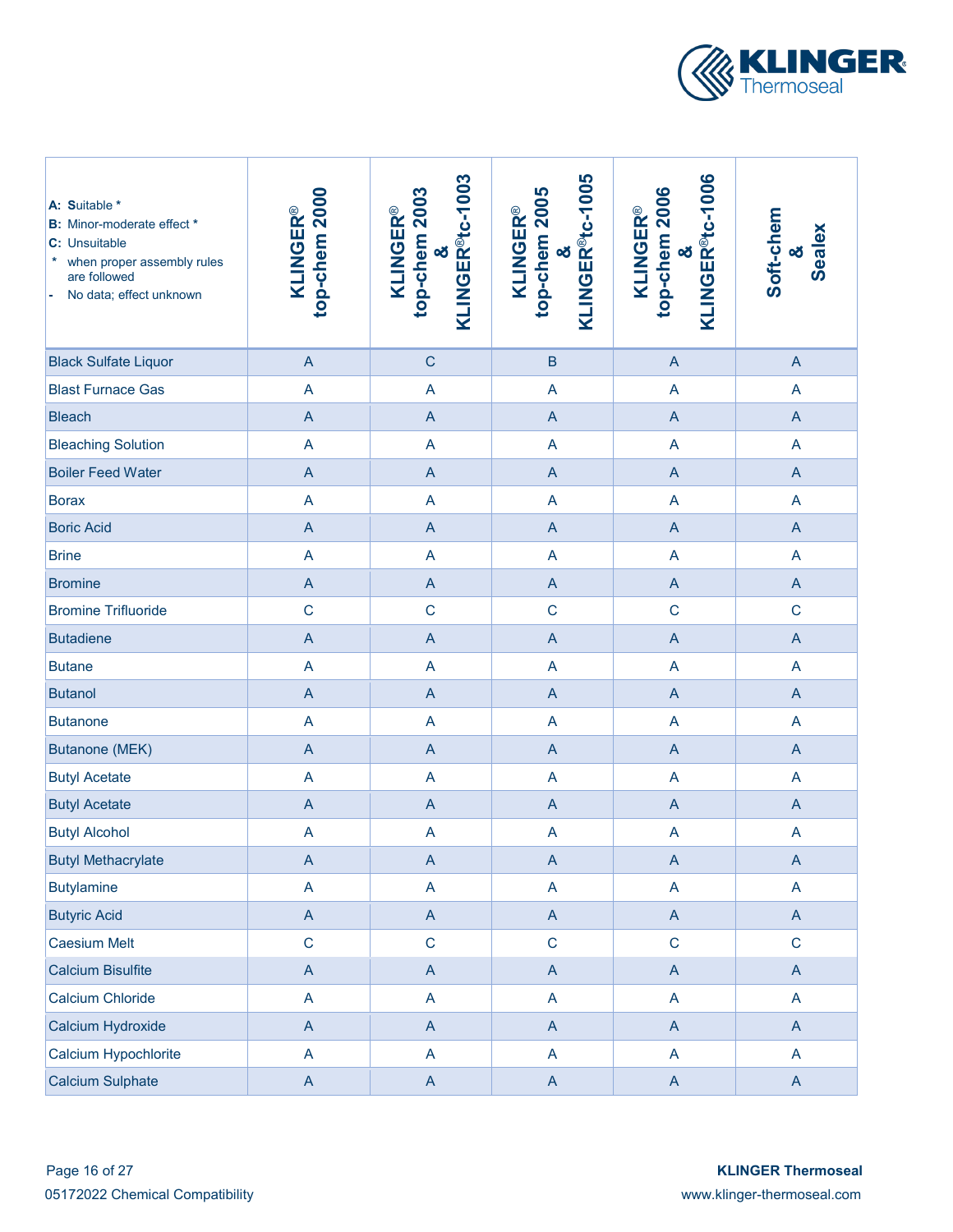

| A: Suitable *<br><b>B:</b> Minor-moderate effect *<br>C: Unsuitable<br>*<br>when proper assembly rules<br>are followed<br>No data; effect unknown | top-chem 2000<br><b>KLINGER®</b> | KLINGER <sup>®tc-1003</sup><br>top-chem 2003<br><b>KLINGER®</b><br>න් | KLINGER <sup>®</sup> tc-1005<br>top-chem 2005<br><b>KLINGER®</b><br>න් | KLINGER <sup>®</sup> tc-1006<br>top-chem 2006<br><b>KLINGER®</b><br>න් | Soft-chem<br><b>Sealex</b><br>οð |
|---------------------------------------------------------------------------------------------------------------------------------------------------|----------------------------------|-----------------------------------------------------------------------|------------------------------------------------------------------------|------------------------------------------------------------------------|----------------------------------|
| <b>Black Sulfate Liquor</b>                                                                                                                       | $\overline{A}$                   | $\mathsf{C}$                                                          | $\sf B$                                                                | $\boldsymbol{\mathsf{A}}$                                              | $\overline{A}$                   |
| <b>Blast Furnace Gas</b>                                                                                                                          | $\overline{\mathsf{A}}$          | A                                                                     | $\overline{\mathsf{A}}$                                                | A                                                                      | $\overline{A}$                   |
| <b>Bleach</b>                                                                                                                                     | $\overline{A}$                   | $\overline{A}$                                                        | A                                                                      | $\overline{A}$                                                         | $\overline{A}$                   |
| <b>Bleaching Solution</b>                                                                                                                         | $\overline{\mathsf{A}}$          | A                                                                     | $\overline{\mathsf{A}}$                                                | A                                                                      | $\overline{A}$                   |
| <b>Boiler Feed Water</b>                                                                                                                          | $\overline{A}$                   | $\overline{A}$                                                        | $\mathsf A$                                                            | $\overline{A}$                                                         | $\overline{A}$                   |
| <b>Borax</b>                                                                                                                                      | A                                | A                                                                     | A                                                                      | A                                                                      | A                                |
| <b>Boric Acid</b>                                                                                                                                 | $\overline{A}$                   | $\overline{A}$                                                        | $\mathsf A$                                                            | $\overline{A}$                                                         | $\overline{A}$                   |
| <b>Brine</b>                                                                                                                                      | $\overline{\mathsf{A}}$          | A                                                                     | A                                                                      | A                                                                      | A                                |
| <b>Bromine</b>                                                                                                                                    | $\overline{A}$                   | $\overline{A}$                                                        | A                                                                      | $\overline{A}$                                                         | $\overline{A}$                   |
| <b>Bromine Trifluoride</b>                                                                                                                        | $\mathsf{C}$                     | $\mathbf C$                                                           | $\mathsf{C}$                                                           | $\mathbf C$                                                            | $\mathsf C$                      |
| <b>Butadiene</b>                                                                                                                                  | $\overline{A}$                   | $\overline{A}$                                                        | A                                                                      | $\boldsymbol{\mathsf{A}}$                                              | $\overline{A}$                   |
| <b>Butane</b>                                                                                                                                     | $\overline{A}$                   | A                                                                     | A                                                                      | A                                                                      | A                                |
| <b>Butanol</b>                                                                                                                                    | $\overline{A}$                   | $\overline{A}$                                                        | A                                                                      | $\boldsymbol{\mathsf{A}}$                                              | $\mathsf{A}$                     |
| <b>Butanone</b>                                                                                                                                   | A                                | A                                                                     | A                                                                      | $\overline{A}$                                                         | A                                |
| <b>Butanone (MEK)</b>                                                                                                                             | $\overline{A}$                   | $\overline{A}$                                                        | $\mathsf{A}$                                                           | $\mathsf{A}$                                                           | $\overline{A}$                   |
| <b>Butyl Acetate</b>                                                                                                                              | A                                | A                                                                     | A                                                                      | A                                                                      | $\overline{A}$                   |
| <b>Butyl Acetate</b>                                                                                                                              | $\mathsf A$                      | $\mathsf{A}$                                                          | $\mathsf A$                                                            | $\mathsf{A}$                                                           | $\mathsf{A}$                     |
| <b>Butyl Alcohol</b>                                                                                                                              | A                                | $\boldsymbol{\mathsf{A}}$                                             | A                                                                      | A                                                                      | $\overline{A}$                   |
| <b>Butyl Methacrylate</b>                                                                                                                         | A                                | A                                                                     | A                                                                      | A                                                                      | $\mathsf{A}$                     |
| <b>Butylamine</b>                                                                                                                                 | A                                | A                                                                     | $\boldsymbol{\mathsf{A}}$                                              | A                                                                      | $\mathsf{A}$                     |
| <b>Butyric Acid</b>                                                                                                                               | $\mathsf{A}$                     | $\mathsf{A}$                                                          | $\boldsymbol{\mathsf{A}}$                                              | $\mathsf{A}$                                                           | $\mathsf{A}$                     |
| Caesium Melt                                                                                                                                      | $\mathsf C$                      | $\mathbf C$                                                           | $\mathsf C$                                                            | $\mathbf C$                                                            | $\mathbf C$                      |
| <b>Calcium Bisulfite</b>                                                                                                                          | $\mathsf{A}$                     | $\overline{A}$                                                        | $\boldsymbol{\mathsf{A}}$                                              | $\mathsf{A}$                                                           | $\mathsf{A}$                     |
| <b>Calcium Chloride</b>                                                                                                                           | A                                | A                                                                     | $\mathsf{A}$                                                           | A                                                                      | $\mathsf{A}$                     |
| Calcium Hydroxide                                                                                                                                 | $\overline{A}$                   | $\overline{A}$                                                        | $\boldsymbol{\mathsf{A}}$                                              | $\mathsf{A}$                                                           | $\mathsf{A}$                     |
| Calcium Hypochlorite                                                                                                                              | A                                | A                                                                     | A                                                                      | A                                                                      | A                                |
| <b>Calcium Sulphate</b>                                                                                                                           | $\boldsymbol{\mathsf{A}}$        | $\mathsf{A}$                                                          | $\boldsymbol{\mathsf{A}}$                                              | $\mathsf{A}$                                                           | $\mathsf{A}$                     |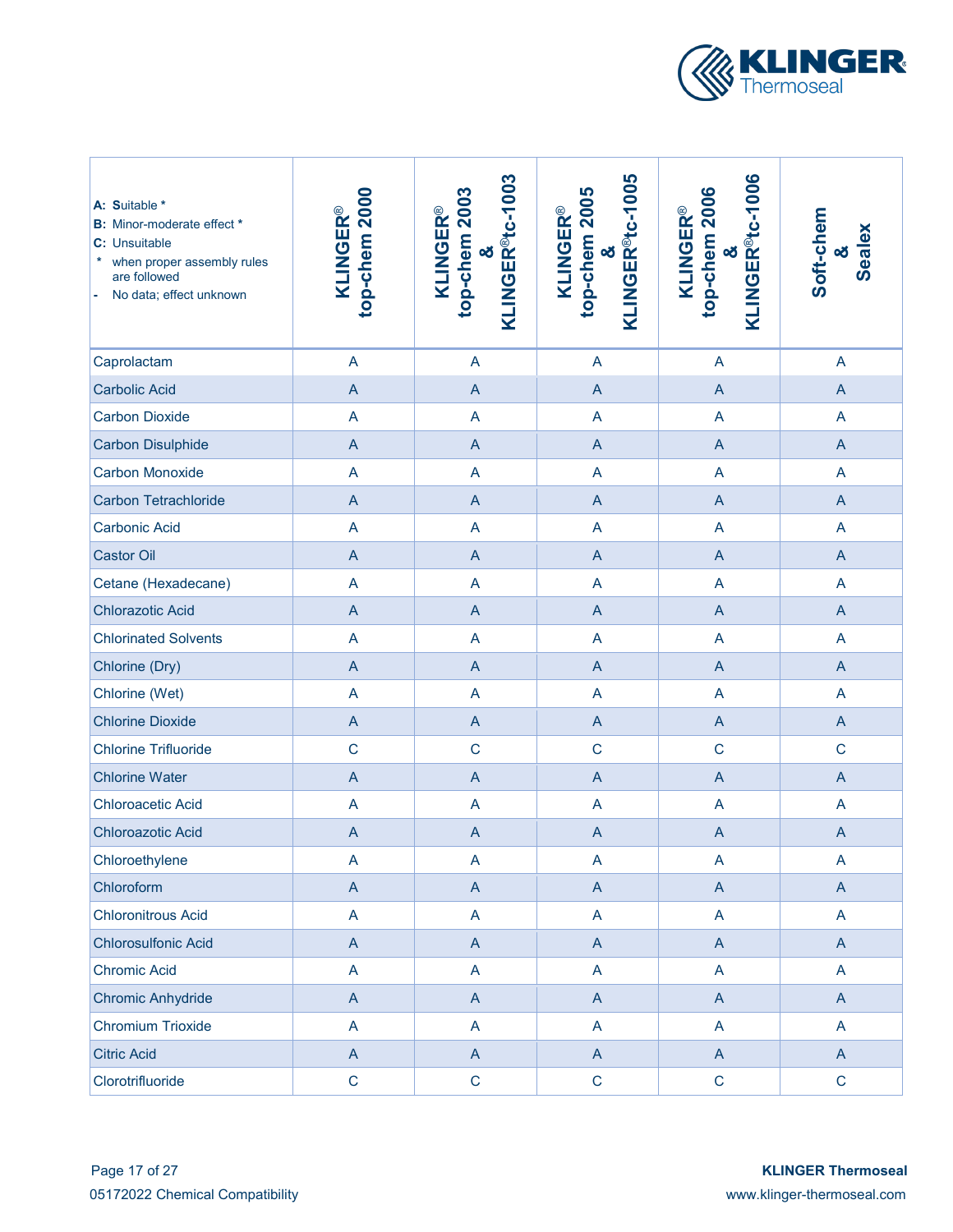

| A: Suitable *<br><b>B:</b> Minor-moderate effect *<br>C: Unsuitable<br>when proper assembly rules<br>are followed<br>No data; effect unknown<br>$\blacksquare$ | top-chem 2000<br><b>KLINGER®</b> | KLINGER <sup>®</sup> tc-1003<br>top-chem 2003<br><b>KLINGER®</b><br>න් | KLINGER <sup>®</sup> tc-1005<br>top-chem 2005<br><b>KLINGER®</b><br>න් | KLINGER <sup>®</sup> tc-1006<br>top-chem 2006<br><b>KLINGER®</b><br>න් | Soft-chem<br><b>Sealex</b><br>οð |
|----------------------------------------------------------------------------------------------------------------------------------------------------------------|----------------------------------|------------------------------------------------------------------------|------------------------------------------------------------------------|------------------------------------------------------------------------|----------------------------------|
| Caprolactam                                                                                                                                                    | $\overline{\mathsf{A}}$          | $\overline{A}$                                                         | A                                                                      | A                                                                      | $\overline{A}$                   |
| <b>Carbolic Acid</b>                                                                                                                                           | $\mathsf A$                      | $\mathsf{A}$                                                           | $\overline{A}$                                                         | $\mathsf{A}$                                                           | $\overline{A}$                   |
| <b>Carbon Dioxide</b>                                                                                                                                          | A                                | A                                                                      | A                                                                      | A                                                                      | $\mathsf{A}$                     |
| <b>Carbon Disulphide</b>                                                                                                                                       | $\mathsf A$                      | $\mathsf{A}$                                                           | $\overline{A}$                                                         | $\overline{A}$                                                         | $\overline{A}$                   |
| <b>Carbon Monoxide</b>                                                                                                                                         | A                                | A                                                                      | A                                                                      | A                                                                      | $\overline{A}$                   |
| <b>Carbon Tetrachloride</b>                                                                                                                                    | $\overline{A}$                   | $\overline{A}$                                                         | $\overline{A}$                                                         | $\overline{A}$                                                         | $\overline{A}$                   |
| <b>Carbonic Acid</b>                                                                                                                                           | $\overline{A}$                   | A                                                                      | $\overline{A}$                                                         | $\overline{\mathsf{A}}$                                                | $\mathsf{A}$                     |
| <b>Castor Oil</b>                                                                                                                                              | $\overline{A}$                   | $\overline{A}$                                                         | $\overline{A}$                                                         | $\overline{A}$                                                         | $\overline{A}$                   |
| Cetane (Hexadecane)                                                                                                                                            | $\overline{\mathsf{A}}$          | A                                                                      | $\overline{A}$                                                         | A                                                                      | A                                |
| <b>Chlorazotic Acid</b>                                                                                                                                        | $\overline{A}$                   | $\mathsf{A}$                                                           | $\overline{A}$                                                         | $\overline{A}$                                                         | $\overline{A}$                   |
| <b>Chlorinated Solvents</b>                                                                                                                                    | A                                | A                                                                      | $\overline{A}$                                                         | A                                                                      | A                                |
| Chlorine (Dry)                                                                                                                                                 | $\mathsf A$                      | $\mathsf{A}$                                                           | $\overline{A}$                                                         | $\mathsf{A}$                                                           | $\overline{A}$                   |
| Chlorine (Wet)                                                                                                                                                 | $\overline{A}$                   | A                                                                      | A                                                                      | $\overline{\mathsf{A}}$                                                | $\overline{A}$                   |
| <b>Chlorine Dioxide</b>                                                                                                                                        | $\overline{A}$                   | $\mathsf{A}$                                                           | $\overline{A}$                                                         | $\mathsf{A}$                                                           | $\overline{A}$                   |
| <b>Chlorine Trifluoride</b>                                                                                                                                    | $\mathsf{C}$                     | $\mathbf C$                                                            | $\mathsf{C}$                                                           | $\mathbf C$                                                            | $\mathbf C$                      |
| <b>Chlorine Water</b>                                                                                                                                          | $\overline{A}$                   | $\mathsf{A}$                                                           | $\overline{A}$                                                         | $\overline{A}$                                                         | $\overline{A}$                   |
| <b>Chloroacetic Acid</b>                                                                                                                                       | A                                | A                                                                      | A                                                                      | A                                                                      | $\mathsf{A}$                     |
| <b>Chloroazotic Acid</b>                                                                                                                                       | $\mathsf{A}$                     | $\mathsf{A}$                                                           | $\overline{A}$                                                         | $\mathsf{A}$                                                           | $\overline{A}$                   |
| Chloroethylene                                                                                                                                                 | A                                | $\boldsymbol{\mathsf{A}}$                                              | A                                                                      | A                                                                      | A                                |
| Chloroform                                                                                                                                                     | $\mathsf A$                      | $\mathsf{A}$                                                           | $\mathsf A$                                                            | $\boldsymbol{\mathsf{A}}$                                              | $\mathsf{A}$                     |
| <b>Chloronitrous Acid</b>                                                                                                                                      | A                                | $\mathsf{A}$                                                           | A                                                                      | A                                                                      | $\mathsf{A}$                     |
| <b>Chlorosulfonic Acid</b>                                                                                                                                     | $\boldsymbol{\mathsf{A}}$        | $\mathsf{A}$                                                           | $\boldsymbol{\mathsf{A}}$                                              | $\mathsf{A}$                                                           | $\mathsf{A}$                     |
| <b>Chromic Acid</b>                                                                                                                                            | A                                | $\mathsf{A}$                                                           | A                                                                      | A                                                                      | $\mathsf{A}$                     |
| <b>Chromic Anhydride</b>                                                                                                                                       | $\boldsymbol{\mathsf{A}}$        | $\mathsf{A}$                                                           | $\boldsymbol{\mathsf{A}}$                                              | $\mathsf{A}$                                                           | $\mathsf{A}$                     |
| <b>Chromium Trioxide</b>                                                                                                                                       | A                                | $\overline{A}$                                                         | A                                                                      | $\overline{A}$                                                         | $\mathsf{A}$                     |
| <b>Citric Acid</b>                                                                                                                                             | $\mathsf A$                      | $\mathsf{A}$                                                           | $\boldsymbol{\mathsf{A}}$                                              | $\mathsf{A}$                                                           | $\mathsf{A}$                     |
| Clorotrifluoride                                                                                                                                               | $\mathsf C$                      | $\mathsf C$                                                            | $\mathsf C$                                                            | $\mathbf C$                                                            | $\mathbf C$                      |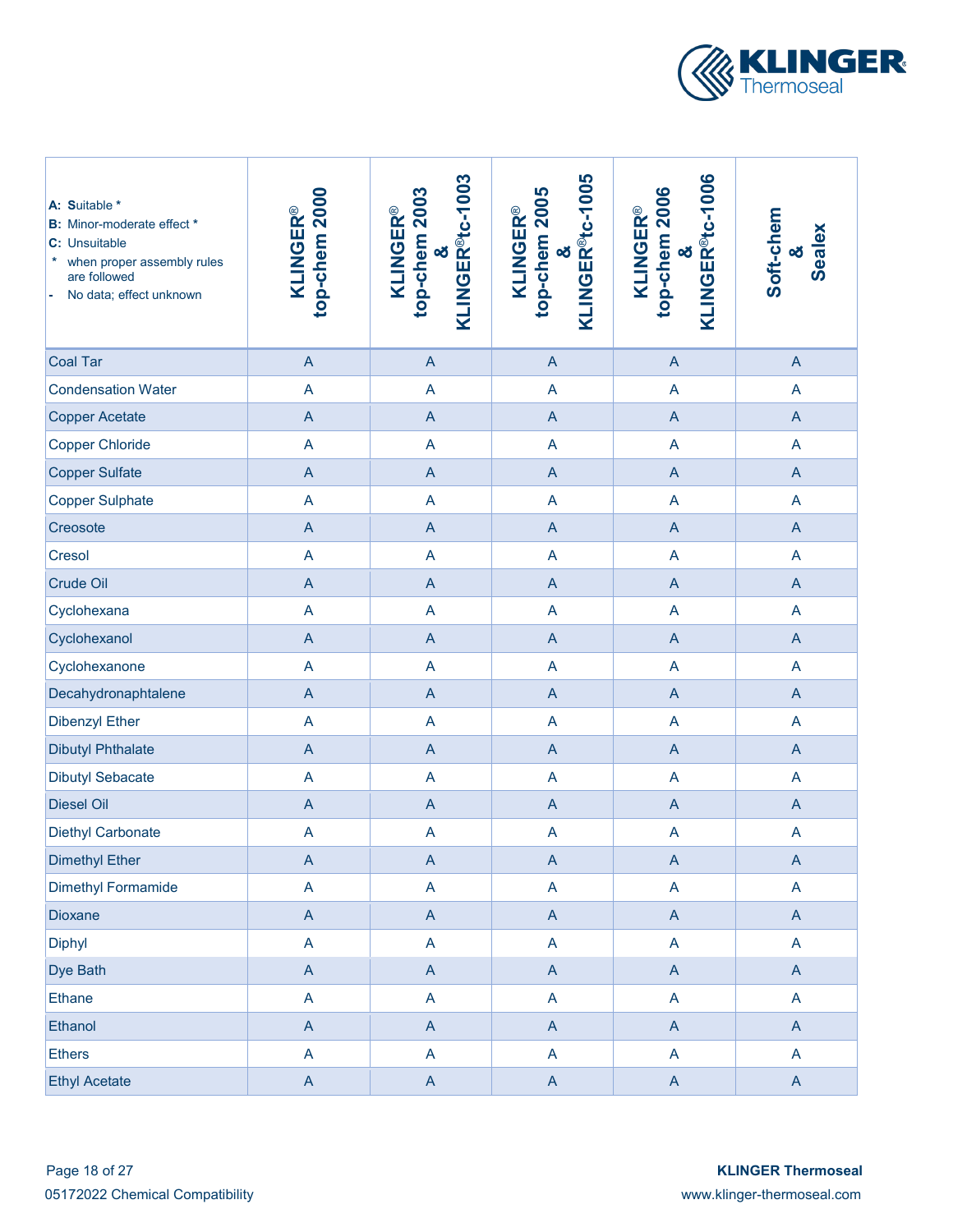

| A: Suitable *<br><b>B:</b> Minor-moderate effect *<br>C: Unsuitable<br>when proper assembly rules<br>are followed<br>No data; effect unknown | top-chem 2000<br><b>KLINGER®</b> | KLINGER <sup>®tc-1003</sup><br>top-chem 2003<br><b>KLINGER®</b><br>න් | KLINGER <sup>®</sup> tc-1005<br>top-chem 2005<br><b>KLINGER®</b><br>න් | KLINGER <sup>®t</sup> c-1006<br>top-chem 2006<br><b>KLINGER®</b><br>න් | Soft-chem<br>Sealex<br>න් |
|----------------------------------------------------------------------------------------------------------------------------------------------|----------------------------------|-----------------------------------------------------------------------|------------------------------------------------------------------------|------------------------------------------------------------------------|---------------------------|
| <b>Coal Tar</b>                                                                                                                              | $\overline{A}$                   | $\overline{A}$                                                        | $\overline{A}$                                                         | $\mathsf{A}$                                                           | $\overline{A}$            |
| <b>Condensation Water</b>                                                                                                                    | A                                | A                                                                     | $\overline{A}$                                                         | A                                                                      | A                         |
| <b>Copper Acetate</b>                                                                                                                        | $\overline{A}$                   | $\overline{A}$                                                        | $\overline{A}$                                                         | $\overline{A}$                                                         | $\overline{A}$            |
| <b>Copper Chloride</b>                                                                                                                       | A                                | A                                                                     | $\overline{A}$                                                         | A                                                                      | $\overline{A}$            |
| <b>Copper Sulfate</b>                                                                                                                        | $\overline{A}$                   | $\overline{A}$                                                        | $\mathsf A$                                                            | $\overline{A}$                                                         | $\overline{A}$            |
| <b>Copper Sulphate</b>                                                                                                                       | $\overline{A}$                   | A                                                                     | $\overline{A}$                                                         | A                                                                      | $\overline{A}$            |
| Creosote                                                                                                                                     | $\overline{A}$                   | $\overline{A}$                                                        | $\overline{A}$                                                         | $\overline{A}$                                                         | $\overline{A}$            |
| Cresol                                                                                                                                       | $\overline{A}$                   | A                                                                     | $\overline{A}$                                                         | A                                                                      | $\mathsf{A}$              |
| <b>Crude Oil</b>                                                                                                                             | $\overline{A}$                   | $\overline{A}$                                                        | $\overline{A}$                                                         | $\overline{A}$                                                         | $\overline{A}$            |
| Cyclohexana                                                                                                                                  | $\overline{A}$                   | A                                                                     | $\overline{A}$                                                         | A                                                                      | $\overline{A}$            |
| Cyclohexanol                                                                                                                                 | $\overline{A}$                   | $\overline{A}$                                                        | $\overline{A}$                                                         | $\mathsf{A}$                                                           | $\overline{A}$            |
| Cyclohexanone                                                                                                                                | $\overline{A}$                   | A                                                                     | $\overline{A}$                                                         | A                                                                      | $\overline{A}$            |
| Decahydronaphtalene                                                                                                                          | $\boldsymbol{\mathsf{A}}$        | $\overline{A}$                                                        | $\overline{A}$                                                         | $\mathsf{A}$                                                           | $\overline{A}$            |
| <b>Dibenzyl Ether</b>                                                                                                                        | $\boldsymbol{\mathsf{A}}$        | A                                                                     | A                                                                      | A                                                                      | $\overline{A}$            |
| <b>Dibutyl Phthalate</b>                                                                                                                     | $\mathsf A$                      | $\mathsf{A}$                                                          | $\mathsf{A}$                                                           | $\mathsf{A}$                                                           | $\overline{A}$            |
| <b>Dibutyl Sebacate</b>                                                                                                                      | A                                | A                                                                     | $\overline{A}$                                                         | A                                                                      | $\overline{A}$            |
| <b>Diesel Oil</b>                                                                                                                            | $\overline{A}$                   | $\overline{A}$                                                        | $\mathsf{A}$                                                           | $\mathsf{A}$                                                           | $\overline{A}$            |
| <b>Diethyl Carbonate</b>                                                                                                                     | A                                | $\overline{A}$                                                        | $\mathsf A$                                                            | A                                                                      | $\overline{A}$            |
| <b>Dimethyl Ether</b>                                                                                                                        | $\mathsf{A}$                     | $\mathsf{A}$                                                          | $\mathsf{A}$                                                           | $\mathsf{A}$                                                           | $\mathsf{A}$              |
| <b>Dimethyl Formamide</b>                                                                                                                    | A                                | A                                                                     | $\mathsf A$                                                            | A                                                                      | $\mathsf{A}$              |
| <b>Dioxane</b>                                                                                                                               | $\mathsf{A}$                     | $\mathsf{A}$                                                          | $\mathsf{A}$                                                           | $\mathsf{A}$                                                           | $\mathsf{A}$              |
| <b>Diphyl</b>                                                                                                                                | A                                | A                                                                     | A                                                                      | $\mathsf{A}$                                                           | $\mathsf{A}$              |
| Dye Bath                                                                                                                                     | $\mathsf{A}$                     | $\mathsf{A}$                                                          | $\mathsf{A}$                                                           | $\mathsf{A}$                                                           | $\mathsf{A}$              |
| <b>Ethane</b>                                                                                                                                | A                                | A                                                                     | A                                                                      | $\mathsf{A}$                                                           | $\mathsf{A}$              |
| Ethanol                                                                                                                                      | $\mathsf{A}$                     | $\mathsf{A}$                                                          | $\mathsf{A}$                                                           | $\mathsf{A}$                                                           | $\overline{A}$            |
| <b>Ethers</b>                                                                                                                                | A                                | $\overline{A}$                                                        | $\mathsf A$                                                            | $\overline{A}$                                                         | $\mathsf{A}$              |
| <b>Ethyl Acetate</b>                                                                                                                         | $\mathsf{A}$                     | $\mathsf{A}$                                                          | $\mathsf{A}$                                                           | $\mathsf{A}$                                                           | $\mathsf{A}$              |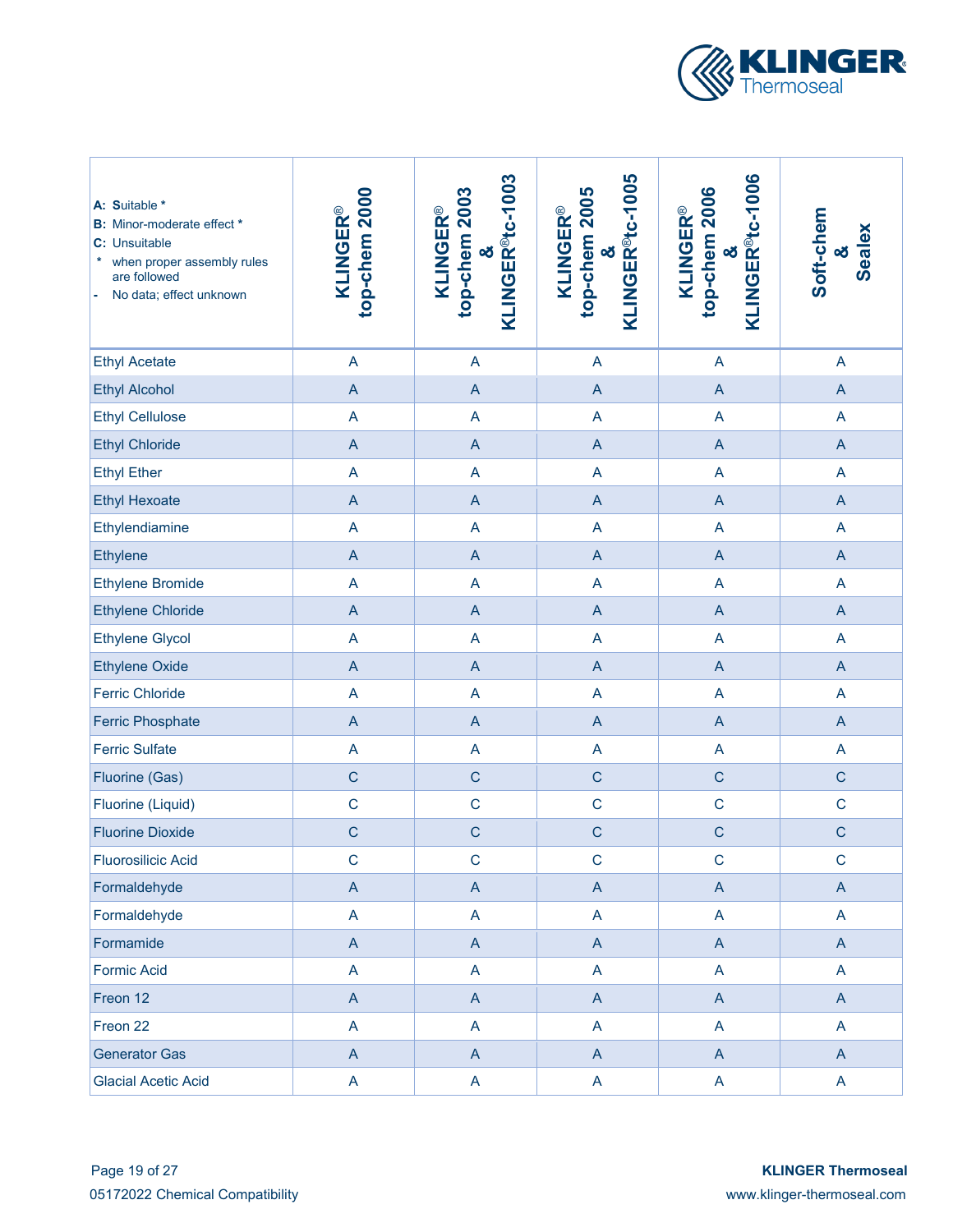

| A: Suitable *<br><b>B:</b> Minor-moderate effect *<br>C: Unsuitable<br>*<br>when proper assembly rules<br>are followed<br>No data; effect unknown | top-chem 2000<br><b>KLINGER®</b>                                      | KLINGER <sup>®</sup> tc-1003<br>top-chem 2003<br><b>KLINGER®</b><br>න් | KLINGER <sup>®</sup> tc-1005<br>top-chem 2005<br><b>KLINGER®</b><br>οð | KLINGER <sup>®</sup> tc-1006<br>top-chem 2006<br><b>KLINGER®</b><br>න් | Soft-chem<br><b>Sealex</b><br>න් |
|---------------------------------------------------------------------------------------------------------------------------------------------------|-----------------------------------------------------------------------|------------------------------------------------------------------------|------------------------------------------------------------------------|------------------------------------------------------------------------|----------------------------------|
| <b>Ethyl Acetate</b>                                                                                                                              | $\boldsymbol{\mathsf{A}}$                                             | $\mathsf{A}$                                                           | $\mathsf{A}$                                                           | $\mathsf{A}$                                                           | A                                |
| <b>Ethyl Alcohol</b>                                                                                                                              | $\mathsf A$                                                           | $\boldsymbol{\mathsf{A}}$                                              | $\mathsf A$                                                            | $\mathsf{A}$                                                           | $\mathsf{A}$                     |
| <b>Ethyl Cellulose</b>                                                                                                                            | $\overline{\mathsf{A}}$                                               | A                                                                      | A                                                                      | $\mathsf{A}$                                                           | A                                |
| <b>Ethyl Chloride</b>                                                                                                                             | $\mathsf A$                                                           | $\overline{A}$                                                         | $\mathsf A$                                                            | $\mathsf{A}$                                                           | $\mathsf{A}$                     |
| <b>Ethyl Ether</b>                                                                                                                                | $\overline{\mathsf{A}}$                                               | $\overline{A}$                                                         | A                                                                      | A                                                                      | A                                |
| <b>Ethyl Hexoate</b>                                                                                                                              | $\mathsf A$                                                           | $\overline{A}$                                                         | $\mathsf A$                                                            | $\mathsf{A}$                                                           | $\overline{A}$                   |
| Ethylendiamine                                                                                                                                    | $\boldsymbol{\mathsf{A}}$                                             | $\mathsf{A}$                                                           | A                                                                      | A                                                                      | A                                |
| <b>Ethylene</b>                                                                                                                                   | $\mathsf A$                                                           | $\overline{A}$                                                         | $\mathsf A$                                                            | $\overline{A}$                                                         | $\overline{A}$                   |
| <b>Ethylene Bromide</b>                                                                                                                           | $\mathsf A$                                                           | $\overline{A}$                                                         | A                                                                      | A                                                                      | A                                |
| <b>Ethylene Chloride</b>                                                                                                                          | $\mathsf{A}% _{\mathsf{A}}^{\prime}=\mathsf{A}_{\mathsf{A}}^{\prime}$ | $\overline{A}$                                                         | $\overline{A}$                                                         | $\mathsf{A}$                                                           | $\overline{A}$                   |
| <b>Ethylene Glycol</b>                                                                                                                            | $\overline{\mathsf{A}}$                                               | $\overline{A}$                                                         | $\overline{A}$                                                         | $\overline{\mathsf{A}}$                                                | A                                |
| <b>Ethylene Oxide</b>                                                                                                                             | $\overline{A}$                                                        | $\overline{A}$                                                         | $\overline{A}$                                                         | $\overline{A}$                                                         | $\overline{A}$                   |
| <b>Ferric Chloride</b>                                                                                                                            | $\boldsymbol{\mathsf{A}}$                                             | $\mathsf{A}$                                                           | $\overline{A}$                                                         | $\overline{\mathsf{A}}$                                                | A                                |
| <b>Ferric Phosphate</b>                                                                                                                           | $\mathsf A$                                                           | $\mathsf{A}$                                                           | $\mathsf{A}$                                                           | $\mathsf{A}$                                                           | $\mathsf{A}$                     |
| <b>Ferric Sulfate</b>                                                                                                                             | $\boldsymbol{\mathsf{A}}$                                             | $\mathsf{A}$                                                           | $\mathsf{A}$                                                           | $\mathsf{A}$                                                           | A                                |
| Fluorine (Gas)                                                                                                                                    | $\mathsf{C}$                                                          | $\mathbf C$                                                            | $\mathsf C$                                                            | $\mathbf C$                                                            | $\mathsf C$                      |
| Fluorine (Liquid)                                                                                                                                 | $\mathsf{C}$                                                          | $\mathbf C$                                                            | $\mathsf C$                                                            | $\mathbf C$                                                            | $\mathbf C$                      |
| <b>Fluorine Dioxide</b>                                                                                                                           | $\mathsf{C}$                                                          | $\mathsf{C}$                                                           | $\mathsf{C}$                                                           | $\mathbf C$                                                            | $\mathsf{C}$                     |
| <b>Fluorosilicic Acid</b>                                                                                                                         | $\mathsf C$                                                           | $\mathbf C$                                                            | $\mathsf{C}$                                                           | $\mathbf C$                                                            | $\mathsf C$                      |
| Formaldehyde                                                                                                                                      | $\mathsf A$                                                           | $\mathsf{A}$                                                           | $\mathsf{A}$                                                           | $\boldsymbol{\mathsf{A}}$                                              | $\mathsf{A}$                     |
| Formaldehyde                                                                                                                                      | A                                                                     | $\mathsf{A}$                                                           | A                                                                      | A                                                                      | A                                |
| Formamide                                                                                                                                         | $\boldsymbol{\mathsf{A}}$                                             | $\mathsf{A}$                                                           | $\mathsf A$                                                            | $\mathsf{A}$                                                           | $\mathsf{A}$                     |
| <b>Formic Acid</b>                                                                                                                                | A                                                                     | $\mathsf{A}$                                                           | A                                                                      | $\mathsf{A}$                                                           | A                                |
| Freon 12                                                                                                                                          | $\boldsymbol{\mathsf{A}}$                                             | $\mathsf{A}$                                                           | $\mathsf A$                                                            | $\mathsf{A}$                                                           | $\mathsf{A}$                     |
| Freon 22                                                                                                                                          | A                                                                     | A                                                                      | A                                                                      | A                                                                      | $\overline{A}$                   |
| <b>Generator Gas</b>                                                                                                                              | $\boldsymbol{\mathsf{A}}$                                             | $\mathsf{A}$                                                           | $\mathsf A$                                                            | $\mathsf{A}$                                                           | $\mathsf{A}$                     |
| <b>Glacial Acetic Acid</b>                                                                                                                        | A                                                                     | $\mathsf{A}$                                                           | A                                                                      | $\mathsf{A}$                                                           | A                                |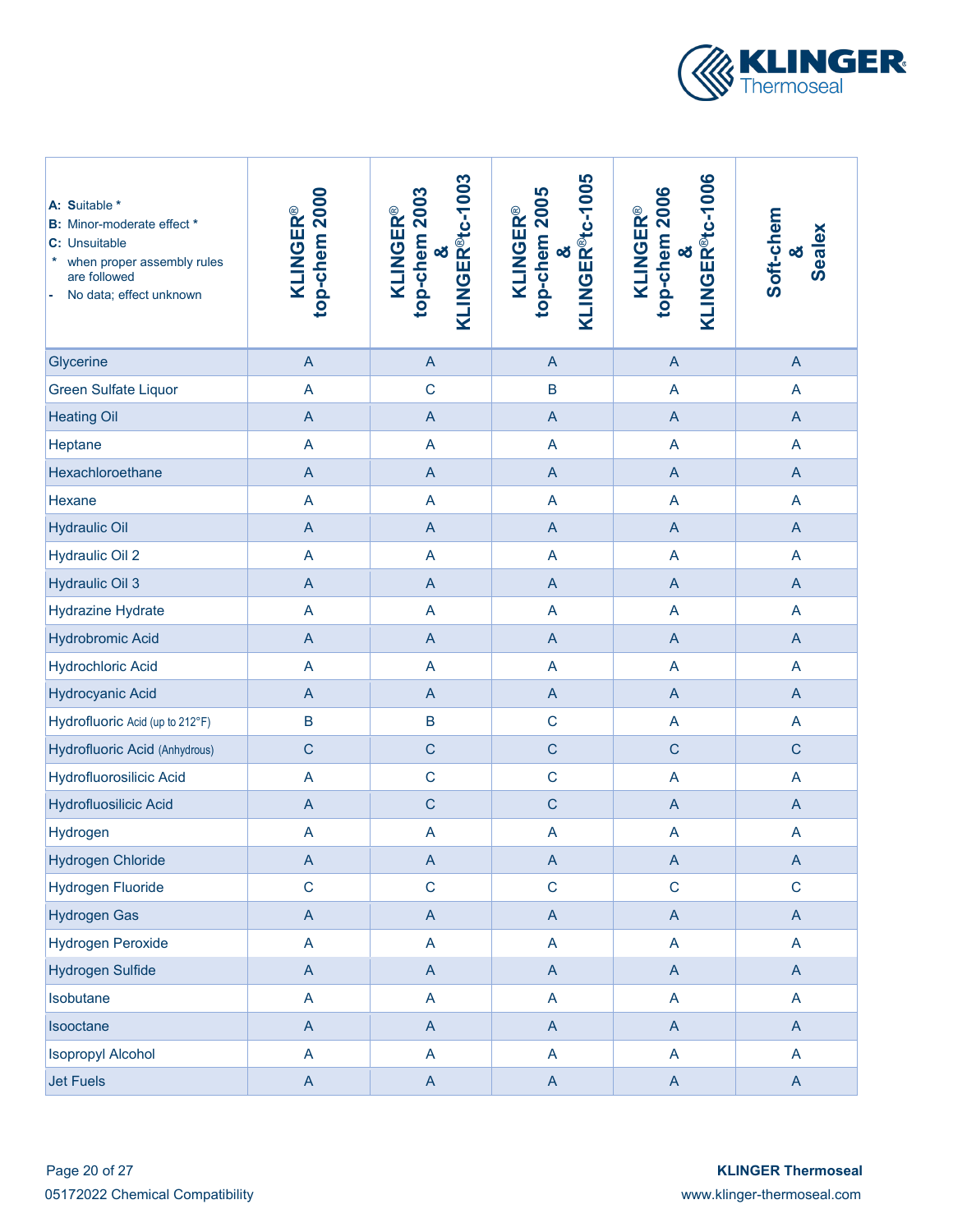

| A: Suitable *<br><b>B:</b> Minor-moderate effect *<br>C: Unsuitable<br>when proper assembly rules<br>are followed<br>No data; effect unknown | top-chem 2000<br><b>KLINGER®</b> | KLINGER <sup>®</sup> tc-1003<br>top-chem 2003<br><b>KLINGER®</b><br>න් | KLINGER <sup>®</sup> tc-1005<br>top-chem 2005<br><b>KLINGER®</b><br>οð | KLINGER <sup>®t</sup> c-1006<br>top-chem 2006<br><b>KLINGER®</b><br>න් | Soft-chem<br>Sealex<br>õð |
|----------------------------------------------------------------------------------------------------------------------------------------------|----------------------------------|------------------------------------------------------------------------|------------------------------------------------------------------------|------------------------------------------------------------------------|---------------------------|
| Glycerine                                                                                                                                    | $\overline{A}$                   | $\overline{A}$                                                         | $\overline{A}$                                                         | $\boldsymbol{\mathsf{A}}$                                              | $\mathsf{A}$              |
| <b>Green Sulfate Liquor</b>                                                                                                                  | $\overline{\mathsf{A}}$          | $\mathsf{C}$                                                           | B                                                                      | A                                                                      | $\overline{A}$            |
| <b>Heating Oil</b>                                                                                                                           | $\overline{A}$                   | $\overline{A}$                                                         | $\mathsf A$                                                            | $\overline{A}$                                                         | $\overline{A}$            |
| Heptane                                                                                                                                      | $\overline{\mathsf{A}}$          | A                                                                      | $\overline{\mathsf{A}}$                                                | A                                                                      | $\overline{A}$            |
| Hexachloroethane                                                                                                                             | $\mathsf A$                      | $\overline{A}$                                                         | $\mathsf A$                                                            | $\overline{A}$                                                         | $\mathsf{A}$              |
| Hexane                                                                                                                                       | A                                | A                                                                      | A                                                                      | A                                                                      | A                         |
| <b>Hydraulic Oil</b>                                                                                                                         | $\overline{A}$                   | $\overline{A}$                                                         | $\mathsf A$                                                            | $\boldsymbol{\mathsf{A}}$                                              | $\overline{A}$            |
| <b>Hydraulic Oil 2</b>                                                                                                                       | $\overline{\mathsf{A}}$          | $\overline{\mathsf{A}}$                                                | A                                                                      | $\overline{\mathsf{A}}$                                                | $\overline{A}$            |
| <b>Hydraulic Oil 3</b>                                                                                                                       | $\overline{A}$                   | $\overline{A}$                                                         | $\mathsf A$                                                            | $\overline{A}$                                                         | $\overline{A}$            |
| <b>Hydrazine Hydrate</b>                                                                                                                     | $\overline{\mathsf{A}}$          | $\overline{\mathsf{A}}$                                                | $\overline{\mathsf{A}}$                                                | $\overline{\mathsf{A}}$                                                | A                         |
| <b>Hydrobromic Acid</b>                                                                                                                      | $\overline{A}$                   | $\overline{A}$                                                         | A                                                                      | $\overline{A}$                                                         | $\overline{A}$            |
| <b>Hydrochloric Acid</b>                                                                                                                     | A                                | A                                                                      | A                                                                      | A                                                                      | A                         |
| <b>Hydrocyanic Acid</b>                                                                                                                      | $\mathsf A$                      | $\mathsf{A}$                                                           | A                                                                      | $\mathsf A$                                                            | $\mathsf{A}$              |
| Hydrofluoric Acid (up to 212°F)                                                                                                              | B                                | $\sf B$                                                                | $\mathsf C$                                                            | A                                                                      | A                         |
| Hydrofluoric Acid (Anhydrous)                                                                                                                | $\mathsf C$                      | $\mathsf C$                                                            | $\mathsf C$                                                            | $\mathsf C$                                                            | $\mathsf C$               |
| Hydrofluorosilicic Acid                                                                                                                      | A                                | $\mathsf{C}$                                                           | $\mathsf C$                                                            | $\overline{A}$                                                         | A                         |
| <b>Hydrofluosilicic Acid</b>                                                                                                                 | $\mathsf A$                      | $\mathsf{C}$                                                           | $\mathsf C$                                                            | $\mathsf{A}$                                                           | $\mathsf{A}$              |
| Hydrogen                                                                                                                                     | A                                | $\overline{A}$                                                         | A                                                                      | A                                                                      | $\overline{A}$            |
| <b>Hydrogen Chloride</b>                                                                                                                     | $\mathsf A$                      | $\boldsymbol{\mathsf{A}}$                                              | $\mathsf A$                                                            | $\boldsymbol{\mathsf{A}}$                                              | $\mathsf{A}$              |
| <b>Hydrogen Fluoride</b>                                                                                                                     | $\mathsf C$                      | $\mathbf C$                                                            | $\mathsf C$                                                            | $\mathsf C$                                                            | $\mathbf C$               |
| <b>Hydrogen Gas</b>                                                                                                                          | $\mathsf{A}$                     | $\mathsf{A}$                                                           | $\boldsymbol{\mathsf{A}}$                                              | $\mathsf{A}$                                                           | $\mathsf{A}$              |
| <b>Hydrogen Peroxide</b>                                                                                                                     | A                                | A                                                                      | $\mathsf{A}$                                                           | A                                                                      | A                         |
| <b>Hydrogen Sulfide</b>                                                                                                                      | $\mathsf{A}$                     | $\mathsf{A}$                                                           | $\boldsymbol{\mathsf{A}}$                                              | $\mathsf{A}$                                                           | $\mathsf{A}$              |
| Isobutane                                                                                                                                    | A                                | A                                                                      | $\mathsf{A}$                                                           | A                                                                      | $\mathsf{A}$              |
| Isooctane                                                                                                                                    | $\overline{A}$                   | $\mathsf{A}$                                                           | $\boldsymbol{\mathsf{A}}$                                              | $\mathsf{A}$                                                           | $\mathsf{A}$              |
| <b>Isopropyl Alcohol</b>                                                                                                                     | A                                | A                                                                      | $\mathsf{A}$                                                           | A                                                                      | $\mathsf{A}$              |
| <b>Jet Fuels</b>                                                                                                                             | $\mathsf{A}$                     | $\mathsf{A}$                                                           | $\mathsf{A}$                                                           | $\mathsf{A}$                                                           | $\mathsf{A}$              |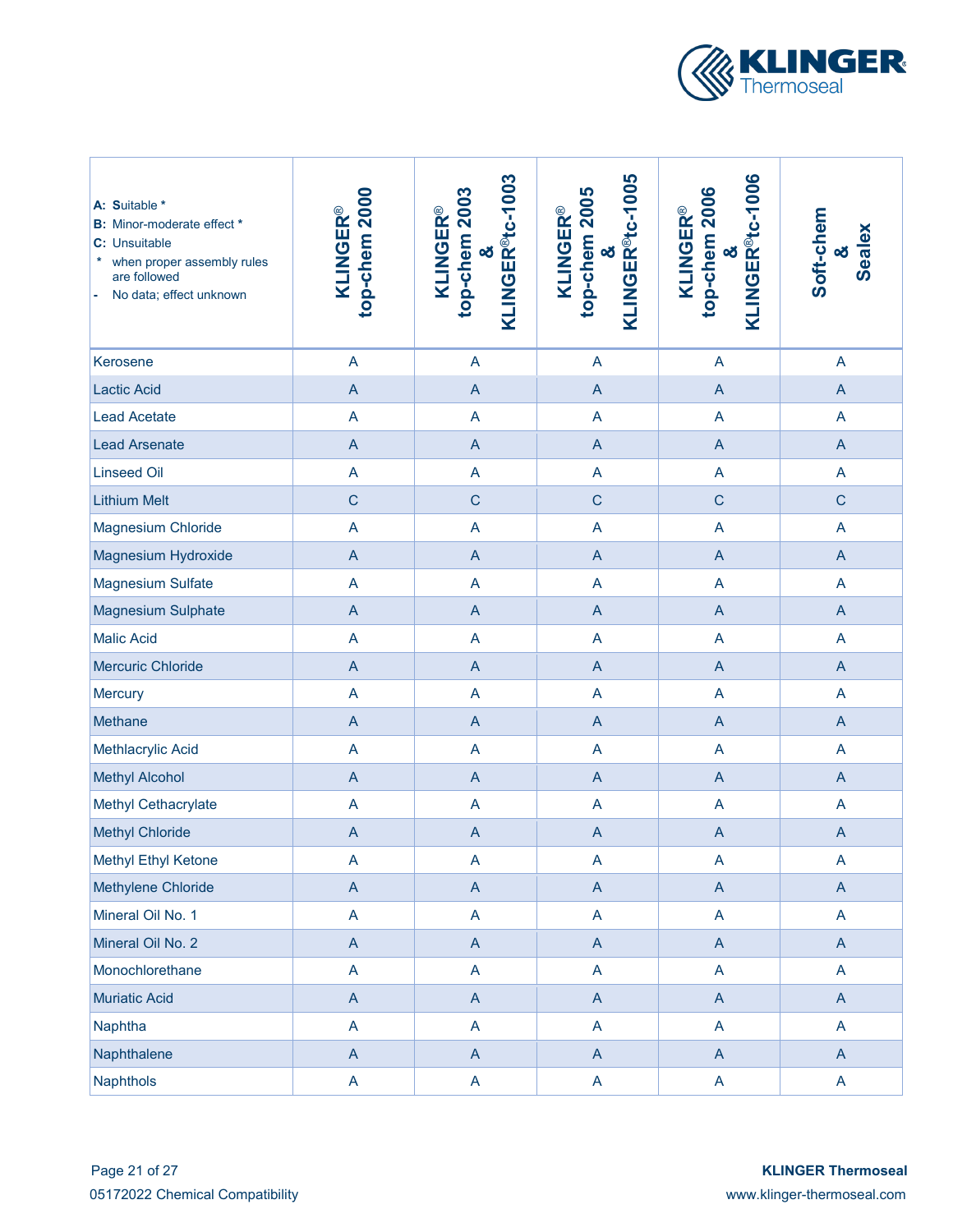

| A: Suitable *<br><b>B:</b> Minor-moderate effect *<br>C: Unsuitable<br>when proper assembly rules<br>are followed<br>No data; effect unknown | top-chem 2000<br><b>KLINGER®</b> | KLINGER <sup>®</sup> tc-1003<br>top-chem 2003<br><b>KLINGER®</b><br>න් | KLINGER <sup>®</sup> tc-1005<br>top-chem 2005<br><b>KLINGER®</b><br>οð | KLINGER <sup>®tc-1006</sup><br>top-chem 2006<br><b>KLINGER®</b><br>න් | Soft-chem<br>Sealex<br>න් |
|----------------------------------------------------------------------------------------------------------------------------------------------|----------------------------------|------------------------------------------------------------------------|------------------------------------------------------------------------|-----------------------------------------------------------------------|---------------------------|
| Kerosene                                                                                                                                     | A                                | A                                                                      | $\overline{A}$                                                         | A                                                                     | $\overline{A}$            |
| <b>Lactic Acid</b>                                                                                                                           | $\overline{A}$                   | $\mathsf{A}$                                                           | $\overline{A}$                                                         | $\overline{A}$                                                        | $\overline{A}$            |
| <b>Lead Acetate</b>                                                                                                                          | A                                | $\overline{A}$                                                         | A                                                                      | $\overline{A}$                                                        | $\overline{A}$            |
| <b>Lead Arsenate</b>                                                                                                                         | $\overline{A}$                   | $\mathsf{A}$                                                           | $\overline{A}$                                                         | $\overline{A}$                                                        | $\overline{A}$            |
| <b>Linseed Oil</b>                                                                                                                           | A                                | A                                                                      | A                                                                      | A                                                                     | $\overline{A}$            |
| <b>Lithium Melt</b>                                                                                                                          | $\mathsf{C}$                     | $\mathsf C$                                                            | $\mathsf{C}$                                                           | $\mathsf{C}$                                                          | $\mathsf C$               |
| Magnesium Chloride                                                                                                                           | $\overline{\mathsf{A}}$          | $\overline{A}$                                                         | A                                                                      | A                                                                     | $\overline{A}$            |
| Magnesium Hydroxide                                                                                                                          | $\overline{A}$                   | $\overline{A}$                                                         | $\overline{A}$                                                         | $\mathsf{A}$                                                          | $\overline{A}$            |
| <b>Magnesium Sulfate</b>                                                                                                                     | A                                | $\overline{A}$                                                         | A                                                                      | A                                                                     | $\overline{A}$            |
| <b>Magnesium Sulphate</b>                                                                                                                    | $\overline{A}$                   | $\overline{A}$                                                         | $\overline{A}$                                                         | $\overline{A}$                                                        | $\overline{A}$            |
| <b>Malic Acid</b>                                                                                                                            | A                                | $\overline{A}$                                                         | $\overline{A}$                                                         | $\overline{A}$                                                        | $\overline{A}$            |
| <b>Mercuric Chloride</b>                                                                                                                     | $\overline{A}$                   | $\mathsf{A}$                                                           | $\overline{A}$                                                         | $\mathsf{A}$                                                          | $\overline{A}$            |
| <b>Mercury</b>                                                                                                                               | A                                | A                                                                      | A                                                                      | $\overline{A}$                                                        | $\overline{\mathsf{A}}$   |
| Methane                                                                                                                                      | $\overline{A}$                   | $\mathsf{A}$                                                           | $\mathsf{A}$                                                           | $\mathsf{A}$                                                          | $\mathsf{A}$              |
| Methlacrylic Acid                                                                                                                            | A                                | A                                                                      | A                                                                      | A                                                                     | A                         |
| <b>Methyl Alcohol</b>                                                                                                                        | $\overline{A}$                   | $\mathsf{A}$                                                           | $\overline{A}$                                                         | $\overline{A}$                                                        | $\overline{A}$            |
| Methyl Cethacrylate                                                                                                                          | A                                | A                                                                      | A                                                                      | A                                                                     | $\overline{A}$            |
| <b>Methyl Chloride</b>                                                                                                                       | A                                | $\mathsf{A}$                                                           | $\overline{A}$                                                         | $\mathsf{A}$                                                          | $\overline{A}$            |
| Methyl Ethyl Ketone                                                                                                                          | A                                | $\mathsf{A}$                                                           | $\boldsymbol{\mathsf{A}}$                                              | A                                                                     | $\mathsf{A}$              |
| Methylene Chloride                                                                                                                           | $\mathsf A$                      | $\mathsf{A}$                                                           | $\mathsf{A}% _{\mathsf{A}}^{\prime}=\mathsf{A}_{\mathsf{A}}^{\prime}$  | $\boldsymbol{\mathsf{A}}$                                             | $\boldsymbol{\mathsf{A}}$ |
| Mineral Oil No. 1                                                                                                                            | A                                | $\mathsf{A}$                                                           | $\mathsf A$                                                            | A                                                                     | A                         |
| Mineral Oil No. 2                                                                                                                            | $\mathsf A$                      | $\mathsf{A}$                                                           | $\boldsymbol{\mathsf{A}}$                                              | $\mathsf{A}$                                                          | $\mathsf{A}$              |
| Monochlorethane                                                                                                                              | A                                | $\mathsf{A}$                                                           | A                                                                      | A                                                                     | A                         |
| <b>Muriatic Acid</b>                                                                                                                         | $\mathsf A$                      | $\mathsf{A}$                                                           | $\boldsymbol{\mathsf{A}}$                                              | $\boldsymbol{\mathsf{A}}$                                             | $\mathsf{A}$              |
| Naphtha                                                                                                                                      | A                                | $\mathsf{A}$                                                           | A                                                                      | A                                                                     | $\mathsf{A}$              |
| Naphthalene                                                                                                                                  | $\boldsymbol{\mathsf{A}}$        | $\mathsf{A}$                                                           | $\boldsymbol{\mathsf{A}}$                                              | $\mathsf{A}$                                                          | $\mathsf{A}$              |
| <b>Naphthols</b>                                                                                                                             | A                                | $\mathsf{A}$                                                           | A                                                                      | A                                                                     | $\mathsf{A}$              |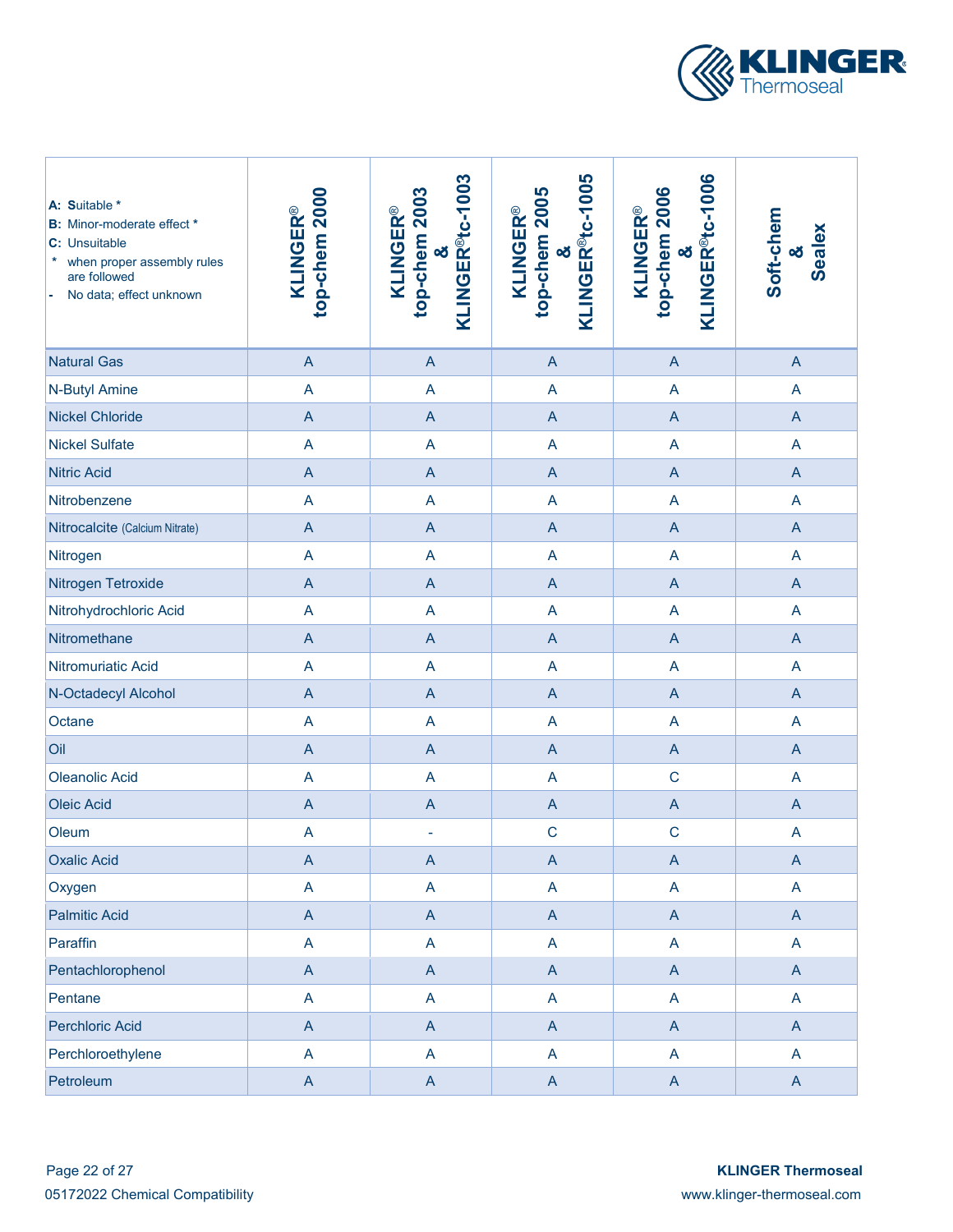

| A: Suitable *<br><b>B:</b> Minor-moderate effect *<br>C: Unsuitable<br>*<br>when proper assembly rules<br>are followed<br>No data; effect unknown | top-chem 2000<br><b>KLINGER®</b>                                      | KLINGER <sup>®</sup> tc-1003<br>top-chem 2003<br><b>KLINGER®</b><br>න් | KLINGER <sup>®</sup> tc-1005<br>top-chem 2005<br><b>KLINGER®</b><br>න් | KLINGER <sup>®</sup> tc-1006<br>top-chem 2006<br><b>KLINGER®</b><br>න් | Soft-chem<br>Sealex<br>οð |
|---------------------------------------------------------------------------------------------------------------------------------------------------|-----------------------------------------------------------------------|------------------------------------------------------------------------|------------------------------------------------------------------------|------------------------------------------------------------------------|---------------------------|
| <b>Natural Gas</b>                                                                                                                                | $\overline{A}$                                                        | $\overline{A}$                                                         | A                                                                      | $\boldsymbol{\mathsf{A}}$                                              | $\overline{A}$            |
| N-Butyl Amine                                                                                                                                     | A                                                                     | A                                                                      | A                                                                      | A                                                                      | $\overline{A}$            |
| <b>Nickel Chloride</b>                                                                                                                            | $\overline{A}$                                                        | $\overline{A}$                                                         | A                                                                      | $\overline{A}$                                                         | $\overline{A}$            |
| <b>Nickel Sulfate</b>                                                                                                                             | $\overline{\mathsf{A}}$                                               | A                                                                      | A                                                                      | A                                                                      | $\overline{A}$            |
| <b>Nitric Acid</b>                                                                                                                                | $\overline{A}$                                                        | $\overline{A}$                                                         | $\overline{A}$                                                         | $\mathsf A$                                                            | $\overline{A}$            |
| Nitrobenzene                                                                                                                                      | A                                                                     | A                                                                      | A                                                                      | A                                                                      | $\overline{A}$            |
| Nitrocalcite (Calcium Nitrate)                                                                                                                    | $\overline{A}$                                                        | $\overline{A}$                                                         | $\overline{A}$                                                         | $\overline{A}$                                                         | $\overline{A}$            |
| Nitrogen                                                                                                                                          | $\overline{\mathsf{A}}$                                               | A                                                                      | A                                                                      | A                                                                      | A                         |
| Nitrogen Tetroxide                                                                                                                                | $\overline{A}$                                                        | $\overline{A}$                                                         | A                                                                      | $\overline{A}$                                                         | $\overline{A}$            |
| Nitrohydrochloric Acid                                                                                                                            | A                                                                     | A                                                                      | A                                                                      | A                                                                      | A                         |
| Nitromethane                                                                                                                                      | $\mathsf A$                                                           | $\mathsf{A}$                                                           | A                                                                      | $\mathsf A$                                                            | $\mathsf{A}$              |
| Nitromuriatic Acid                                                                                                                                | $\overline{A}$                                                        | A                                                                      | A                                                                      | A                                                                      | A                         |
| N-Octadecyl Alcohol                                                                                                                               | $\mathsf{A}% _{\mathsf{A}}^{\prime}=\mathsf{A}_{\mathsf{A}}^{\prime}$ | $\boldsymbol{\mathsf{A}}$                                              | A                                                                      | $\boldsymbol{\mathsf{A}}$                                              | $\mathsf{A}$              |
| Octane                                                                                                                                            | A                                                                     | A                                                                      | A                                                                      | A                                                                      | A                         |
| Oil                                                                                                                                               | $\overline{A}$                                                        | $\overline{A}$                                                         | $\mathsf{A}$                                                           | $\mathsf{A}$                                                           | $\mathsf{A}$              |
| <b>Oleanolic Acid</b>                                                                                                                             | A                                                                     | A                                                                      | A                                                                      | $\mathsf{C}$                                                           | $\overline{A}$            |
| <b>Oleic Acid</b>                                                                                                                                 | $\mathsf A$                                                           | $\boldsymbol{\mathsf{A}}$                                              | $\mathsf A$                                                            | $\mathsf{A}$                                                           | $\mathsf{A}$              |
| Oleum                                                                                                                                             | A                                                                     | $\blacksquare$                                                         | $\mathsf{C}$                                                           | $\mathsf C$                                                            | $\overline{A}$            |
| <b>Oxalic Acid</b>                                                                                                                                | A                                                                     | A                                                                      | A                                                                      | A                                                                      | $\mathsf{A}$              |
| Oxygen                                                                                                                                            | A                                                                     | A                                                                      | $\boldsymbol{\mathsf{A}}$                                              | A                                                                      | $\mathsf{A}$              |
| <b>Palmitic Acid</b>                                                                                                                              | $\mathsf{A}$                                                          | $\mathsf{A}$                                                           | $\boldsymbol{\mathsf{A}}$                                              | $\mathsf{A}$                                                           | $\mathsf{A}$              |
| Paraffin                                                                                                                                          | A                                                                     | A                                                                      | $\mathsf{A}$                                                           | A                                                                      | A                         |
| Pentachlorophenol                                                                                                                                 | $\mathsf{A}$                                                          | $\mathsf{A}$                                                           | $\boldsymbol{\mathsf{A}}$                                              | $\mathsf{A}$                                                           | $\mathsf{A}$              |
| Pentane                                                                                                                                           | A                                                                     | A                                                                      | $\mathsf{A}$                                                           | A                                                                      | $\mathsf{A}$              |
| <b>Perchloric Acid</b>                                                                                                                            | $\overline{A}$                                                        | $\mathsf{A}$                                                           | $\boldsymbol{\mathsf{A}}$                                              | $\mathsf{A}$                                                           | $\mathsf{A}$              |
| Perchloroethylene                                                                                                                                 | A                                                                     | A                                                                      | $\mathsf{A}$                                                           | A                                                                      | A                         |
| Petroleum                                                                                                                                         | $\boldsymbol{\mathsf{A}}$                                             | $\mathsf{A}$                                                           | $\boldsymbol{\mathsf{A}}$                                              | $\mathsf{A}$                                                           | $\mathsf{A}$              |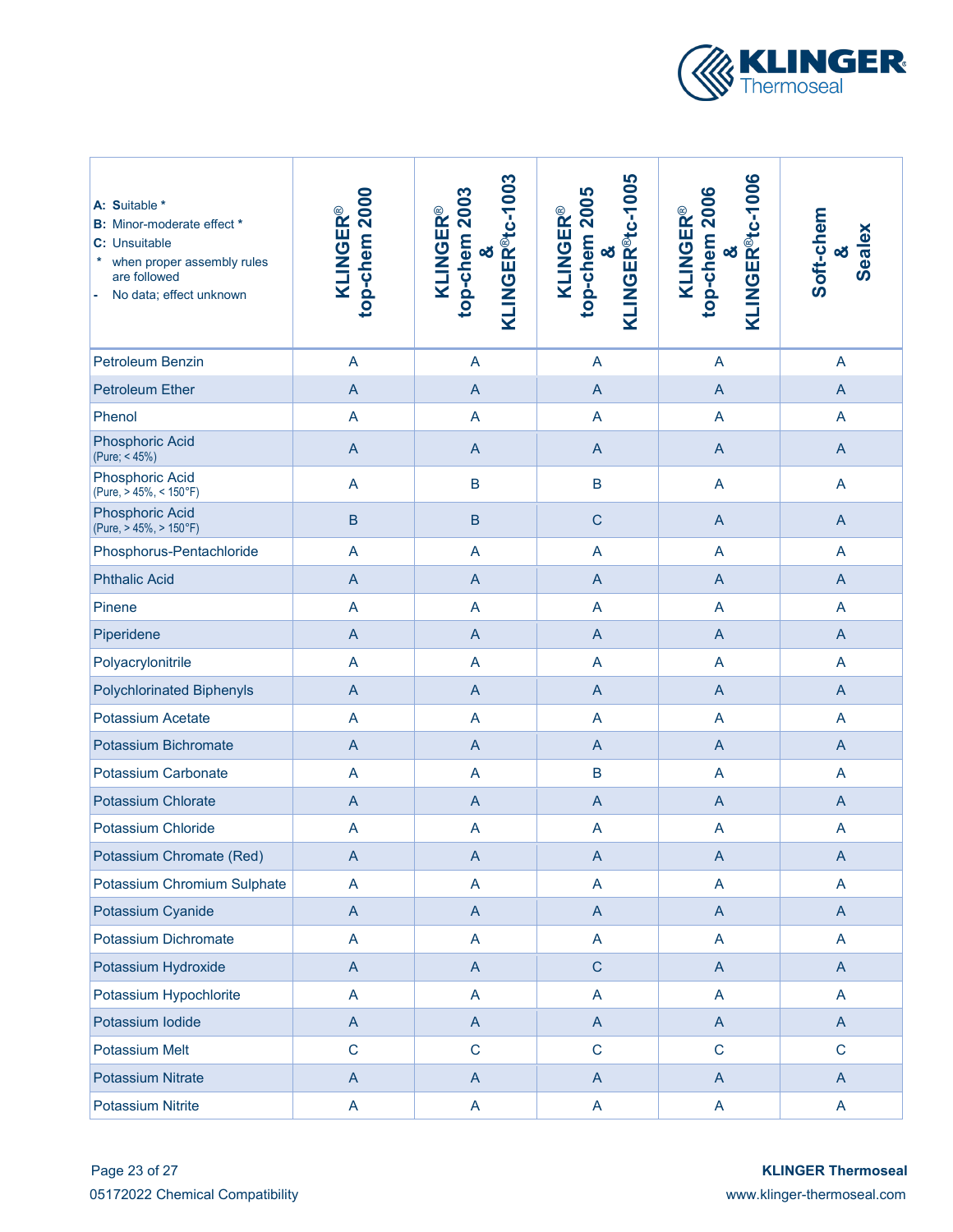

| A: Suitable *<br><b>B:</b> Minor-moderate effect *<br>C: Unsuitable<br>when proper assembly rules<br>are followed<br>No data; effect unknown | top-chem 2000<br><b>KLINGER®</b>                                      | KLINGER <sup>®</sup> tc-1003<br>top-chem 2003<br><b>KLINGER®</b><br>න් | KLINGER <sup>®</sup> tc-1005<br>top-chem 2005<br><b>KLINGER®</b><br>οð | KLINGER <sup>®</sup> tc-1006<br>top-chem 2006<br><b>KLINGER®</b><br>න් | Soft-chem<br><b>Sealex</b><br>න් |
|----------------------------------------------------------------------------------------------------------------------------------------------|-----------------------------------------------------------------------|------------------------------------------------------------------------|------------------------------------------------------------------------|------------------------------------------------------------------------|----------------------------------|
| Petroleum Benzin                                                                                                                             | $\boldsymbol{\mathsf{A}}$                                             | $\mathsf{A}$                                                           | A                                                                      | A                                                                      | $\overline{A}$                   |
| <b>Petroleum Ether</b>                                                                                                                       | $\overline{A}$                                                        | $\overline{A}$                                                         | $\overline{A}$                                                         | $\mathsf{A}$                                                           | $\overline{A}$                   |
| Phenol                                                                                                                                       | A                                                                     | A                                                                      | A                                                                      | A                                                                      | $\overline{A}$                   |
| <b>Phosphoric Acid</b><br>(Pure; < 45%)                                                                                                      | $\boldsymbol{\mathsf{A}}$                                             | $\mathsf{A}$                                                           | $\overline{A}$                                                         | $\mathsf{A}$                                                           | $\mathsf{A}$                     |
| <b>Phosphoric Acid</b><br>(Pure, > 45%, < 150°F)                                                                                             | $\overline{\mathsf{A}}$                                               | B                                                                      | $\overline{B}$                                                         | $\overline{\mathsf{A}}$                                                | $\overline{A}$                   |
| <b>Phosphoric Acid</b><br>(Pure, > 45%, > 150°F)                                                                                             | $\sf B$                                                               | $\sf B$                                                                | $\mathsf{C}$                                                           | $\mathsf{A}$                                                           | $\mathsf{A}$                     |
| Phosphorus-Pentachloride                                                                                                                     | $\boldsymbol{\mathsf{A}}$                                             | A                                                                      | A                                                                      | A                                                                      | A                                |
| <b>Phthalic Acid</b>                                                                                                                         | $\boldsymbol{\mathsf{A}}$                                             | $\mathsf{A}$                                                           | $\overline{A}$                                                         | $\mathsf{A}$                                                           | $\mathsf{A}$                     |
| Pinene                                                                                                                                       | A                                                                     | A                                                                      | A                                                                      | A                                                                      | A                                |
| Piperidene                                                                                                                                   | $\mathsf A$                                                           | $\mathsf{A}$                                                           | $\overline{A}$                                                         | $\mathsf{A}$                                                           | $\mathsf{A}$                     |
| Polyacrylonitrile                                                                                                                            | $\overline{\mathsf{A}}$                                               | A                                                                      | $\overline{\mathsf{A}}$                                                | $\overline{\mathsf{A}}$                                                | $\overline{A}$                   |
| <b>Polychlorinated Biphenyls</b>                                                                                                             | $\boldsymbol{\mathsf{A}}$                                             | $\mathsf{A}$                                                           | $\overline{A}$                                                         | $\mathsf{A}$                                                           | $\mathsf{A}$                     |
| Potassium Acetate                                                                                                                            | $\overline{\mathsf{A}}$                                               | $\overline{\mathsf{A}}$                                                | A                                                                      | A                                                                      | $\overline{A}$                   |
| Potassium Bichromate                                                                                                                         | $\mathsf A$                                                           | $\mathsf{A}$                                                           | $\overline{A}$                                                         | $\mathsf{A}$                                                           | $\mathsf{A}$                     |
| <b>Potassium Carbonate</b>                                                                                                                   | $\overline{\mathsf{A}}$                                               | $\overline{\mathsf{A}}$                                                | $\mathsf B$                                                            | A                                                                      | $\overline{A}$                   |
| Potassium Chlorate                                                                                                                           | $\overline{A}$                                                        | $\mathsf{A}$                                                           | $\overline{A}$                                                         | $\mathsf{A}$                                                           | $\overline{A}$                   |
| Potassium Chloride                                                                                                                           | A                                                                     | $\overline{\mathsf{A}}$                                                | A                                                                      | $\mathsf{A}$                                                           | A                                |
| Potassium Chromate (Red)                                                                                                                     | $\mathsf A$                                                           | $\mathsf{A}% _{\mathsf{A}}^{\prime}=\mathsf{A}_{\mathsf{A}}^{\prime}$  | $\overline{A}$                                                         | $\mathsf A$                                                            | $\mathsf A$                      |
| Potassium Chromium Sulphate                                                                                                                  | A                                                                     | A                                                                      | A                                                                      | $\overline{\mathsf{A}}$                                                | $\overline{A}$                   |
| Potassium Cyanide                                                                                                                            | $\mathsf A$                                                           | $\overline{A}$                                                         | $\overline{A}$                                                         | $\mathsf A$                                                            | $\overline{A}$                   |
| Potassium Dichromate                                                                                                                         | A                                                                     | A                                                                      | A                                                                      | $\overline{\mathsf{A}}$                                                | $\overline{A}$                   |
| Potassium Hydroxide                                                                                                                          | $\mathsf{A}% _{\mathsf{A}}^{\prime}=\mathsf{A}_{\mathsf{A}}^{\prime}$ | $\overline{A}$                                                         | $\mathsf C$                                                            | $\boldsymbol{\mathsf{A}}$                                              | $\overline{A}$                   |
| Potassium Hypochlorite                                                                                                                       | $\mathsf A$                                                           | A                                                                      | A                                                                      | A                                                                      | $\overline{A}$                   |
| Potassium lodide                                                                                                                             | $\overline{A}$                                                        | $\mathsf{A}$                                                           | $\overline{A}$                                                         | $\mathsf{A}$                                                           | $\mathsf{A}$                     |
| <b>Potassium Melt</b>                                                                                                                        | $\mathsf{C}$                                                          | $\mathbf C$                                                            | $\mathsf C$                                                            | $\mathbf C$                                                            | $\mathbf C$                      |
| <b>Potassium Nitrate</b>                                                                                                                     | $\boldsymbol{\mathsf{A}}$                                             | $\mathsf{A}$                                                           | $\mathsf{A}$                                                           | $\mathsf{A}$                                                           | $\mathsf{A}$                     |
| <b>Potassium Nitrite</b>                                                                                                                     | $\mathsf A$                                                           | $\mathsf{A}$                                                           | A                                                                      | $\mathsf{A}$                                                           | $\mathsf{A}$                     |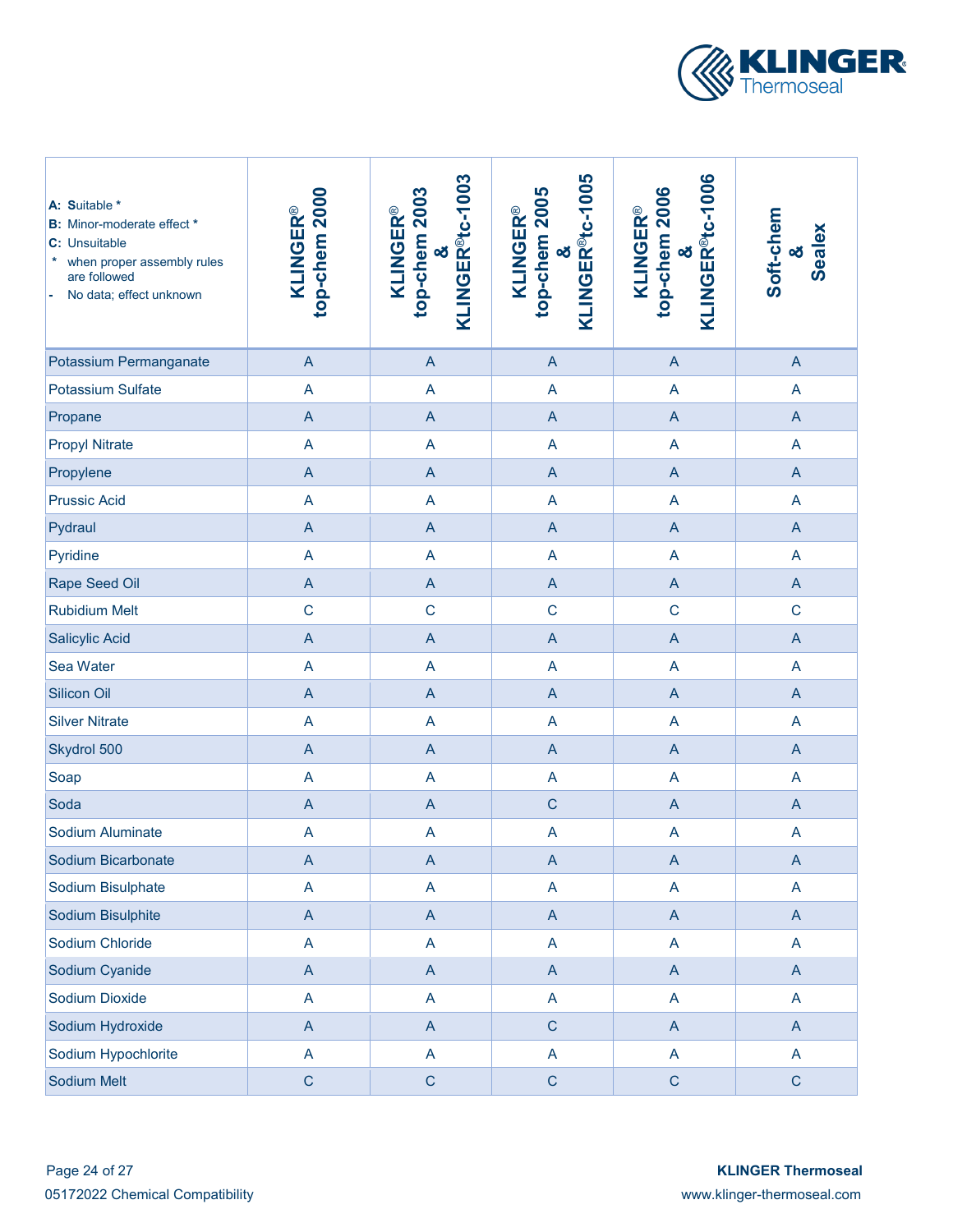

| A: Suitable *<br><b>B:</b> Minor-moderate effect *<br>C: Unsuitable<br>when proper assembly rules<br>*<br>are followed<br>No data; effect unknown | top-chem 2000<br><b>KLINGER®</b>                                      | KLINGER <sup>®tc-1003</sup><br>top-chem 2003<br><b>KLINGER®</b><br>න් | KLINGER <sup>®</sup> tc-1005<br>top-chem 2005<br><b>KLINGER®</b><br>οð | KLINGER <sup>®tc-1006</sup><br>top-chem 2006<br><b>KLINGER®</b><br>න් | Soft-chem<br>Sealex<br>න් |
|---------------------------------------------------------------------------------------------------------------------------------------------------|-----------------------------------------------------------------------|-----------------------------------------------------------------------|------------------------------------------------------------------------|-----------------------------------------------------------------------|---------------------------|
| Potassium Permanganate                                                                                                                            | $\overline{A}$                                                        | $\overline{A}$                                                        | $\mathsf{A}$                                                           | $\overline{A}$                                                        | $\overline{A}$            |
| <b>Potassium Sulfate</b>                                                                                                                          | A                                                                     | $\overline{A}$                                                        | A                                                                      | A                                                                     | A                         |
| Propane                                                                                                                                           | $\overline{A}$                                                        | $\overline{A}$                                                        | $\mathsf A$                                                            | $\overline{A}$                                                        | $\overline{A}$            |
| <b>Propyl Nitrate</b>                                                                                                                             | $\overline{\mathsf{A}}$                                               | $\overline{A}$                                                        | A                                                                      | $\overline{\mathsf{A}}$                                               | $\mathsf{A}$              |
| Propylene                                                                                                                                         | $\mathsf{A}% _{\mathsf{A}}^{\prime}=\mathsf{A}_{\mathsf{A}}^{\prime}$ | $\overline{A}$                                                        | $\mathsf A$                                                            | $\overline{A}$                                                        | $\overline{A}$            |
| <b>Prussic Acid</b>                                                                                                                               | A                                                                     | A                                                                     | A                                                                      | A                                                                     | $\overline{A}$            |
| Pydraul                                                                                                                                           | $\overline{A}$                                                        | $\overline{A}$                                                        | $\mathsf A$                                                            | $\overline{A}$                                                        | $\overline{A}$            |
| Pyridine                                                                                                                                          | A                                                                     | $\overline{A}$                                                        | A                                                                      | A                                                                     | A                         |
| Rape Seed Oil                                                                                                                                     | $\overline{A}$                                                        | $\overline{A}$                                                        | $\mathsf A$                                                            | $\overline{A}$                                                        | $\overline{A}$            |
| <b>Rubidium Melt</b>                                                                                                                              | $\mathsf C$                                                           | $\mathsf{C}$                                                          | $\mathsf C$                                                            | $\mathsf{C}$                                                          | $\mathbf C$               |
| <b>Salicylic Acid</b>                                                                                                                             | $\overline{A}$                                                        | $\overline{A}$                                                        | A                                                                      | $\overline{A}$                                                        | $\overline{A}$            |
| Sea Water                                                                                                                                         | $\overline{\mathsf{A}}$                                               | $\overline{A}$                                                        | A                                                                      | $\overline{\mathsf{A}}$                                               | A                         |
| Silicon Oil                                                                                                                                       | $\boldsymbol{\mathsf{A}}$                                             | $\overline{A}$                                                        | A                                                                      | $\overline{A}$                                                        | $\overline{A}$            |
| <b>Silver Nitrate</b>                                                                                                                             | $\overline{\mathsf{A}}$                                               | A                                                                     | A                                                                      | $\overline{A}$                                                        | A                         |
| Skydrol 500                                                                                                                                       | $\overline{A}$                                                        | $\mathsf{A}$                                                          | $\mathsf{A}$                                                           | $\mathsf{A}$                                                          | $\overline{A}$            |
| Soap                                                                                                                                              | A                                                                     | $\overline{A}$                                                        | A                                                                      | $\overline{A}$                                                        | $\mathsf{A}$              |
| Soda                                                                                                                                              | $\overline{A}$                                                        | $\overline{A}$                                                        | $\mathsf C$                                                            | $\overline{A}$                                                        | $\mathsf{A}$              |
| Sodium Aluminate                                                                                                                                  | A                                                                     | $\overline{\mathsf{A}}$                                               | A                                                                      | A                                                                     | $\overline{A}$            |
| Sodium Bicarbonate                                                                                                                                | $\boldsymbol{\mathsf{A}}$                                             | $\boldsymbol{\mathsf{A}}$                                             | $\mathsf A$                                                            | $\boldsymbol{\mathsf{A}}$                                             | $\mathsf{A}$              |
| Sodium Bisulphate                                                                                                                                 | A                                                                     | $\mathsf{A}$                                                          | $\boldsymbol{\mathsf{A}}$                                              | A                                                                     | $\mathsf{A}$              |
| Sodium Bisulphite                                                                                                                                 | $\boldsymbol{\mathsf{A}}$                                             | $\mathsf{A}$                                                          | $\mathsf A$                                                            | $\mathsf{A}$                                                          | $\mathsf{A}$              |
| Sodium Chloride                                                                                                                                   | A                                                                     | $\overline{\mathsf{A}}$                                               | $\boldsymbol{\mathsf{A}}$                                              | A                                                                     | $\mathsf{A}$              |
| Sodium Cyanide                                                                                                                                    | $\boldsymbol{\mathsf{A}}$                                             | $\mathsf{A}$                                                          | $\mathsf A$                                                            | $\mathsf{A}$                                                          | $\mathsf{A}$              |
| Sodium Dioxide                                                                                                                                    | A                                                                     | $\mathsf{A}$                                                          | $\boldsymbol{\mathsf{A}}$                                              | A                                                                     | $\mathsf{A}$              |
| Sodium Hydroxide                                                                                                                                  | $\boldsymbol{\mathsf{A}}$                                             | $\mathsf{A}$                                                          | $\mathsf C$                                                            | $\mathsf{A}$                                                          | $\mathsf{A}$              |
| Sodium Hypochlorite                                                                                                                               | $\mathsf{A}$                                                          | $\mathsf{A}$                                                          | $\boldsymbol{\mathsf{A}}$                                              | A                                                                     | $\mathsf{A}$              |
| Sodium Melt                                                                                                                                       | $\mathsf C$                                                           | ${\bf C}$                                                             | $\mathsf C$                                                            | $\mathsf C$                                                           | $\mathbf C$               |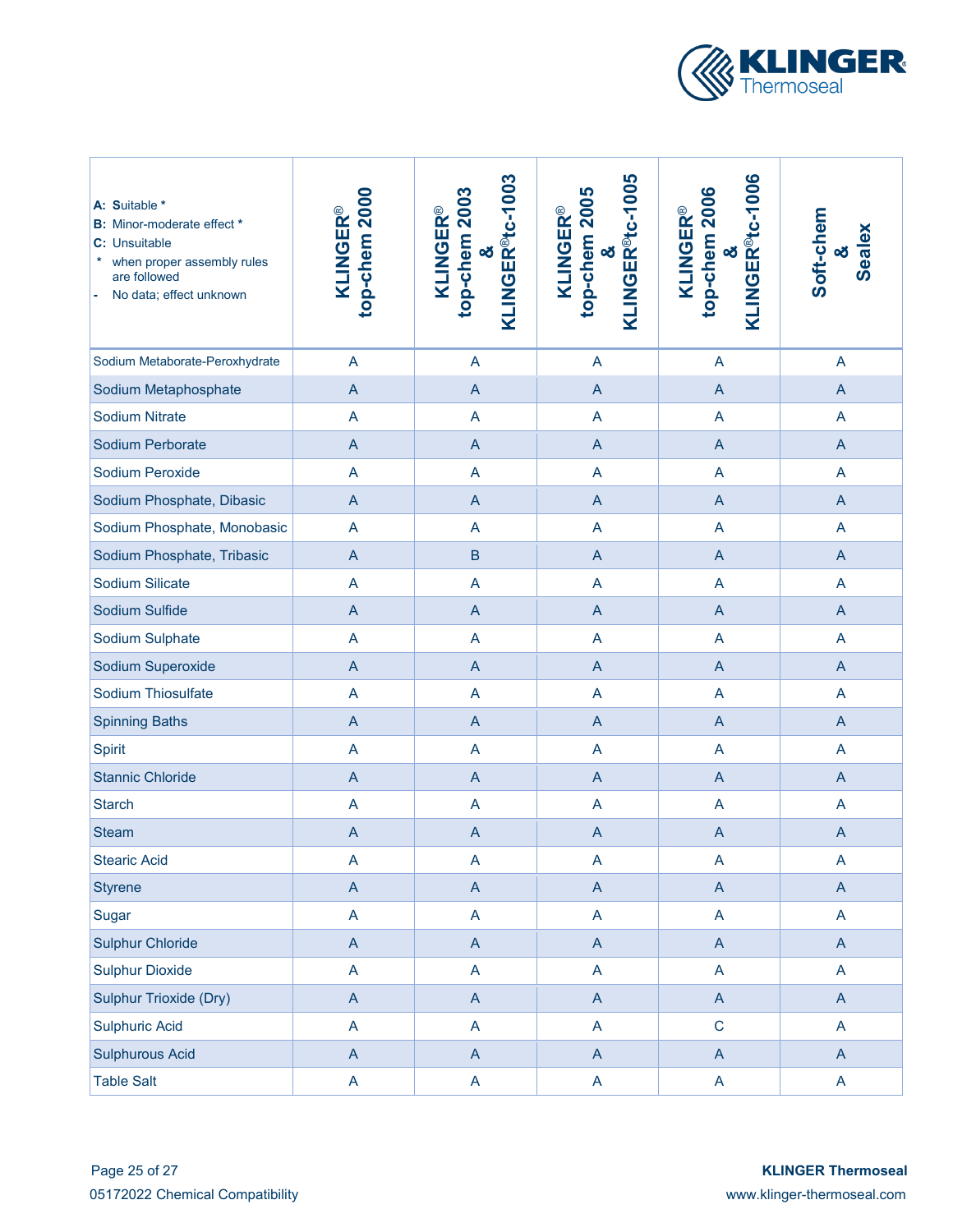

| A: Suitable *<br><b>B:</b> Minor-moderate effect *<br>C: Unsuitable<br>when proper assembly rules<br>are followed<br>No data; effect unknown | top-chem 2000<br><b>KLINGER®</b> | KLINGER <sup>®</sup> tc-1003<br>top-chem 2003<br><b>KLINGER®</b><br>න් | KLINGER <sup>®</sup> tc-1005<br>top-chem 2005<br><b>KLINGER®</b><br>න් | KLINGER <sup>®</sup> tc-1006<br>top-chem 2006<br><b>KLINGER®</b><br>න් | Soft-chem<br><b>Sealex</b><br>න් |
|----------------------------------------------------------------------------------------------------------------------------------------------|----------------------------------|------------------------------------------------------------------------|------------------------------------------------------------------------|------------------------------------------------------------------------|----------------------------------|
| Sodium Metaborate-Peroxhydrate                                                                                                               | A                                | A                                                                      | A                                                                      | A                                                                      | $\mathsf{A}$                     |
| Sodium Metaphosphate                                                                                                                         | A                                | $\mathsf{A}$                                                           | $\overline{A}$                                                         | A                                                                      | $\mathsf{A}$                     |
| <b>Sodium Nitrate</b>                                                                                                                        | $\overline{\mathsf{A}}$          | A                                                                      | A                                                                      | A                                                                      | $\mathsf{A}$                     |
| Sodium Perborate                                                                                                                             | $\mathsf A$                      | $\mathsf{A}$                                                           | $\overline{A}$                                                         | $\overline{A}$                                                         | $\overline{A}$                   |
| Sodium Peroxide                                                                                                                              | A                                | A                                                                      | A                                                                      | A                                                                      | A                                |
| Sodium Phosphate, Dibasic                                                                                                                    | $\mathsf A$                      | $\overline{A}$                                                         | $\overline{A}$                                                         | $\mathsf{A}$                                                           | $\overline{A}$                   |
| Sodium Phosphate, Monobasic                                                                                                                  | $\overline{\mathsf{A}}$          | A                                                                      | $\overline{A}$                                                         | A                                                                      | $\mathsf{A}$                     |
| Sodium Phosphate, Tribasic                                                                                                                   | $\overline{A}$                   | $\mathsf B$                                                            | $\overline{A}$                                                         | $\overline{A}$                                                         | $\overline{A}$                   |
| Sodium Silicate                                                                                                                              | $\overline{\mathsf{A}}$          | A                                                                      | A                                                                      | A                                                                      | A                                |
| Sodium Sulfide                                                                                                                               | $\overline{A}$                   | $\mathsf{A}$                                                           | $\overline{A}$                                                         | $\overline{A}$                                                         | $\overline{A}$                   |
| Sodium Sulphate                                                                                                                              | $\overline{\mathsf{A}}$          | A                                                                      | A                                                                      | A                                                                      | A                                |
| Sodium Superoxide                                                                                                                            | $\mathsf A$                      | $\mathsf{A}$                                                           | $\overline{A}$                                                         | $\mathsf{A}$                                                           | $\mathsf{A}$                     |
| Sodium Thiosulfate                                                                                                                           | $\overline{A}$                   | A                                                                      | A                                                                      | A                                                                      | $\overline{A}$                   |
| <b>Spinning Baths</b>                                                                                                                        | $\mathsf{A}$                     | $\mathsf{A}$                                                           | $\overline{A}$                                                         | $\mathsf{A}$                                                           | $\mathsf{A}$                     |
| <b>Spirit</b>                                                                                                                                | $\overline{\mathsf{A}}$          | A                                                                      | A                                                                      | A                                                                      | $\mathsf{A}$                     |
| <b>Stannic Chloride</b>                                                                                                                      | $\mathsf{A}$                     | $\mathsf{A}$                                                           | $\overline{A}$                                                         | A                                                                      | $\overline{A}$                   |
| <b>Starch</b>                                                                                                                                | A                                | $\overline{A}$                                                         | A                                                                      | A                                                                      | $\mathsf{A}$                     |
| <b>Steam</b>                                                                                                                                 | $\mathsf{A}$                     | $\mathsf{A}$                                                           | $\overline{A}$                                                         | $\overline{A}$                                                         | $\overline{A}$                   |
| <b>Stearic Acid</b>                                                                                                                          | A                                | $\boldsymbol{\mathsf{A}}$                                              | A                                                                      | A                                                                      | A                                |
| <b>Styrene</b>                                                                                                                               | $\mathsf A$                      | $\mathsf{A}$                                                           | $\mathsf{A}$                                                           | $\mathsf{A}$                                                           | $\mathsf{A}$                     |
| Sugar                                                                                                                                        | A                                | $\mathsf{A}$                                                           | A                                                                      | A                                                                      | $\mathsf{A}$                     |
| <b>Sulphur Chloride</b>                                                                                                                      | $\mathsf A$                      | $\mathsf{A}$                                                           | $\boldsymbol{\mathsf{A}}$                                              | $\mathsf{A}$                                                           | $\mathsf{A}$                     |
| <b>Sulphur Dioxide</b>                                                                                                                       | A                                | $\mathsf{A}$                                                           | A                                                                      | A                                                                      | $\mathsf{A}$                     |
| <b>Sulphur Trioxide (Dry)</b>                                                                                                                | $\boldsymbol{\mathsf{A}}$        | $\mathsf{A}$                                                           | $\boldsymbol{\mathsf{A}}$                                              | $\mathsf{A}$                                                           | $\mathsf{A}$                     |
| <b>Sulphuric Acid</b>                                                                                                                        | A                                | $\mathsf{A}$                                                           | $\mathsf A$                                                            | $\mathbf C$                                                            | $\mathsf{A}$                     |
| <b>Sulphurous Acid</b>                                                                                                                       | $\boldsymbol{\mathsf{A}}$        | $\mathsf{A}$                                                           | $\boldsymbol{\mathsf{A}}$                                              | $\mathsf{A}$                                                           | $\mathsf{A}$                     |
| <b>Table Salt</b>                                                                                                                            | A                                | $\mathsf{A}$                                                           | A                                                                      | A                                                                      | $\mathsf{A}$                     |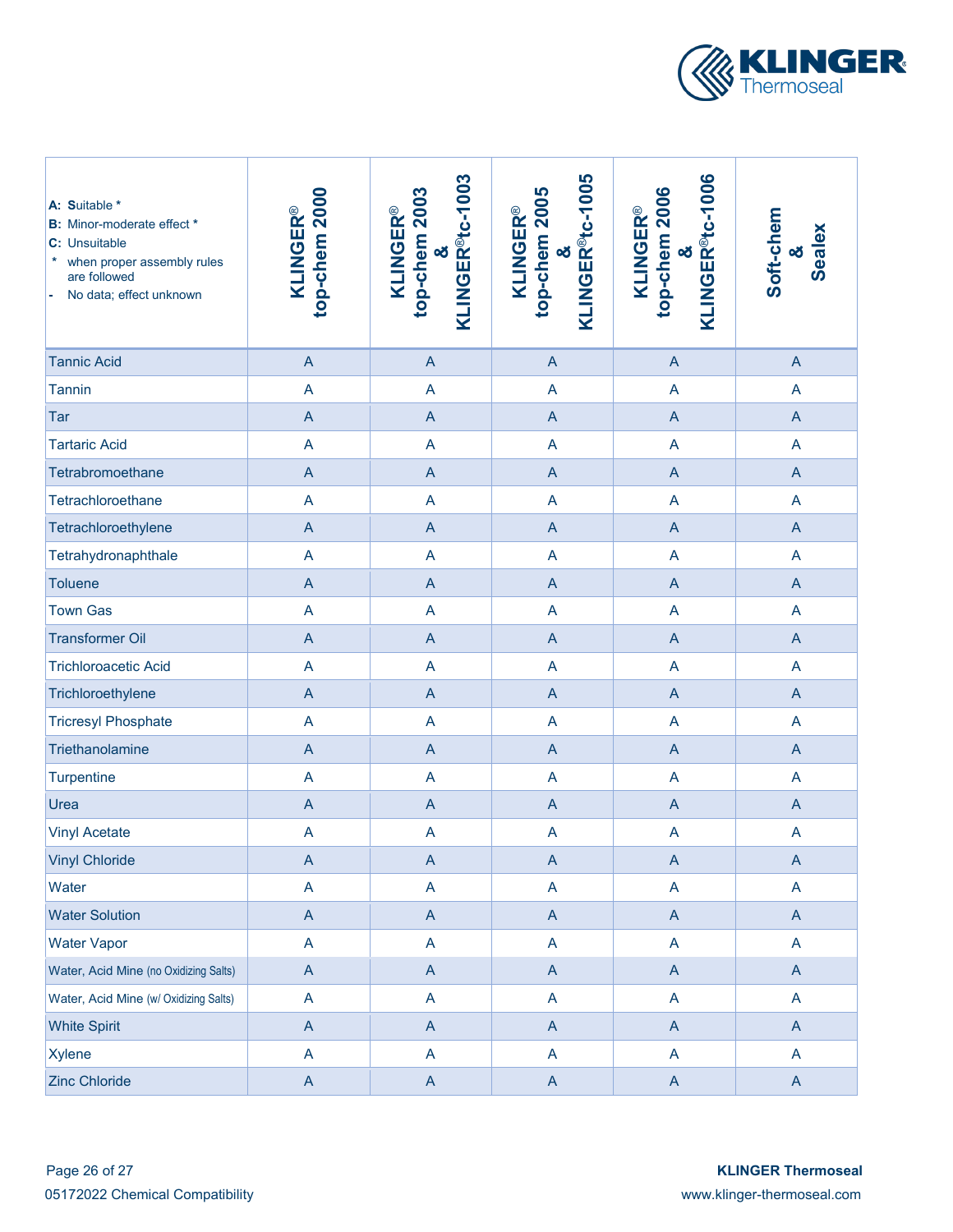

| A: Suitable *<br><b>B:</b> Minor-moderate effect *<br>C: Unsuitable<br>when proper assembly rules<br>*<br>are followed<br>No data; effect unknown | top-chem 2000<br><b>KLINGER®</b>                                      | KLINGER <sup>®tc-1003</sup><br>top-chem 2003<br><b>KLINGER®</b><br>න් | KLINGER <sup>®</sup> tc-1005<br>top-chem 2005<br><b>KLINGER®</b><br>න් | KLINGER <sup>®t</sup> c-1006<br>top-chem 2006<br><b>KLINGER®</b><br>න් | Soft-chem<br>Sealex<br>න් |
|---------------------------------------------------------------------------------------------------------------------------------------------------|-----------------------------------------------------------------------|-----------------------------------------------------------------------|------------------------------------------------------------------------|------------------------------------------------------------------------|---------------------------|
| <b>Tannic Acid</b>                                                                                                                                | $\overline{A}$                                                        | $\overline{A}$                                                        | $\overline{A}$                                                         | $\overline{A}$                                                         | $\overline{A}$            |
| <b>Tannin</b>                                                                                                                                     | $\overline{\mathsf{A}}$                                               | A                                                                     | $\overline{\mathsf{A}}$                                                | A                                                                      | $\overline{A}$            |
| Tar                                                                                                                                               | $\overline{A}$                                                        | $\overline{A}$                                                        | A                                                                      | $\overline{A}$                                                         | $\overline{A}$            |
| <b>Tartaric Acid</b>                                                                                                                              | $\overline{\mathsf{A}}$                                               | A                                                                     | $\overline{\mathsf{A}}$                                                | $\overline{\mathsf{A}}$                                                | $\overline{A}$            |
| Tetrabromoethane                                                                                                                                  | $\overline{A}$                                                        | $\overline{A}$                                                        | $\overline{A}$                                                         | $\overline{A}$                                                         | $\overline{A}$            |
| Tetrachloroethane                                                                                                                                 | A                                                                     | $\overline{\mathsf{A}}$                                               | A                                                                      | A                                                                      | $\overline{A}$            |
| Tetrachloroethylene                                                                                                                               | $\overline{A}$                                                        | $\overline{A}$                                                        | $\overline{A}$                                                         | $\overline{A}$                                                         | $\overline{A}$            |
| Tetrahydronaphthale                                                                                                                               | $\overline{\mathsf{A}}$                                               | $\overline{\mathsf{A}}$                                               | A                                                                      | $\overline{\mathsf{A}}$                                                | $\overline{A}$            |
| <b>Toluene</b>                                                                                                                                    | $\overline{A}$                                                        | $\overline{A}$                                                        | $\overline{A}$                                                         | $\overline{A}$                                                         | $\overline{A}$            |
| <b>Town Gas</b>                                                                                                                                   | $\overline{\mathsf{A}}$                                               | $\overline{\mathsf{A}}$                                               | A                                                                      | $\overline{\mathsf{A}}$                                                | A                         |
| <b>Transformer Oil</b>                                                                                                                            | $\overline{A}$                                                        | $\overline{A}$                                                        | A                                                                      | $\overline{A}$                                                         | $\overline{A}$            |
| <b>Trichloroacetic Acid</b>                                                                                                                       | $\overline{\mathsf{A}}$                                               | A                                                                     | A                                                                      | $\overline{\mathsf{A}}$                                                | A                         |
| Trichloroethylene                                                                                                                                 | $\mathsf A$                                                           | $\overline{A}$                                                        | A                                                                      | $\mathsf A$                                                            | $\mathsf{A}$              |
| <b>Tricresyl Phosphate</b>                                                                                                                        | $\overline{A}$                                                        | A                                                                     | A                                                                      | A                                                                      | A                         |
| Triethanolamine                                                                                                                                   | $\mathsf{A}% _{\mathsf{A}}^{\prime}=\mathsf{A}_{\mathsf{A}}^{\prime}$ | $\mathsf{A}$                                                          | $\overline{A}$                                                         | $\boldsymbol{\mathsf{A}}$                                              | $\mathsf{A}$              |
| Turpentine                                                                                                                                        | $\overline{\mathsf{A}}$                                               | A                                                                     | A                                                                      | $\overline{A}$                                                         | $\overline{A}$            |
| Urea                                                                                                                                              | $\overline{A}$                                                        | $\overline{A}$                                                        | $\overline{A}$                                                         | $\overline{A}$                                                         | $\mathsf{A}$              |
| <b>Vinyl Acetate</b>                                                                                                                              | $\mathsf{A}$                                                          | $\overline{\mathsf{A}}$                                               | A                                                                      | A                                                                      | $\overline{A}$            |
| <b>Vinyl Chloride</b>                                                                                                                             | $\mathsf A$                                                           | $\mathsf A$                                                           | $\mathsf A$                                                            | $\boldsymbol{\mathsf{A}}$                                              | $\boldsymbol{\mathsf{A}}$ |
| Water                                                                                                                                             | $\boldsymbol{\mathsf{A}}$                                             | A                                                                     | $\boldsymbol{\mathsf{A}}$                                              | A                                                                      | $\mathsf{A}$              |
| <b>Water Solution</b>                                                                                                                             | $\mathsf{A}$                                                          | $\mathsf{A}$                                                          | $\mathsf{A}$                                                           | $\mathsf{A}$                                                           | $\mathsf{A}$              |
| <b>Water Vapor</b>                                                                                                                                | A                                                                     | A                                                                     | $\mathsf{A}$                                                           | A                                                                      | A                         |
| Water, Acid Mine (no Oxidizing Salts)                                                                                                             | $\mathsf{A}$                                                          | $\mathsf{A}$                                                          | $\mathsf{A}$                                                           | $\mathsf{A}$                                                           | $\mathsf{A}$              |
| Water, Acid Mine (w/ Oxidizing Salts)                                                                                                             | A                                                                     | A                                                                     | $\mathsf{A}$                                                           | A                                                                      | A                         |
| <b>White Spirit</b>                                                                                                                               | $\mathsf{A}$                                                          | $\mathsf{A}$                                                          | $\mathsf{A}$                                                           | $\mathsf{A}$                                                           | $\mathsf{A}$              |
| <b>Xylene</b>                                                                                                                                     | A                                                                     | A                                                                     | $\mathsf{A}$                                                           | A                                                                      | $\mathsf{A}$              |
| <b>Zinc Chloride</b>                                                                                                                              | $\mathsf{A}$                                                          | $\mathsf{A}$                                                          | $\boldsymbol{\mathsf{A}}$                                              | $\mathsf{A}$                                                           | $\mathsf{A}$              |